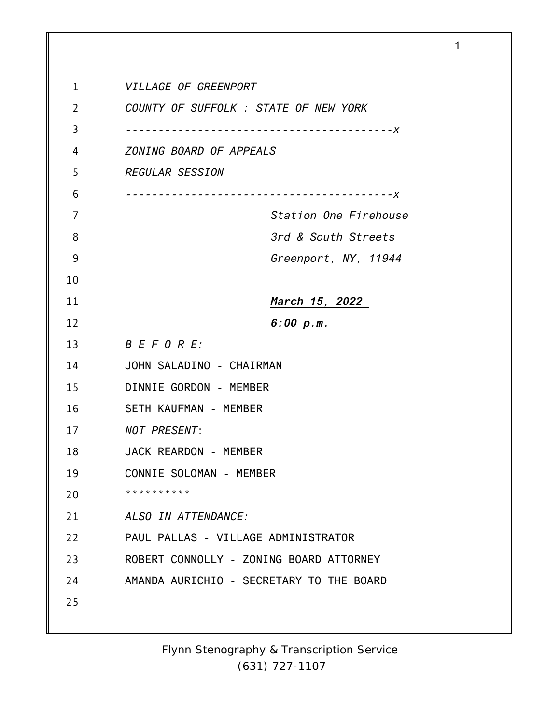| 1              | VILLAGE OF GREENPORT                     |
|----------------|------------------------------------------|
| $\overline{2}$ | COUNTY OF SUFFOLK : STATE OF NEW YORK    |
| 3              | $- - - - - - - - - X$                    |
| 4              | ZONING BOARD OF APPEALS                  |
| 5              | <b>REGULAR SESSION</b>                   |
| 6              | $- - - - - - X$                          |
| 7              | Station One Firehouse                    |
| 8              | 3rd & South Streets                      |
| 9              | Greenport, NY, 11944                     |
| 10             |                                          |
| 11             | <u>March 15, 2022</u>                    |
| 12             | 6:00 p.m.                                |
| 13             | B E F O R E                              |
| 14             | JOHN SALADINO - CHAIRMAN                 |
| 15             | DINNIE GORDON - MEMBER                   |
| 16             | SETH KAUFMAN - MEMBER                    |
| 17             | <b>NOT PRESENT:</b>                      |
| 18             | JACK REARDON - MEMBER                    |
| 19             | CONNIE SOLOMAN - MEMBER                  |
| 20             | * * * * * * * * * *                      |
| 21             | ALSO IN ATTENDANCE:                      |
| 22             | PAUL PALLAS - VILLAGE ADMINISTRATOR      |
| 23             | ROBERT CONNOLLY - ZONING BOARD ATTORNEY  |
| 24             | AMANDA AURICHIO - SECRETARY TO THE BOARD |
| 25             |                                          |
|                |                                          |

1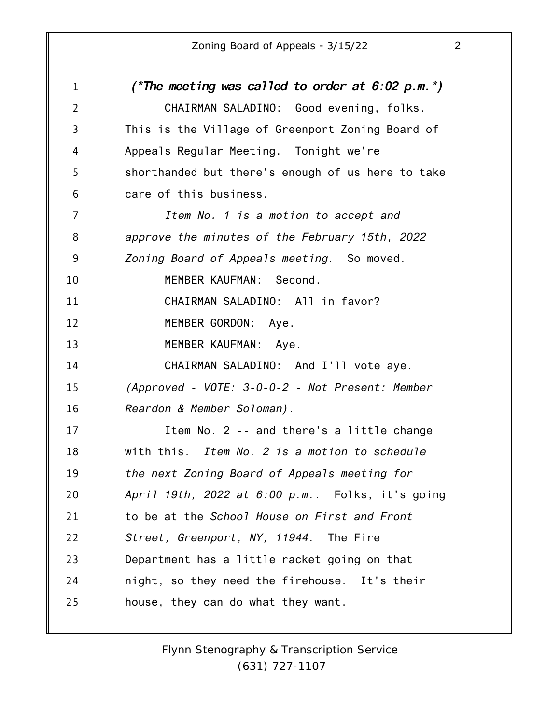| $\mathbf{1}$   | (*The meeting was called to order at $6:02$ p.m.*) |
|----------------|----------------------------------------------------|
| $\overline{2}$ | CHAIRMAN SALADINO: Good evening, folks.            |
| $\overline{3}$ | This is the Village of Greenport Zoning Board of   |
| 4              | Appeals Regular Meeting. Tonight we're             |
| 5              | shorthanded but there's enough of us here to take  |
| 6              | care of this business.                             |
| 7              | Item No. 1 is a motion to accept and               |
| 8              | approve the minutes of the February 15th, 2022     |
| 9              | Zoning Board of Appeals meeting. So moved.         |
| 10             | MEMBER KAUFMAN:<br>Second.                         |
| 11             | CHAIRMAN SALADINO: All in favor?                   |
| 12             | MEMBER GORDON: Aye.                                |
| 13             | MEMBER KAUFMAN: Aye.                               |
| 14             | CHAIRMAN SALADINO: And I'll vote aye.              |
| 15             | (Approved - VOTE: 3-0-0-2 - Not Present: Member    |
| 16             | Reardon & Member Soloman).                         |
| 17             | Item No. 2 -- and there's a little change          |
| 18             | with this. Item No. 2 is a motion to schedule      |
| 19             | the next Zoning Board of Appeals meeting for       |
| 20             | April 19th, 2022 at 6:00 p.m Folks, it's going     |
| 21             | to be at the School House on First and Front       |
| 22             | Street, Greenport, NY, 11944. The Fire             |
| 23             | Department has a little racket going on that       |
| 24             | night, so they need the firehouse. It's their      |
| 25             | house, they can do what they want.                 |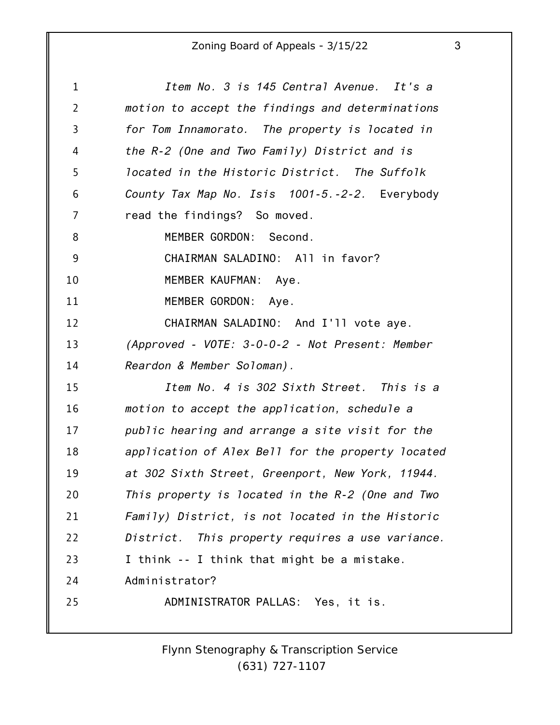| 1              | Item No. 3 is 145 Central Avenue. It's a          |
|----------------|---------------------------------------------------|
| $\overline{2}$ | motion to accept the findings and determinations  |
| 3              | for Tom Innamorato. The property is located in    |
| 4              | the R-2 (One and Two Family) District and is      |
| 5              | located in the Historic District. The Suffolk     |
| 6              | County Tax Map No. Isis 1001-5.-2-2. Everybody    |
| 7              | read the findings? So moved.                      |
| 8              | MEMBER GORDON: Second.                            |
| 9              | CHAIRMAN SALADINO: All in favor?                  |
| 10             | MEMBER KAUFMAN: Aye.                              |
| 11             | MEMBER GORDON:<br>Aye.                            |
| 12             | CHAIRMAN SALADINO: And I'll vote aye.             |
| 13             | (Approved - VOTE: 3-0-0-2 - Not Present: Member   |
| 14             | Reardon & Member Soloman).                        |
| 15             | Item No. 4 is 302 Sixth Street. This is a         |
| 16             | motion to accept the application, schedule a      |
| 17             | public hearing and arrange a site visit for the   |
| 18             | application of Alex Bell for the property located |
| 19             | at 302 Sixth Street, Greenport, New York, 11944.  |
| 20             | This property is located in the R-2 (One and Two  |
| 21             | Family) District, is not located in the Historic  |
| 22             | District. This property requires a use variance.  |
| 23             | I think -- I think that might be a mistake.       |
| 24             | Administrator?                                    |
| 25             | ADMINISTRATOR PALLAS: Yes, it is.                 |
|                |                                                   |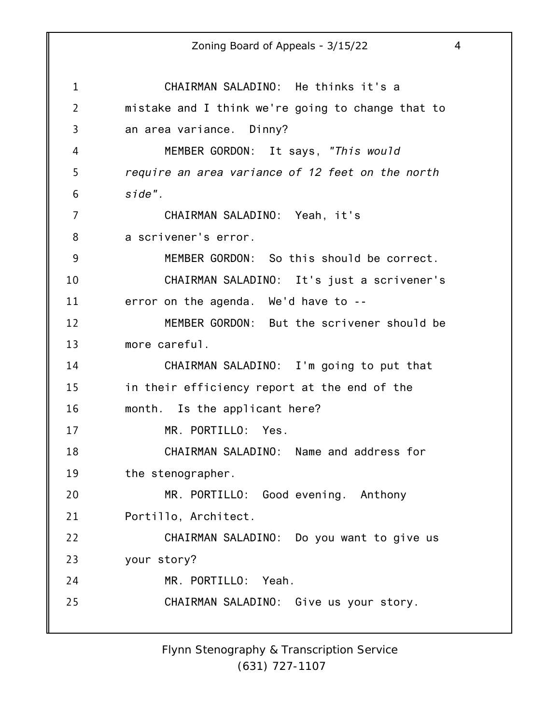1 2 3 4 5 6 7 8 9 10 11 12 13 14 15 16 17 18 19 20 21 22 23 24 25 Zoning Board of Appeals - 3/15/22 4 CHAIRMAN SALADINO: He thinks it's a mistake and I think we're going to change that to an area variance. Dinny? MEMBER GORDON: It says, *"This would require an area variance of 12 feet on the north side".* CHAIRMAN SALADINO: Yeah, it's a scrivener's error. MEMBER GORDON: So this should be correct. CHAIRMAN SALADINO: It's just a scrivener's error on the agenda. We'd have to -- MEMBER GORDON: But the scrivener should be more careful. CHAIRMAN SALADINO: I'm going to put that in their efficiency report at the end of the month. Is the applicant here? MR. PORTILLO: Yes. CHAIRMAN SALADINO: Name and address for the stenographer. MR. PORTILLO: Good evening. Anthony Portillo, Architect. CHAIRMAN SALADINO: Do you want to give us your story? MR. PORTILLO: Yeah. CHAIRMAN SALADINO: Give us your story.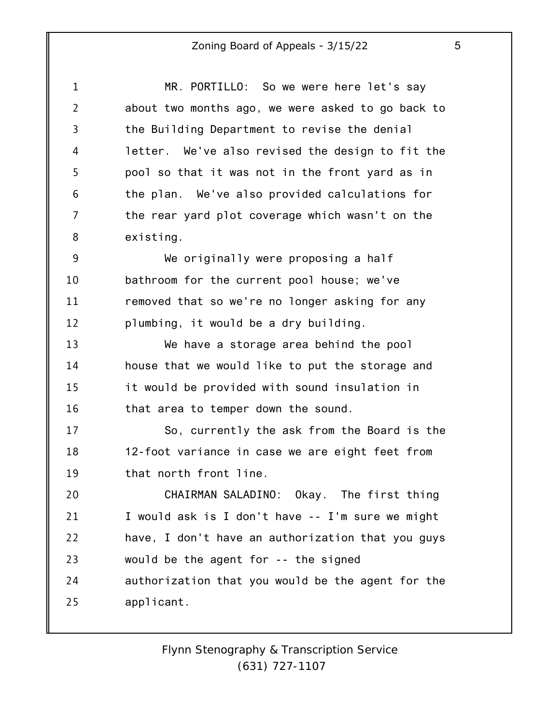| ۰,<br>I<br>ë |  |
|--------------|--|

| $\mathbf 1$    | MR. PORTILLO: So we were here let's say           |
|----------------|---------------------------------------------------|
| $\overline{2}$ | about two months ago, we were asked to go back to |
| 3              | the Building Department to revise the denial      |
| 4              | letter. We've also revised the design to fit the  |
| 5              | pool so that it was not in the front yard as in   |
| 6              | the plan. We've also provided calculations for    |
| 7              | the rear yard plot coverage which wasn't on the   |
| 8              | existing.                                         |
| 9              | We originally were proposing a half               |
| 10             | bathroom for the current pool house; we've        |
| 11             | removed that so we're no longer asking for any    |
| 12             | plumbing, it would be a dry building.             |
| 13             | We have a storage area behind the pool            |
| 14             | house that we would like to put the storage and   |
| 15             | it would be provided with sound insulation in     |
| 16             | that area to temper down the sound.               |
| 17             | So, currently the ask from the Board is the       |
| 18             | 12-foot variance in case we are eight feet from   |
| 19             | that north front line.                            |
| 20             | CHAIRMAN SALADINO: Okay. The first thing          |
| 21             | I would ask is I don't have -- I'm sure we might  |
| 22             | have, I don't have an authorization that you guys |
| 23             | would be the agent for -- the signed              |
| 24             | authorization that you would be the agent for the |
| 25             | applicant.                                        |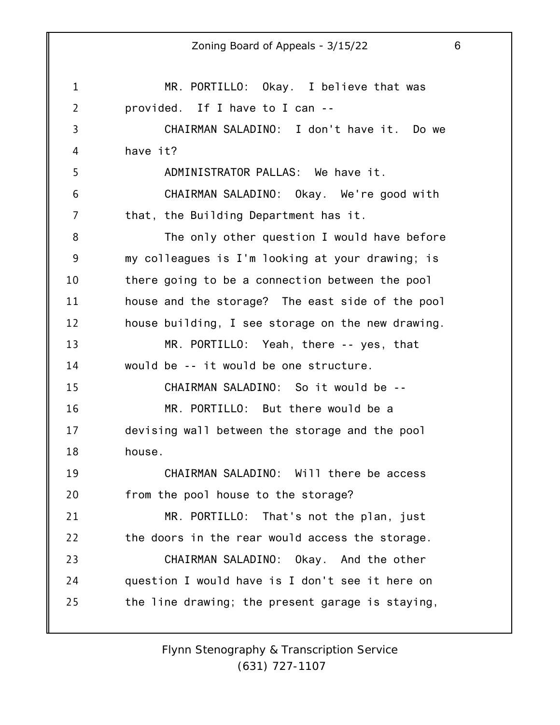1 2 3 4 5 6 7 8 9 10 11 12 13 14 15 16 17 18 19 20 21 22 23 24 25 Zoning Board of Appeals - 3/15/22 6 MR. PORTILLO: Okay. I believe that was provided. If I have to I can -- CHAIRMAN SALADINO: I don't have it. Do we have it? ADMINISTRATOR PALLAS: We have it. CHAIRMAN SALADINO: Okay. We're good with that, the Building Department has it. The only other question I would have before my colleagues is I'm looking at your drawing; is there going to be a connection between the pool house and the storage? The east side of the pool house building, I see storage on the new drawing. MR. PORTILLO: Yeah, there -- yes, that would be -- it would be one structure. CHAIRMAN SALADINO: So it would be -- MR. PORTILLO: But there would be a devising wall between the storage and the pool house. CHAIRMAN SALADINO: Will there be access from the pool house to the storage? MR. PORTILLO: That's not the plan, just the doors in the rear would access the storage. CHAIRMAN SALADINO: Okay. And the other question I would have is I don't see it here on the line drawing; the present garage is staying,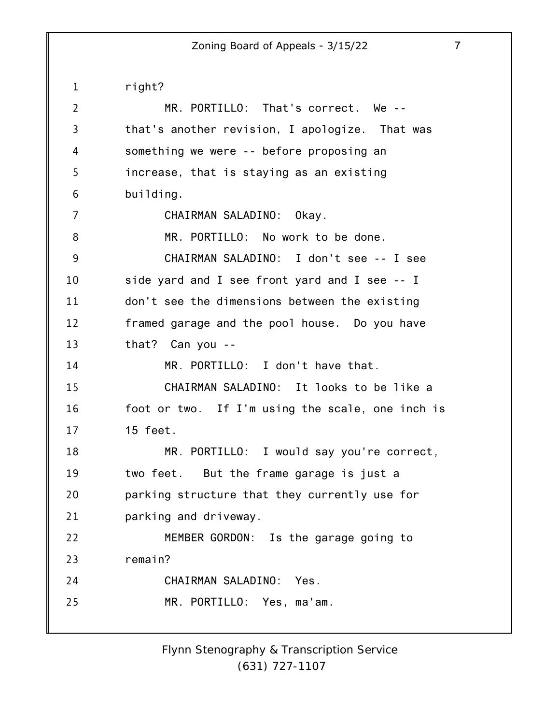1 2 3 4 5 6 7 8 9 10 11 12 13 14 15 16 17 18 19 20 21 22 23 24 25 right? MR. PORTILLO: That's correct. We - that's another revision, I apologize. That was something we were -- before proposing an increase, that is staying as an existing building. CHAIRMAN SALADINO: Okay. MR. PORTILLO: No work to be done. CHAIRMAN SALADINO: I don't see -- I see side yard and I see front yard and I see -- I don't see the dimensions between the existing framed garage and the pool house. Do you have that? Can you -- MR. PORTILLO: I don't have that. CHAIRMAN SALADINO: It looks to be like a foot or two. If I'm using the scale, one inch is 15 feet. MR. PORTILLO: I would say you're correct, two feet. But the frame garage is just a parking structure that they currently use for parking and driveway. MEMBER GORDON: Is the garage going to remain? CHAIRMAN SALADINO: Yes. MR. PORTILLO: Yes, ma'am.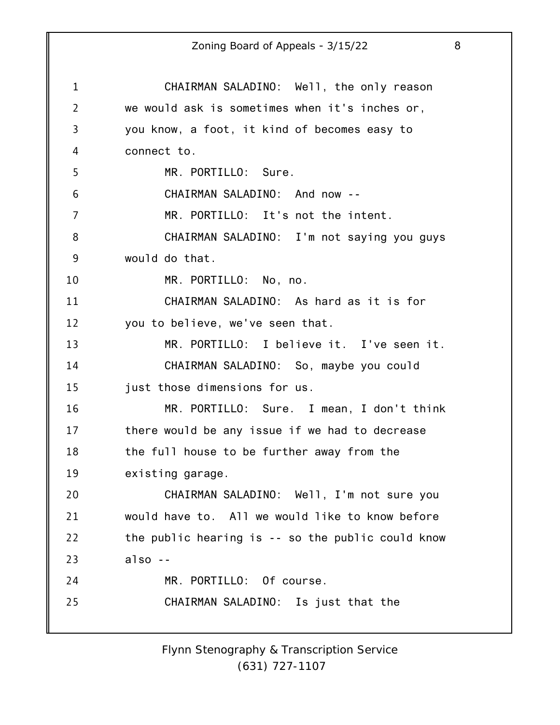1 2 3 4 5 6 7 8 9 10 11 12 13 14 15 16 17 18 19 20 21 22 23 24 25 Zoning Board of Appeals - 3/15/22 8 CHAIRMAN SALADINO: Well, the only reason we would ask is sometimes when it's inches or, you know, a foot, it kind of becomes easy to connect to. MR. PORTILLO: Sure. CHAIRMAN SALADINO: And now -- MR. PORTILLO: It's not the intent. CHAIRMAN SALADINO: I'm not saying you guys would do that. MR. PORTILLO: No, no. CHAIRMAN SALADINO: As hard as it is for you to believe, we've seen that. MR. PORTILLO: I believe it. I've seen it. CHAIRMAN SALADINO: So, maybe you could just those dimensions for us. MR. PORTILLO: Sure. I mean, I don't think there would be any issue if we had to decrease the full house to be further away from the existing garage. CHAIRMAN SALADINO: Well, I'm not sure you would have to. All we would like to know before the public hearing is -- so the public could know also -- MR. PORTILLO: Of course. CHAIRMAN SALADINO: Is just that the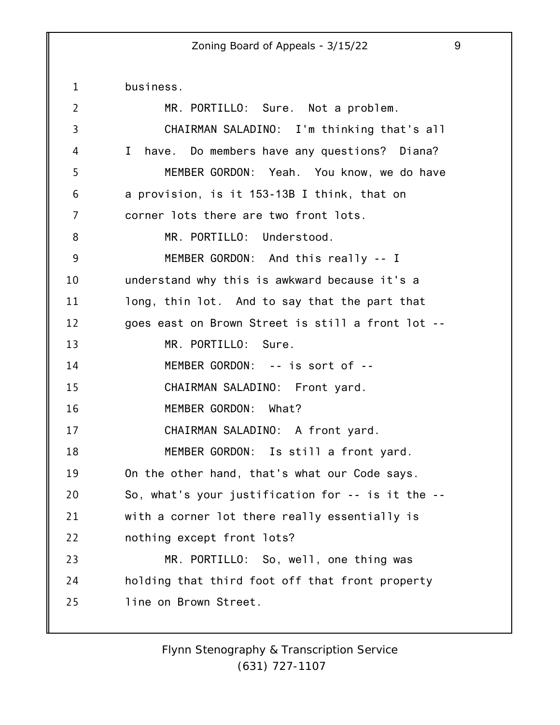1 2 3 4 5 6 7 8 9 10 11 12 13 14 15 16 17 18 19 20 21 22 23 24 25 business. MR. PORTILLO: Sure. Not a problem. CHAIRMAN SALADINO: I'm thinking that's all I have. Do members have any questions? Diana? MEMBER GORDON: Yeah. You know, we do have a provision, is it 153-13B I think, that on corner lots there are two front lots. MR. PORTILLO: Understood. MEMBER GORDON: And this really -- I understand why this is awkward because it's a long, thin lot. And to say that the part that goes east on Brown Street is still a front lot -- MR. PORTILLO: Sure. MEMBER GORDON: -- is sort of -- CHAIRMAN SALADINO: Front yard. MEMBER GORDON: What? CHAIRMAN SALADINO: A front yard. MEMBER GORDON: Is still a front yard. On the other hand, that's what our Code says. So, what's your justification for -- is it the - with a corner lot there really essentially is nothing except front lots? MR. PORTILLO: So, well, one thing was holding that third foot off that front property line on Brown Street.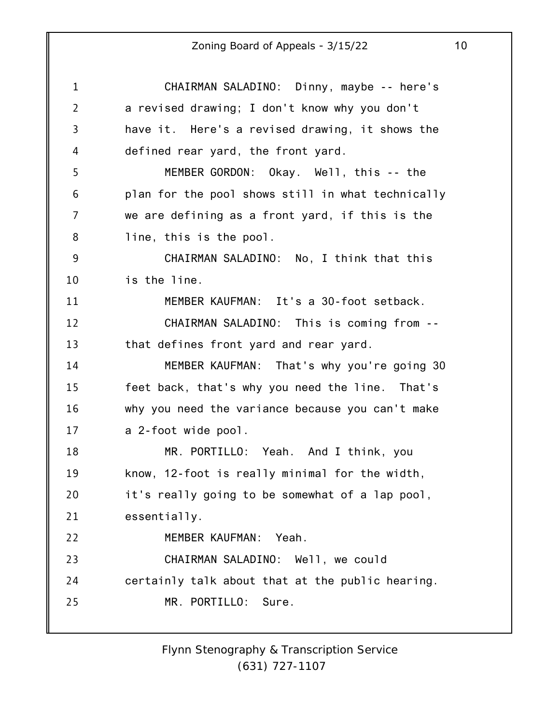| $\mathbf{1}$   | CHAIRMAN SALADINO: Dinny, maybe -- here's         |
|----------------|---------------------------------------------------|
| $\overline{2}$ | a revised drawing; I don't know why you don't     |
| 3              | have it. Here's a revised drawing, it shows the   |
| 4              | defined rear yard, the front yard.                |
| 5              | MEMBER GORDON: Okay. Well, this -- the            |
| 6              | plan for the pool shows still in what technically |
| 7              | we are defining as a front yard, if this is the   |
| 8              | line, this is the pool.                           |
| 9              | CHAIRMAN SALADINO: No, I think that this          |
| 10             | is the line.                                      |
| 11             | MEMBER KAUFMAN: It's a 30-foot setback.           |
| 12             | CHAIRMAN SALADINO: This is coming from --         |
| 13             | that defines front yard and rear yard.            |
| 14             | MEMBER KAUFMAN: That's why you're going 30        |
| 15             | feet back, that's why you need the line. That's   |
| 16             | why you need the variance because you can't make  |
| 17             | a 2-foot wide pool.                               |
| 18             | MR. PORTILLO: Yeah. And I think, you              |
| 19             | know, 12-foot is really minimal for the width,    |
| 20             | it's really going to be somewhat of a lap pool,   |
| 21             | essentially.                                      |
| 22             | MEMBER KAUFMAN:<br>Yeah.                          |
| 23             | CHAIRMAN SALADINO: Well, we could                 |
| 24             | certainly talk about that at the public hearing.  |
| 25             | MR. PORTILLO: Sure.                               |
|                |                                                   |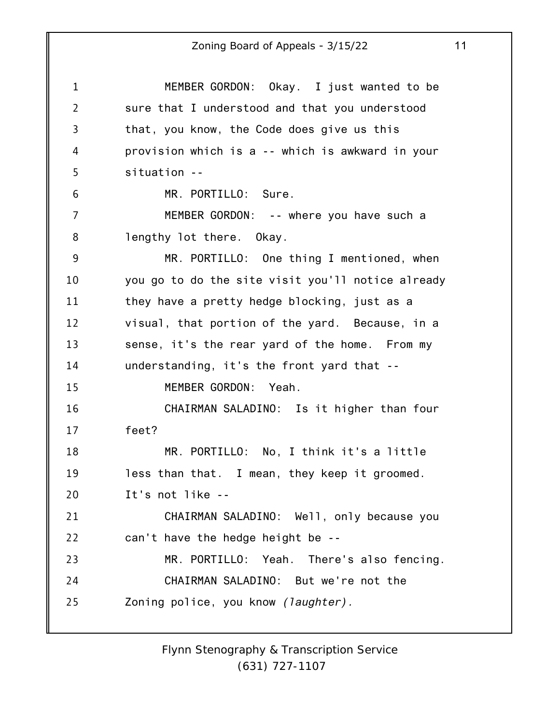1 2 3 4 5 6 7 8 9 10 11 12 13 14 15 16 17 18 19 20 21 22 23 24 25 MEMBER GORDON: Okay. I just wanted to be sure that I understood and that you understood that, you know, the Code does give us this provision which is a -- which is awkward in your situation -- MR. PORTILLO: Sure. MEMBER GORDON: -- where you have such a lengthy lot there. Okay. MR. PORTILLO: One thing I mentioned, when you go to do the site visit you'll notice already they have a pretty hedge blocking, just as a visual, that portion of the yard. Because, in a sense, it's the rear yard of the home. From my understanding, it's the front yard that -- MEMBER GORDON: Yeah. CHAIRMAN SALADINO: Is it higher than four feet? MR. PORTILLO: No, I think it's a little less than that. I mean, they keep it groomed. It's not like -- CHAIRMAN SALADINO: Well, only because you can't have the hedge height be -- MR. PORTILLO: Yeah. There's also fencing. CHAIRMAN SALADINO: But we're not the Zoning police, you know *(laughter).*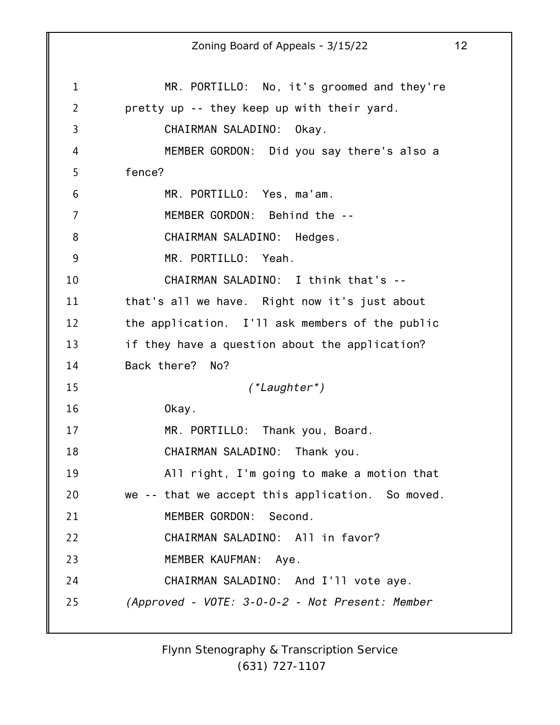1 2 3 4 5 6 7 8 9 10 11 12 13 14 15 16 17 18 19 20 21 22 23 24 25 Zoning Board of Appeals - 3/15/22 12 MR. PORTILLO: No, it's groomed and they're pretty up -- they keep up with their yard. CHAIRMAN SALADINO: Okay. MEMBER GORDON: Did you say there's also a fence? MR. PORTILLO: Yes, ma'am. MEMBER GORDON: Behind the -- CHAIRMAN SALADINO: Hedges. MR. PORTILLO: Yeah. CHAIRMAN SALADINO: I think that's - that's all we have. Right now it's just about the application. I'll ask members of the public if they have a question about the application? Back there? No? *(\*Laughter\*)* Okay. MR. PORTILLO: Thank you, Board. CHAIRMAN SALADINO: Thank you. All right, I'm going to make a motion that we -- that we accept this application. So moved. MEMBER GORDON: Second. CHAIRMAN SALADINO: All in favor? MEMBER KAUFMAN: Aye. CHAIRMAN SALADINO: And I'll vote aye. *(Approved - VOTE: 3-0-0-2 - Not Present: Member*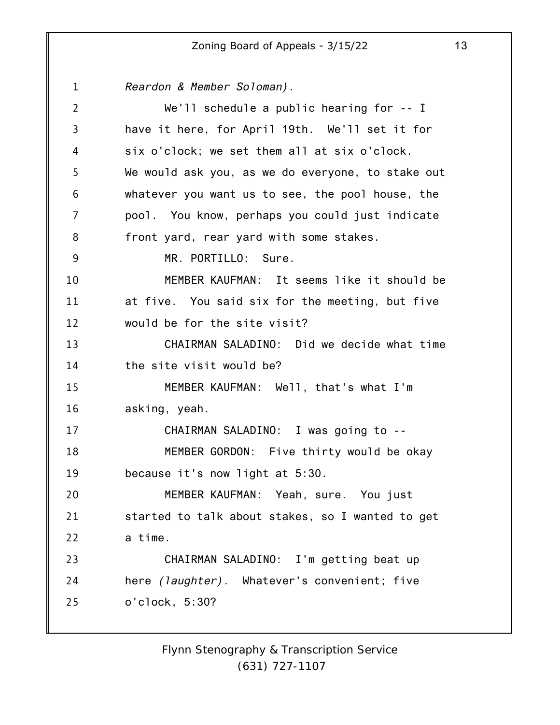1 2 3 4 5 6 7 8 9 10 11 12 13 14 15 16 17 18 19 20 21 22 23 24 25 *Reardon & Member Soloman).* We'll schedule a public hearing for -- I have it here, for April 19th. We'll set it for six o'clock; we set them all at six o'clock. We would ask you, as we do everyone, to stake out whatever you want us to see, the pool house, the pool. You know, perhaps you could just indicate front yard, rear yard with some stakes. MR. PORTILLO: Sure. MEMBER KAUFMAN: It seems like it should be at five. You said six for the meeting, but five would be for the site visit? CHAIRMAN SALADINO: Did we decide what time the site visit would be? MEMBER KAUFMAN: Well, that's what I'm asking, yeah. CHAIRMAN SALADINO: I was going to -- MEMBER GORDON: Five thirty would be okay because it's now light at 5:30. MEMBER KAUFMAN: Yeah, sure. You just started to talk about stakes, so I wanted to get a time. CHAIRMAN SALADINO: I'm getting beat up here *(laughter).* Whatever's convenient; five o'clock, 5:30?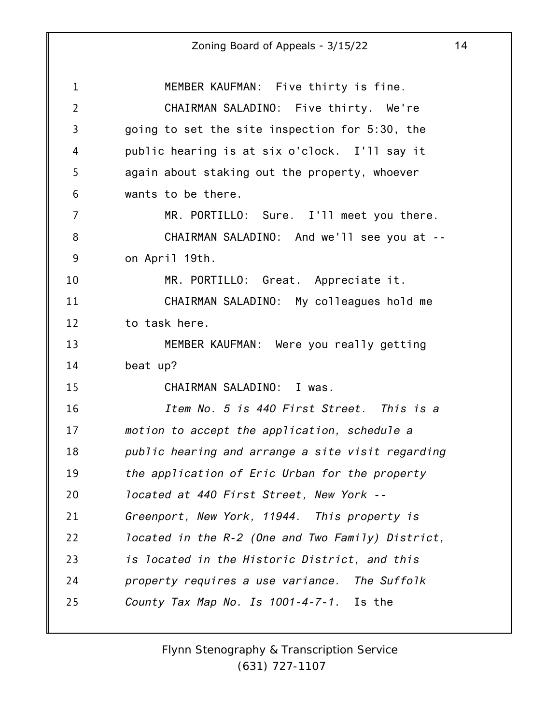| $\mathbf{1}$   | MEMBER KAUFMAN: Five thirty is fine.              |
|----------------|---------------------------------------------------|
| $\overline{2}$ | CHAIRMAN SALADINO: Five thirty. We're             |
| $\overline{3}$ | going to set the site inspection for 5:30, the    |
| 4              | public hearing is at six o'clock. I'll say it     |
| 5              | again about staking out the property, whoever     |
| 6              | wants to be there.                                |
| 7              | MR. PORTILLO: Sure. I'll meet you there.          |
| 8              | CHAIRMAN SALADINO: And we'll see you at --        |
| 9              | on April 19th.                                    |
| 10             | MR. PORTILLO: Great. Appreciate it.               |
| 11             | CHAIRMAN SALADINO: My colleagues hold me          |
| 12             | to task here.                                     |
| 13             | MEMBER KAUFMAN: Were you really getting           |
| 14             | beat up?                                          |
| 15             | CHAIRMAN SALADINO: I was.                         |
| 16             | Item No. 5 is 440 First Street. This is a         |
| 17             | motion to accept the application, schedule a      |
| 18             | public hearing and arrange a site visit regarding |
| 19             | the application of Eric Urban for the property    |
| 20             | located at 440 First Street, New York --          |
| 21             | Greenport, New York, 11944. This property is      |
| 22             | located in the R-2 (One and Two Family) District, |
| 23             | is located in the Historic District, and this     |
| 24             | property requires a use variance. The Suffolk     |
| 25             | County Tax Map No. Is 1001-4-7-1. Is the          |
|                |                                                   |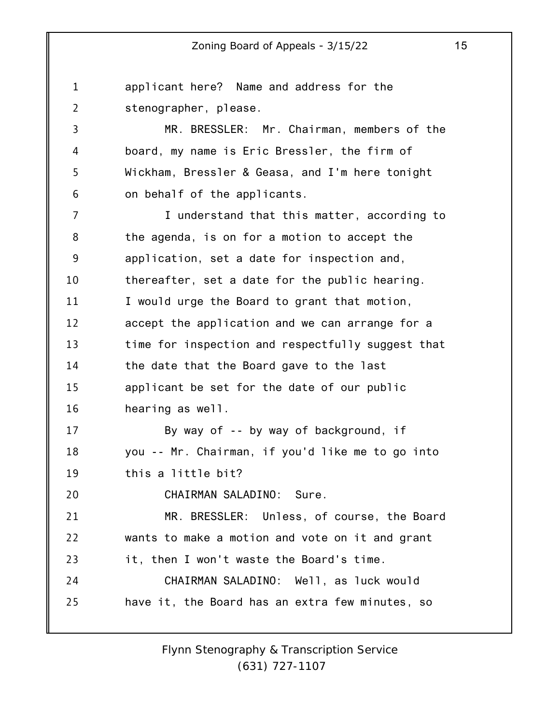1 2 3 4 5 6 7 8 9 10 11 12 13 14 15 16 17 18 19 20 21 22 23 24 25 applicant here? Name and address for the stenographer, please. MR. BRESSLER: Mr. Chairman, members of the board, my name is Eric Bressler, the firm of Wickham, Bressler & Geasa, and I'm here tonight on behalf of the applicants. I understand that this matter, according to the agenda, is on for a motion to accept the application, set a date for inspection and, thereafter, set a date for the public hearing. I would urge the Board to grant that motion, accept the application and we can arrange for a time for inspection and respectfully suggest that the date that the Board gave to the last applicant be set for the date of our public hearing as well. By way of -- by way of background, if you -- Mr. Chairman, if you'd like me to go into this a little bit? CHAIRMAN SALADINO: Sure. MR. BRESSLER: Unless, of course, the Board wants to make a motion and vote on it and grant it, then I won't waste the Board's time. CHAIRMAN SALADINO: Well, as luck would have it, the Board has an extra few minutes, so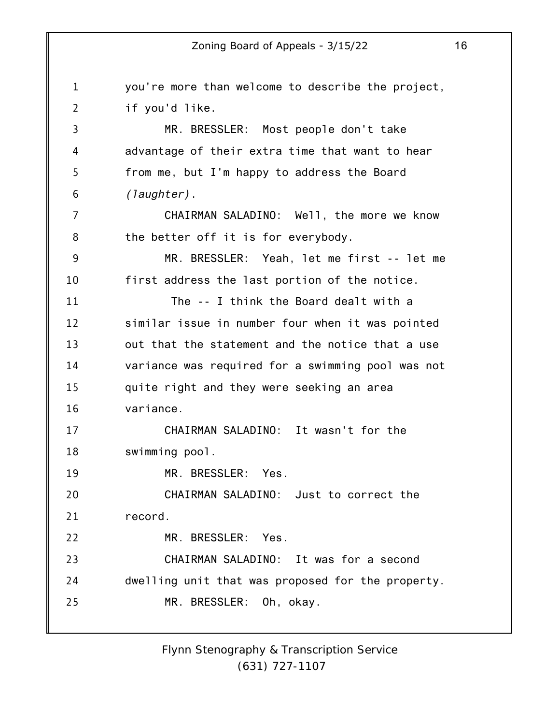1 2 3 4 5 6 7 8 9 10 11 12 13 14 15 16 17 18 19 20 21 22 23 24 25 you're more than welcome to describe the project, if you'd like. MR. BRESSLER: Most people don't take advantage of their extra time that want to hear from me, but I'm happy to address the Board *(laughter)*. CHAIRMAN SALADINO: Well, the more we know the better off it is for everybody. MR. BRESSLER: Yeah, let me first -- let me first address the last portion of the notice. The -- I think the Board dealt with a similar issue in number four when it was pointed out that the statement and the notice that a use variance was required for a swimming pool was not quite right and they were seeking an area variance. CHAIRMAN SALADINO: It wasn't for the swimming pool. MR. BRESSLER: Yes. CHAIRMAN SALADINO: Just to correct the record. MR. BRESSLER: Yes. CHAIRMAN SALADINO: It was for a second dwelling unit that was proposed for the property. MR. BRESSLER: Oh, okay.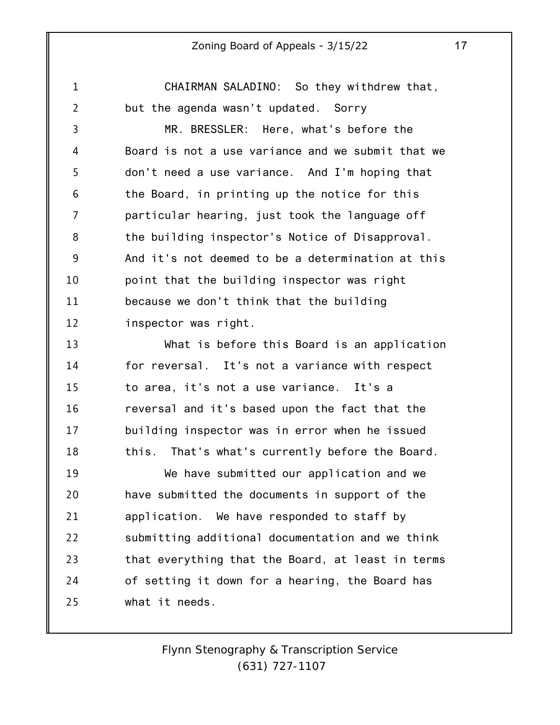1 2 3 4 5 6 7 8 9 10 11 12 13 14 15 16 17 18 19 20 21 22 23 24 25 CHAIRMAN SALADINO: So they withdrew that, but the agenda wasn't updated. Sorry MR. BRESSLER: Here, what's before the Board is not a use variance and we submit that we don't need a use variance. And I'm hoping that the Board, in printing up the notice for this particular hearing, just took the language off the building inspector's Notice of Disapproval. And it's not deemed to be a determination at this point that the building inspector was right because we don't think that the building inspector was right. What is before this Board is an application for reversal. It's not a variance with respect to area, it's not a use variance. It's a reversal and it's based upon the fact that the building inspector was in error when he issued this. That's what's currently before the Board. We have submitted our application and we have submitted the documents in support of the application. We have responded to staff by submitting additional documentation and we think that everything that the Board, at least in terms of setting it down for a hearing, the Board has what it needs.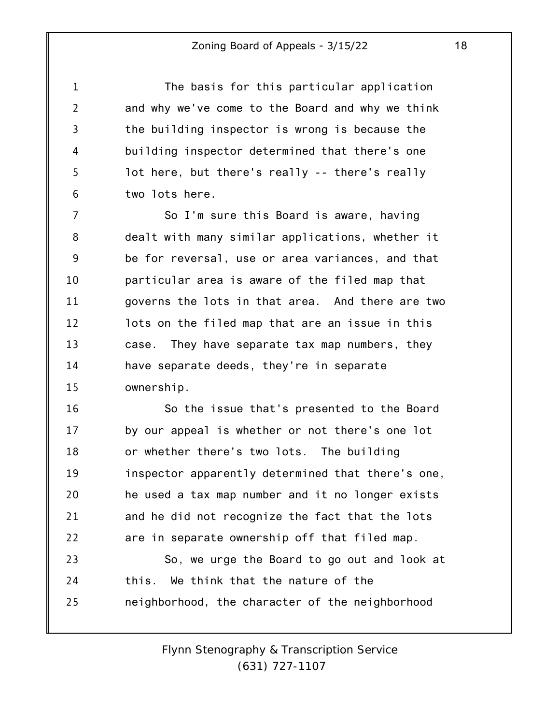The basis for this particular application and why we've come to the Board and why we think the building inspector is wrong is because the building inspector determined that there's one lot here, but there's really -- there's really two lots here.

1

2

3

4

5

6

7 8 9 10 11 12 13 14 15 So I'm sure this Board is aware, having dealt with many similar applications, whether it be for reversal, use or area variances, and that particular area is aware of the filed map that governs the lots in that area. And there are two lots on the filed map that are an issue in this case. They have separate tax map numbers, they have separate deeds, they're in separate ownership.

16 17 18 19 20 21 22 So the issue that's presented to the Board by our appeal is whether or not there's one lot or whether there's two lots. The building inspector apparently determined that there's one, he used a tax map number and it no longer exists and he did not recognize the fact that the lots are in separate ownership off that filed map.

23 24 25 So, we urge the Board to go out and look at this. We think that the nature of the neighborhood, the character of the neighborhood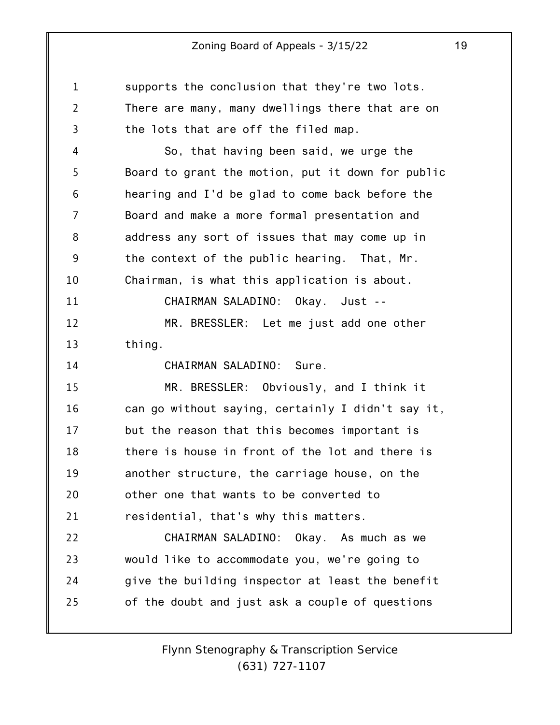1 2 3 supports the conclusion that they're two lots. There are many, many dwellings there that are on the lots that are off the filed map.

4 5 6 7 8 9 10 So, that having been said, we urge the Board to grant the motion, put it down for public hearing and I'd be glad to come back before the Board and make a more formal presentation and address any sort of issues that may come up in the context of the public hearing. That, Mr. Chairman, is what this application is about.

11 12 13 CHAIRMAN SALADINO: Okay. Just -- MR. BRESSLER: Let me just add one other thing.

CHAIRMAN SALADINO: Sure.

14

15 16 17 18 19 20 21 MR. BRESSLER: Obviously, and I think it can go without saying, certainly I didn't say it, but the reason that this becomes important is there is house in front of the lot and there is another structure, the carriage house, on the other one that wants to be converted to residential, that's why this matters.

22 23 24 25 CHAIRMAN SALADINO: Okay. As much as we would like to accommodate you, we're going to give the building inspector at least the benefit of the doubt and just ask a couple of questions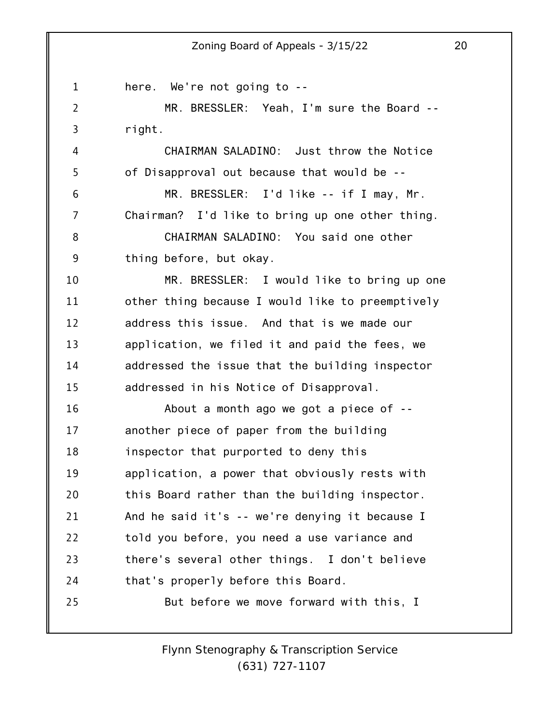1 2 3 4 5 6 7 8 9 10 11 12 13 14 15 16 17 18 19 20 21 22 23 24 25 here. We're not going to -- MR. BRESSLER: Yeah, I'm sure the Board - right. CHAIRMAN SALADINO: Just throw the Notice of Disapproval out because that would be -- MR. BRESSLER: I'd like -- if I may, Mr. Chairman? I'd like to bring up one other thing. CHAIRMAN SALADINO: You said one other thing before, but okay. MR. BRESSLER: I would like to bring up one other thing because I would like to preemptively address this issue. And that is we made our application, we filed it and paid the fees, we addressed the issue that the building inspector addressed in his Notice of Disapproval. About a month ago we got a piece of - another piece of paper from the building inspector that purported to deny this application, a power that obviously rests with this Board rather than the building inspector. And he said it's -- we're denying it because I told you before, you need a use variance and there's several other things. I don't believe that's properly before this Board. But before we move forward with this, I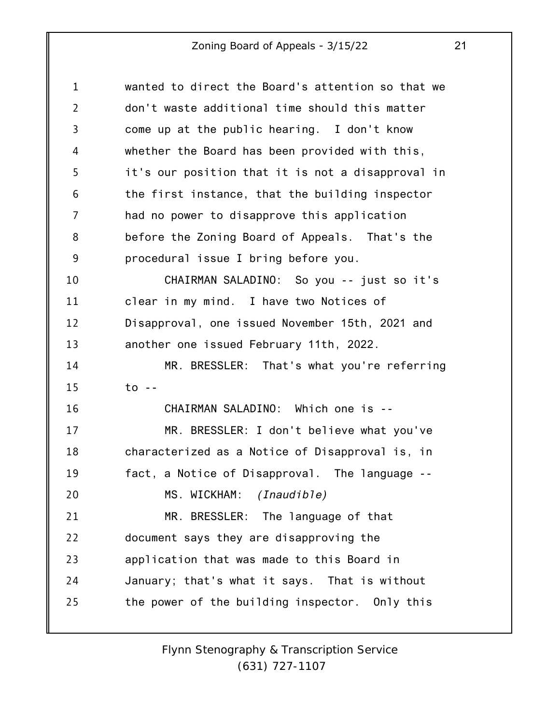| $\mathbf 1$    | wanted to direct the Board's attention so that we |
|----------------|---------------------------------------------------|
| $\overline{2}$ | don't waste additional time should this matter    |
| 3              | come up at the public hearing. I don't know       |
| 4              | whether the Board has been provided with this,    |
| 5              | it's our position that it is not a disapproval in |
| 6              | the first instance, that the building inspector   |
| 7              | had no power to disapprove this application       |
| 8              | before the Zoning Board of Appeals. That's the    |
| 9              | procedural issue I bring before you.              |
| 10             | CHAIRMAN SALADINO: So you -- just so it's         |
| 11             | clear in my mind. I have two Notices of           |
| 12             | Disapproval, one issued November 15th, 2021 and   |
| 13             | another one issued February 11th, 2022.           |
| 14             | MR. BRESSLER: That's what you're referring        |
| 15             | $to -$                                            |
| 16             | CHAIRMAN SALADINO: Which one is --                |
| 17             | MR. BRESSLER: I don't believe what you've         |
| 18             | characterized as a Notice of Disapproval is, in   |
| 19             | fact, a Notice of Disapproval. The language --    |
| 20             | MS. WICKHAM: <i>(Inaudible)</i>                   |
| 21             | MR. BRESSLER: The language of that                |
| 22             | document says they are disapproving the           |
| 23             | application that was made to this Board in        |
| 24             | January; that's what it says. That is without     |
| 25             | the power of the building inspector. Only this    |
|                |                                                   |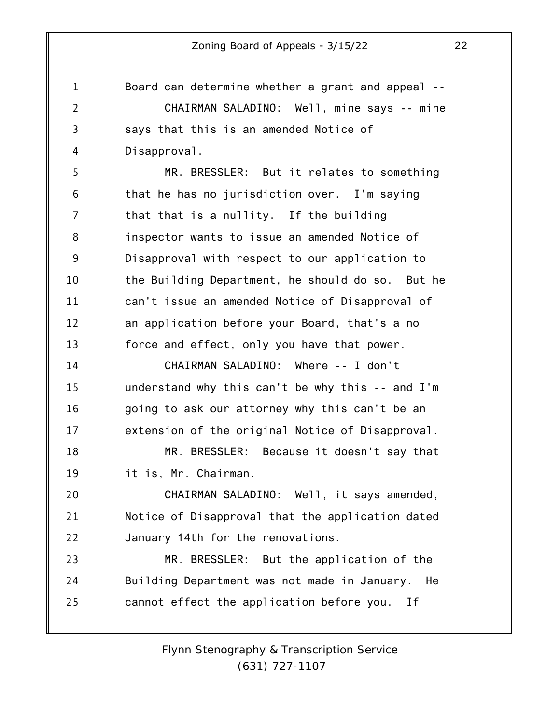1 2 3 4 Board can determine whether a grant and appeal -- CHAIRMAN SALADINO: Well, mine says -- mine says that this is an amended Notice of Disapproval.

5 6 7 8 9 10 11 12 13 MR. BRESSLER: But it relates to something that he has no jurisdiction over. I'm saying that that is a nullity. If the building inspector wants to issue an amended Notice of Disapproval with respect to our application to the Building Department, he should do so. But he can't issue an amended Notice of Disapproval of an application before your Board, that's a no force and effect, only you have that power.

14 15 16 17 CHAIRMAN SALADINO: Where -- I don't understand why this can't be why this -- and I'm going to ask our attorney why this can't be an extension of the original Notice of Disapproval.

18 19 MR. BRESSLER: Because it doesn't say that it is, Mr. Chairman.

20 21 22 CHAIRMAN SALADINO: Well, it says amended, Notice of Disapproval that the application dated January 14th for the renovations.

23 24 25 MR. BRESSLER: But the application of the Building Department was not made in January. He cannot effect the application before you. If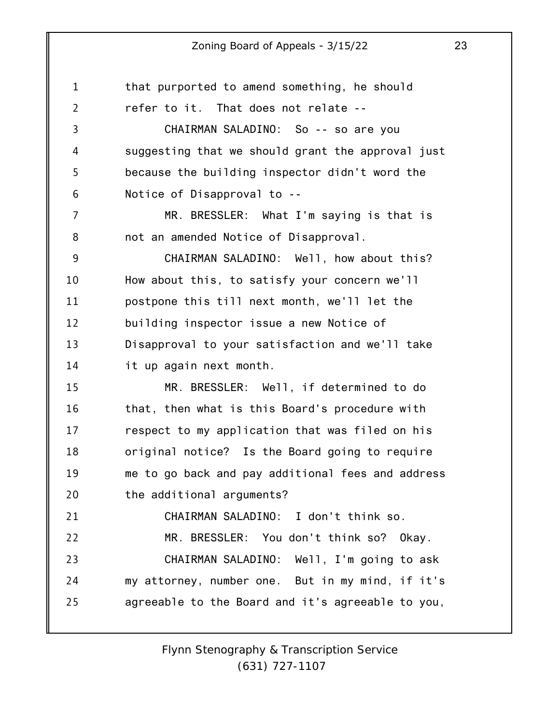1 2 3 4 5 6 7 8 9 10 11 12 13 14 15 16 17 18 19 20 21 22 23 24 25 that purported to amend something, he should refer to it. That does not relate -- CHAIRMAN SALADINO: So -- so are you suggesting that we should grant the approval just because the building inspector didn't word the Notice of Disapproval to -- MR. BRESSLER: What I'm saying is that is not an amended Notice of Disapproval. CHAIRMAN SALADINO: Well, how about this? How about this, to satisfy your concern we'll postpone this till next month, we'll let the building inspector issue a new Notice of Disapproval to your satisfaction and we'll take it up again next month. MR. BRESSLER: Well, if determined to do that, then what is this Board's procedure with respect to my application that was filed on his original notice? Is the Board going to require me to go back and pay additional fees and address the additional arguments? CHAIRMAN SALADINO: I don't think so. MR. BRESSLER: You don't think so? Okay. CHAIRMAN SALADINO: Well, I'm going to ask my attorney, number one. But in my mind, if it's agreeable to the Board and it's agreeable to you,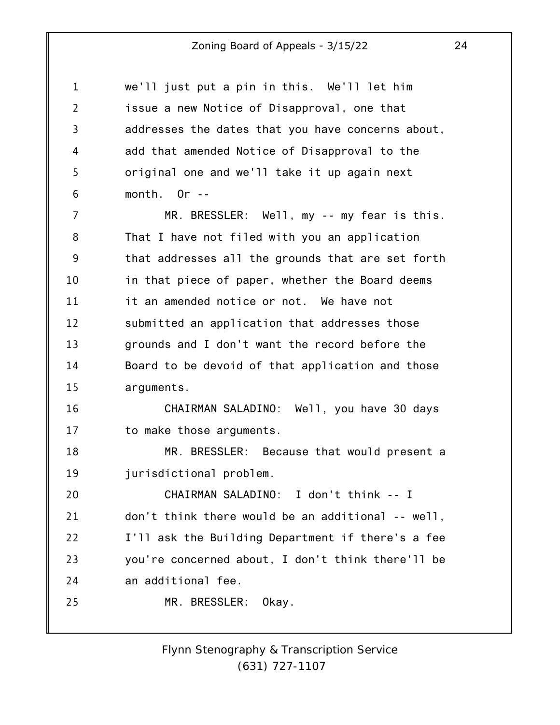1 2 3 4 5 6 we'll just put a pin in this. We'll let him issue a new Notice of Disapproval, one that addresses the dates that you have concerns about, add that amended Notice of Disapproval to the original one and we'll take it up again next month. Or --

7 8 9 10 11 12 13 14 15 MR. BRESSLER: Well, my -- my fear is this. That I have not filed with you an application that addresses all the grounds that are set forth in that piece of paper, whether the Board deems it an amended notice or not. We have not submitted an application that addresses those grounds and I don't want the record before the Board to be devoid of that application and those arguments.

16 17 CHAIRMAN SALADINO: Well, you have 30 days to make those arguments.

18 19 MR. BRESSLER: Because that would present a jurisdictional problem.

20 21 22 23 24 CHAIRMAN SALADINO: I don't think -- I don't think there would be an additional -- well, I'll ask the Building Department if there's a fee you're concerned about, I don't think there'll be an additional fee.

MR. BRESSLER: Okay.

25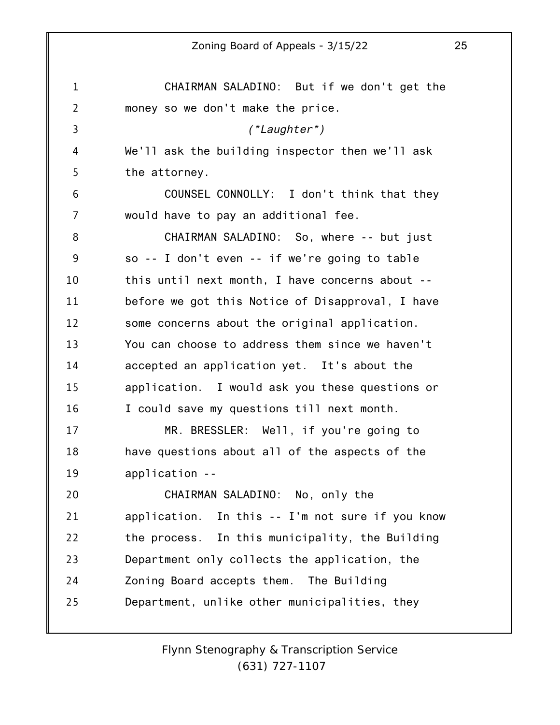1 2 3 4 5 6 7 8 9 10 11 12 13 14 15 16 17 18 19 20 21 22 23 24 25 Zoning Board of Appeals - 3/15/22 25 CHAIRMAN SALADINO: But if we don't get the money so we don't make the price. *(\*Laughter\*)* We'll ask the building inspector then we'll ask the attorney. COUNSEL CONNOLLY: I don't think that they would have to pay an additional fee. CHAIRMAN SALADINO: So, where -- but just so -- I don't even -- if we're going to table this until next month, I have concerns about - before we got this Notice of Disapproval, I have some concerns about the original application. You can choose to address them since we haven't accepted an application yet. It's about the application. I would ask you these questions or I could save my questions till next month. MR. BRESSLER: Well, if you're going to have questions about all of the aspects of the application -- CHAIRMAN SALADINO: No, only the application. In this -- I'm not sure if you know the process. In this municipality, the Building Department only collects the application, the Zoning Board accepts them. The Building Department, unlike other municipalities, they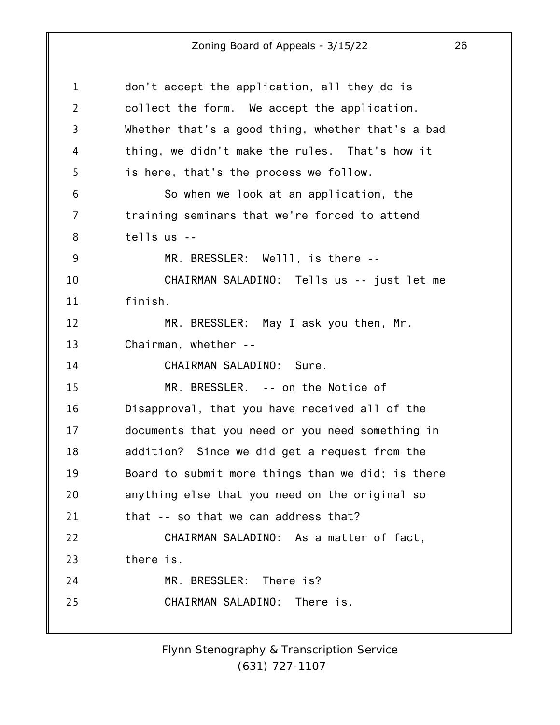| don't accept the application, all they do is      |
|---------------------------------------------------|
| collect the form. We accept the application.      |
| Whether that's a good thing, whether that's a bad |
| thing, we didn't make the rules. That's how it    |
| is here, that's the process we follow.            |
| So when we look at an application, the            |
| training seminars that we're forced to attend     |
| $t$ ells us $-$                                   |
| MR. BRESSLER: Welll, is there --                  |
| CHAIRMAN SALADINO: Tells us -- just let me        |
| finish.                                           |
| MR. BRESSLER: May I ask you then, Mr.             |
| Chairman, whether --                              |
| CHAIRMAN SALADINO: Sure.                          |
| MR. BRESSLER. -- on the Notice of                 |
| Disapproval, that you have received all of the    |
| documents that you need or you need something in  |
| addition? Since we did get a request from the     |
| Board to submit more things than we did; is there |
| anything else that you need on the original so    |
| that -- so that we can address that?              |
| CHAIRMAN SALADINO: As a matter of fact,           |
| there is.                                         |
| MR. BRESSLER: There is?                           |
| CHAIRMAN SALADINO: There is.                      |
|                                                   |
|                                                   |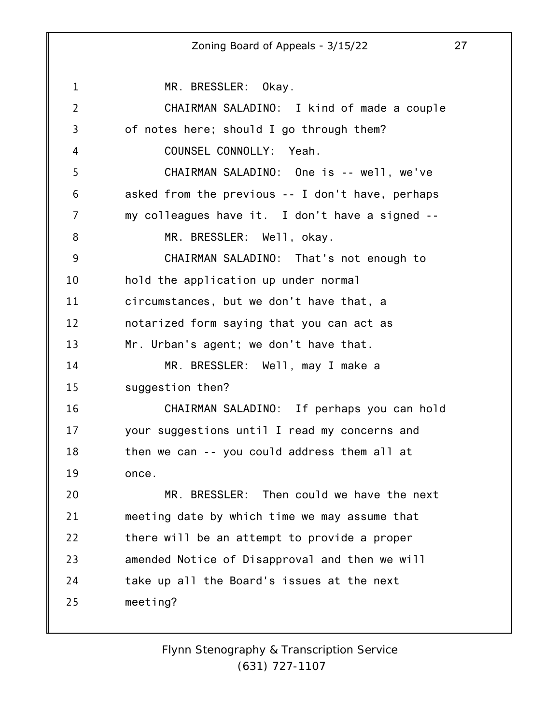1 2 3 4 5 6 7 8 9 10 11 12 13 14 15 16 17 18 19 20 21 22 23 24 25 MR. BRESSLER: Okay. CHAIRMAN SALADINO: I kind of made a couple of notes here; should I go through them? COUNSEL CONNOLLY: Yeah. CHAIRMAN SALADINO: One is -- well, we've asked from the previous -- I don't have, perhaps my colleagues have it. I don't have a signed -- MR. BRESSLER: Well, okay. CHAIRMAN SALADINO: That's not enough to hold the application up under normal circumstances, but we don't have that, a notarized form saying that you can act as Mr. Urban's agent; we don't have that. MR. BRESSLER: Well, may I make a suggestion then? CHAIRMAN SALADINO: If perhaps you can hold your suggestions until I read my concerns and then we can -- you could address them all at once. MR. BRESSLER: Then could we have the next meeting date by which time we may assume that there will be an attempt to provide a proper amended Notice of Disapproval and then we will take up all the Board's issues at the next meeting?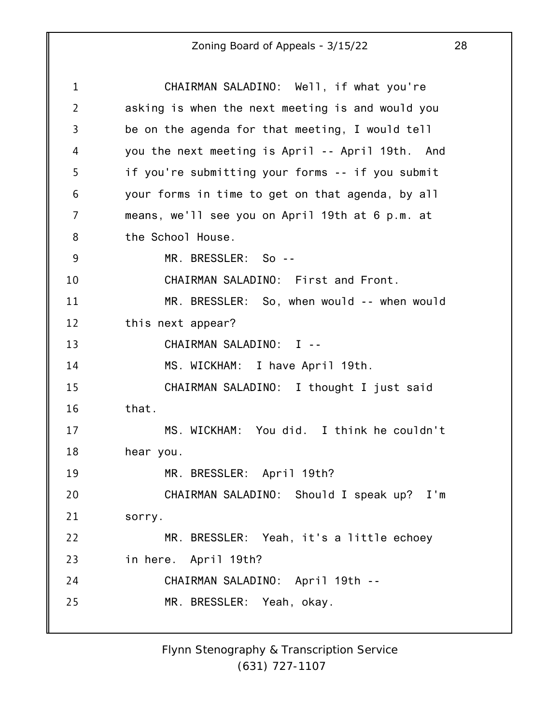| $\mathbf 1$    | CHAIRMAN SALADINO: Well, if what you're          |
|----------------|--------------------------------------------------|
| $\overline{2}$ | asking is when the next meeting is and would you |
| 3              | be on the agenda for that meeting, I would tell  |
| 4              | you the next meeting is April -- April 19th. And |
| 5              | if you're submitting your forms -- if you submit |
| 6              | your forms in time to get on that agenda, by all |
| 7              | means, we'll see you on April 19th at 6 p.m. at  |
| 8              | the School House.                                |
| 9              | MR. BRESSLER: So --                              |
| 10             | CHAIRMAN SALADINO: First and Front.              |
| 11             | MR. BRESSLER: So, when would -- when would       |
| 12             | this next appear?                                |
| 13             | CHAIRMAN SALADINO: I --                          |
| 14             | MS. WICKHAM: I have April 19th.                  |
| 15             | CHAIRMAN SALADINO: I thought I just said         |
| 16             | that.                                            |
| 17             | MS. WICKHAM: You did. I think he couldn't        |
| 18             | hear you.                                        |
| 19             | MR. BRESSLER: April 19th?                        |
| 20             | CHAIRMAN SALADINO: Should I speak up? I'm        |
| 21             | sorry.                                           |
| 22             | MR. BRESSLER: Yeah, it's a little echoey         |
| 23             | in here. April 19th?                             |
| 24             | CHAIRMAN SALADINO: April 19th --                 |
| 25             | MR. BRESSLER: Yeah, okay.                        |
|                |                                                  |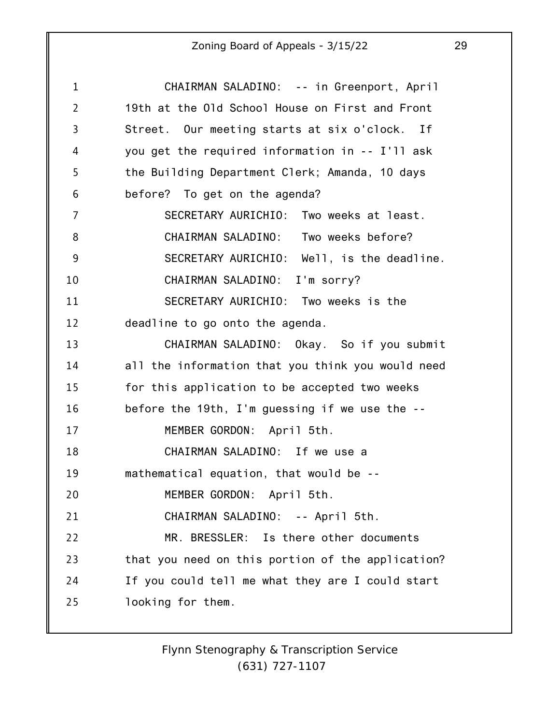| 1              | CHAIRMAN SALADINO: -- in Greenport, April         |
|----------------|---------------------------------------------------|
| $\overline{2}$ | 19th at the Old School House on First and Front   |
| 3              | Street. Our meeting starts at six o'clock. If     |
| 4              | you get the required information in -- I'll ask   |
| 5              | the Building Department Clerk; Amanda, 10 days    |
| 6              | before? To get on the agenda?                     |
| 7              | SECRETARY AURICHIO: Two weeks at least.           |
| 8              | CHAIRMAN SALADINO: Two weeks before?              |
| 9              | SECRETARY AURICHIO: Well, is the deadline.        |
| 10             | CHAIRMAN SALADINO: I'm sorry?                     |
| 11             | SECRETARY AURICHIO: Two weeks is the              |
| 12             | deadline to go onto the agenda.                   |
| 13             | CHAIRMAN SALADINO: Okay. So if you submit         |
| 14             | all the information that you think you would need |
| 15             | for this application to be accepted two weeks     |
| 16             | before the 19th, I'm guessing if we use the --    |
| 17             | MEMBER GORDON: April 5th.                         |
| 18             | CHAIRMAN SALADINO: If we use a                    |
| 19             | mathematical equation, that would be --           |
| 20             | MEMBER GORDON: April 5th.                         |
| 21             | CHAIRMAN SALADINO: -- April 5th.                  |
| 22             | MR. BRESSLER: Is there other documents            |
| 23             | that you need on this portion of the application? |
| 24             | If you could tell me what they are I could start  |
| 25             | looking for them.                                 |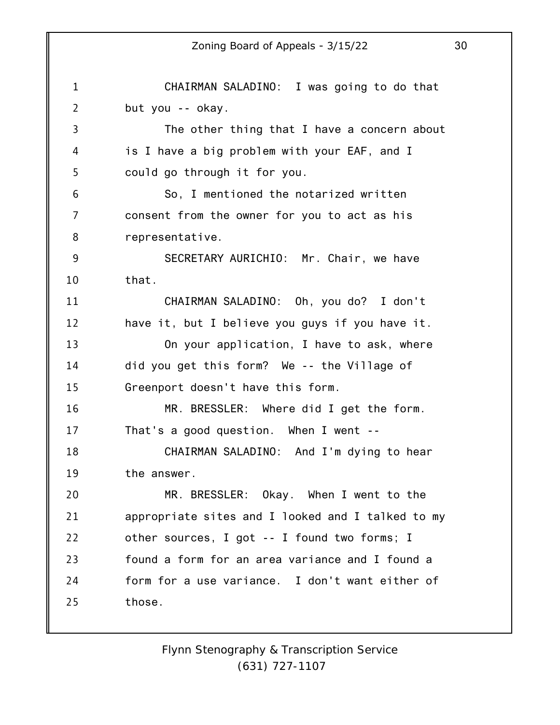1 2 3 4 5 6 7 8 9 10 11 12 13 14 15 16 17 18 19 20 21 22 23 24 25 Zoning Board of Appeals - 3/15/22 30 CHAIRMAN SALADINO: I was going to do that but you -- okay. The other thing that I have a concern about is I have a big problem with your EAF, and I could go through it for you. So, I mentioned the notarized written consent from the owner for you to act as his representative. SECRETARY AURICHIO: Mr. Chair, we have that. CHAIRMAN SALADINO: Oh, you do? I don't have it, but I believe you guys if you have it. On your application, I have to ask, where did you get this form? We -- the Village of Greenport doesn't have this form. MR. BRESSLER: Where did I get the form. That's a good question. When I went -- CHAIRMAN SALADINO: And I'm dying to hear the answer. MR. BRESSLER: Okay. When I went to the appropriate sites and I looked and I talked to my other sources, I got -- I found two forms; I found a form for an area variance and I found a form for a use variance. I don't want either of those.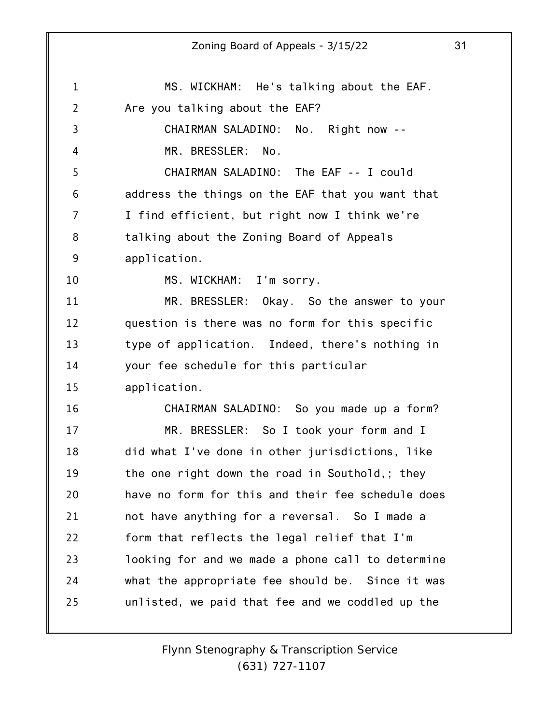1 2 3 4 5 6 7 8 9 10 11 12 13 14 15 16 17 18 19 20 21 22 23 24 25 MS. WICKHAM: He's talking about the EAF. Are you talking about the EAF? CHAIRMAN SALADINO: No. Right now -- MR. BRESSLER: No. CHAIRMAN SALADINO: The EAF -- I could address the things on the EAF that you want that I find efficient, but right now I think we're talking about the Zoning Board of Appeals application. MS. WICKHAM: I'm sorry. MR. BRESSLER: Okay. So the answer to your question is there was no form for this specific type of application. Indeed, there's nothing in your fee schedule for this particular application. CHAIRMAN SALADINO: So you made up a form? MR. BRESSLER: So I took your form and I did what I've done in other jurisdictions, like the one right down the road in Southold,; they have no form for this and their fee schedule does not have anything for a reversal. So I made a form that reflects the legal relief that I'm looking for and we made a phone call to determine what the appropriate fee should be. Since it was unlisted, we paid that fee and we coddled up the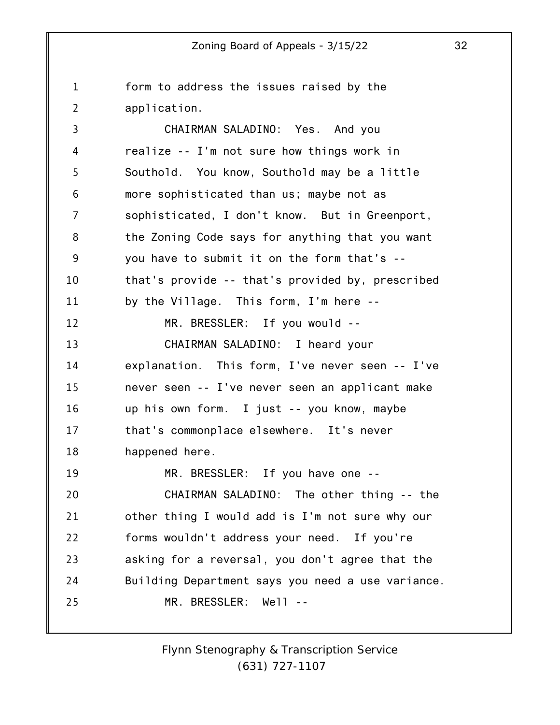1 2 3 4 5 6 7 8 9 10 11 12 13 14 15 16 17 18 19 20 21 22 23 24 25 form to address the issues raised by the application. CHAIRMAN SALADINO: Yes. And you realize -- I'm not sure how things work in Southold. You know, Southold may be a little more sophisticated than us; maybe not as sophisticated, I don't know. But in Greenport, the Zoning Code says for anything that you want you have to submit it on the form that's - that's provide -- that's provided by, prescribed by the Village. This form, I'm here -- MR. BRESSLER: If you would -- CHAIRMAN SALADINO: I heard your explanation. This form, I've never seen -- I've never seen -- I've never seen an applicant make up his own form. I just -- you know, maybe that's commonplace elsewhere. It's never happened here. MR. BRESSLER: If you have one -- CHAIRMAN SALADINO: The other thing -- the other thing I would add is I'm not sure why our forms wouldn't address your need. If you're asking for a reversal, you don't agree that the Building Department says you need a use variance. MR. BRESSLER: Well --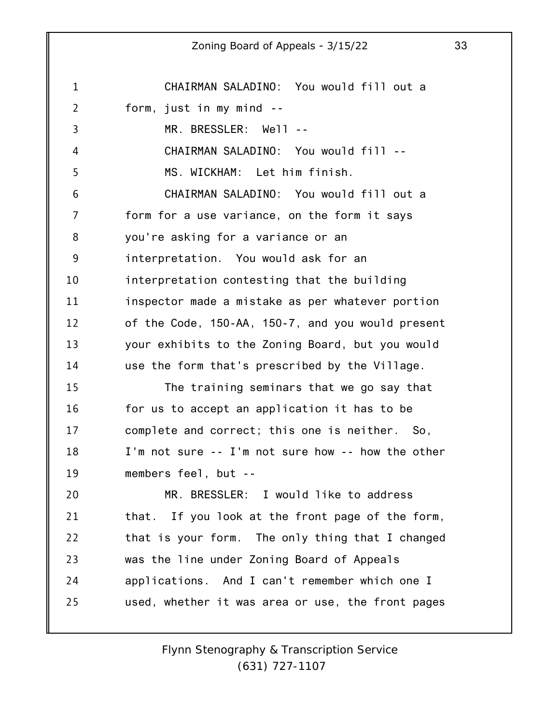1 2 3 4 5 6 7 8 9 10 11 12 13 14 15 16 17 18 19 20 21 22 23 24 25 Zoning Board of Appeals - 3/15/22 33 CHAIRMAN SALADINO: You would fill out a form, just in my mind -- MR. BRESSLER: Well -- CHAIRMAN SALADINO: You would fill -- MS. WICKHAM: Let him finish. CHAIRMAN SALADINO: You would fill out a form for a use variance, on the form it says you're asking for a variance or an interpretation. You would ask for an interpretation contesting that the building inspector made a mistake as per whatever portion of the Code, 150-AA, 150-7, and you would present your exhibits to the Zoning Board, but you would use the form that's prescribed by the Village. The training seminars that we go say that for us to accept an application it has to be complete and correct; this one is neither. So, I'm not sure -- I'm not sure how -- how the other members feel, but -- MR. BRESSLER: I would like to address that. If you look at the front page of the form, that is your form. The only thing that I changed was the line under Zoning Board of Appeals applications. And I can't remember which one I used, whether it was area or use, the front pages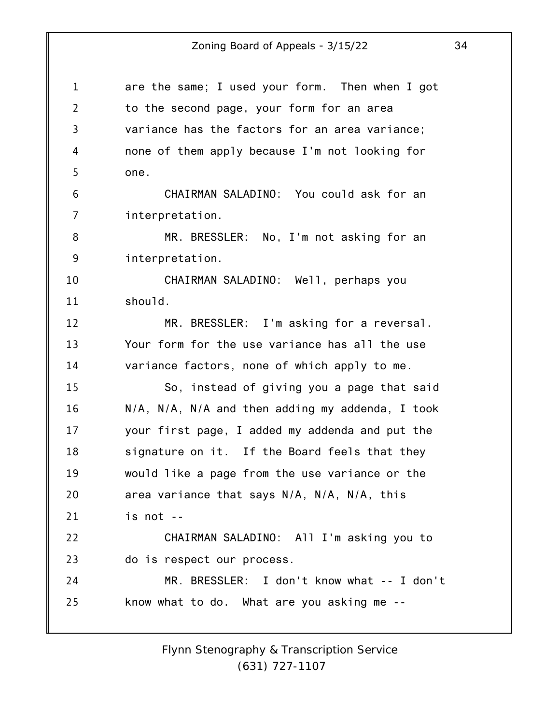| $\mathbf 1$    | are the same; I used your form. Then when I got  |
|----------------|--------------------------------------------------|
| $\overline{2}$ | to the second page, your form for an area        |
| 3              | variance has the factors for an area variance;   |
| 4              | none of them apply because I'm not looking for   |
| 5              | one.                                             |
| 6              | CHAIRMAN SALADINO: You could ask for an          |
| 7              | interpretation.                                  |
| 8              | MR. BRESSLER: No, I'm not asking for an          |
| 9              | interpretation.                                  |
| 10             | CHAIRMAN SALADINO: Well, perhaps you             |
| 11             | should.                                          |
| 12             | MR. BRESSLER: I'm asking for a reversal.         |
| 13             | Your form for the use variance has all the use   |
| 14             | variance factors, none of which apply to me.     |
| 15             | So, instead of giving you a page that said       |
| 16             | N/A, N/A, N/A and then adding my addenda, I took |
| 17             | your first page, I added my addenda and put the  |
| 18             | signature on it. If the Board feels that they    |
| 19             | would like a page from the use variance or the   |
| 20             | area variance that says N/A, N/A, N/A, this      |
| 21             | is not --                                        |
| 22             | CHAIRMAN SALADINO: All I'm asking you to         |
| 23             | do is respect our process.                       |
| 24             | MR. BRESSLER: I don't know what -- I don't       |
| 25             | know what to do. What are you asking me --       |
|                |                                                  |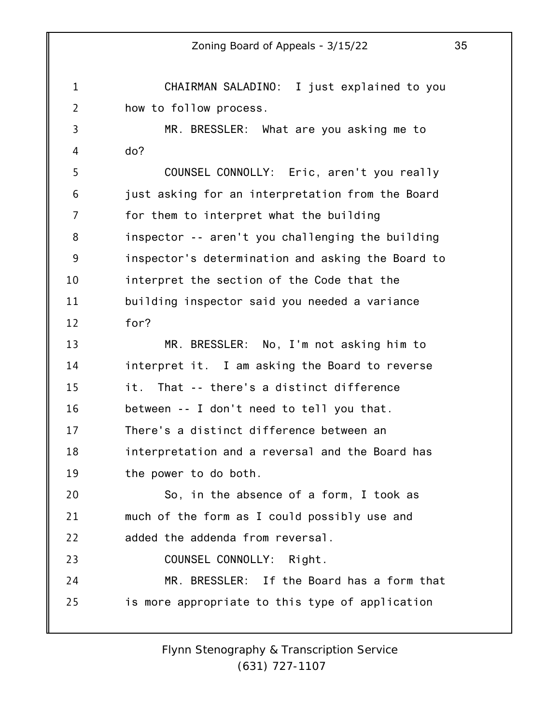1 2 3 4 5 6 7 8 9 10 11 12 13 14 15 16 17 18 19 20 21 22 23 24 25 Zoning Board of Appeals - 3/15/22 35 CHAIRMAN SALADINO: I just explained to you how to follow process. MR. BRESSLER: What are you asking me to do? COUNSEL CONNOLLY: Eric, aren't you really just asking for an interpretation from the Board for them to interpret what the building inspector -- aren't you challenging the building inspector's determination and asking the Board to interpret the section of the Code that the building inspector said you needed a variance for? MR. BRESSLER: No, I'm not asking him to interpret it. I am asking the Board to reverse it. That -- there's a distinct difference between -- I don't need to tell you that. There's a distinct difference between an interpretation and a reversal and the Board has the power to do both. So, in the absence of a form, I took as much of the form as I could possibly use and added the addenda from reversal. COUNSEL CONNOLLY: Right. MR. BRESSLER: If the Board has a form that is more appropriate to this type of application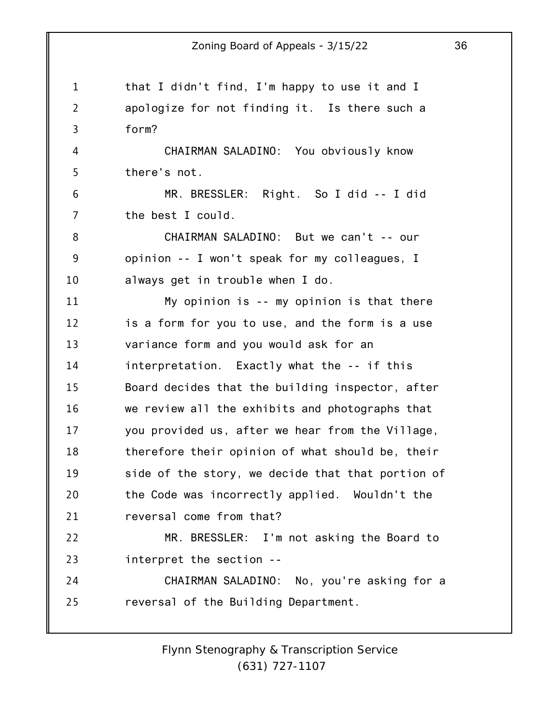1 2 3 4 5 6 7 8 9 10 11 12 13 14 15 16 17 18 19 20 21 22 23 24 25 that I didn't find, I'm happy to use it and I apologize for not finding it. Is there such a form? CHAIRMAN SALADINO: You obviously know there's not. MR. BRESSLER: Right. So I did -- I did the best I could. CHAIRMAN SALADINO: But we can't -- our opinion -- I won't speak for my colleagues, I always get in trouble when I do. My opinion is -- my opinion is that there is a form for you to use, and the form is a use variance form and you would ask for an interpretation. Exactly what the -- if this Board decides that the building inspector, after we review all the exhibits and photographs that you provided us, after we hear from the Village, therefore their opinion of what should be, their side of the story, we decide that that portion of the Code was incorrectly applied. Wouldn't the reversal come from that? MR. BRESSLER: I'm not asking the Board to interpret the section -- CHAIRMAN SALADINO: No, you're asking for a reversal of the Building Department.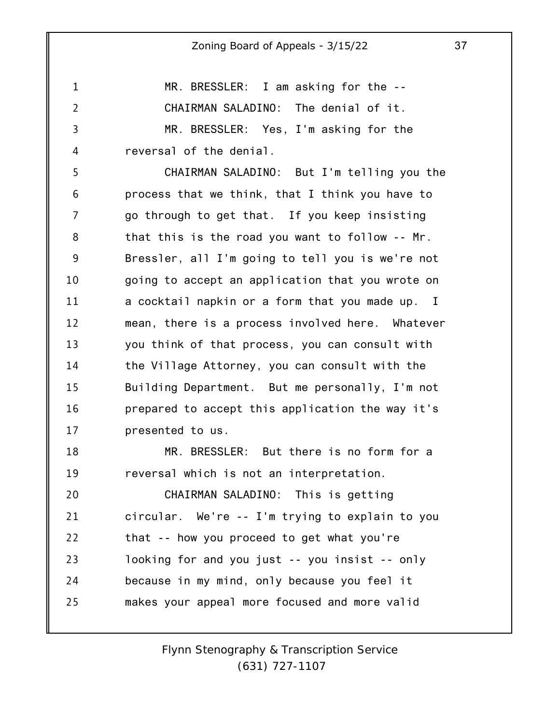1 2 3 MR. BRESSLER: I am asking for the -- CHAIRMAN SALADINO: The denial of it. MR. BRESSLER: Yes, I'm asking for the

4 reversal of the denial.

5 6 7 8 9 10 11 12 13 14 15 16 17 CHAIRMAN SALADINO: But I'm telling you the process that we think, that I think you have to go through to get that. If you keep insisting that this is the road you want to follow -- Mr. Bressler, all I'm going to tell you is we're not going to accept an application that you wrote on a cocktail napkin or a form that you made up. I mean, there is a process involved here. Whatever you think of that process, you can consult with the Village Attorney, you can consult with the Building Department. But me personally, I'm not prepared to accept this application the way it's presented to us.

18 19 MR. BRESSLER: But there is no form for a reversal which is not an interpretation.

20 21 22 23 24 25 CHAIRMAN SALADINO: This is getting circular. We're -- I'm trying to explain to you that -- how you proceed to get what you're looking for and you just -- you insist -- only because in my mind, only because you feel it makes your appeal more focused and more valid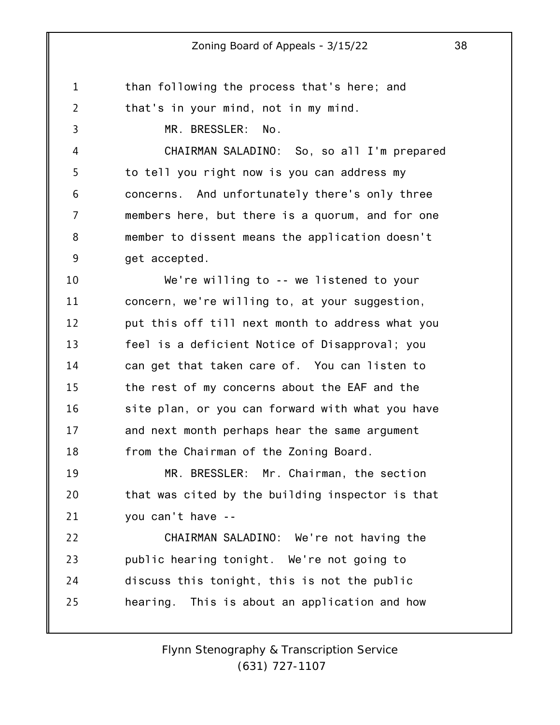1 2 3 4 5 6 7 8 9 10 11 12 13 14 15 16 17 18 19 20 21 22 23 24 than following the process that's here; and that's in your mind, not in my mind. MR. BRESSLER: No. CHAIRMAN SALADINO: So, so all I'm prepared to tell you right now is you can address my concerns. And unfortunately there's only three members here, but there is a quorum, and for one member to dissent means the application doesn't get accepted. We're willing to -- we listened to your concern, we're willing to, at your suggestion, put this off till next month to address what you feel is a deficient Notice of Disapproval; you can get that taken care of. You can listen to the rest of my concerns about the EAF and the site plan, or you can forward with what you have and next month perhaps hear the same argument from the Chairman of the Zoning Board. MR. BRESSLER: Mr. Chairman, the section that was cited by the building inspector is that you can't have -- CHAIRMAN SALADINO: We're not having the public hearing tonight. We're not going to discuss this tonight, this is not the public

25 hearing. This is about an application and how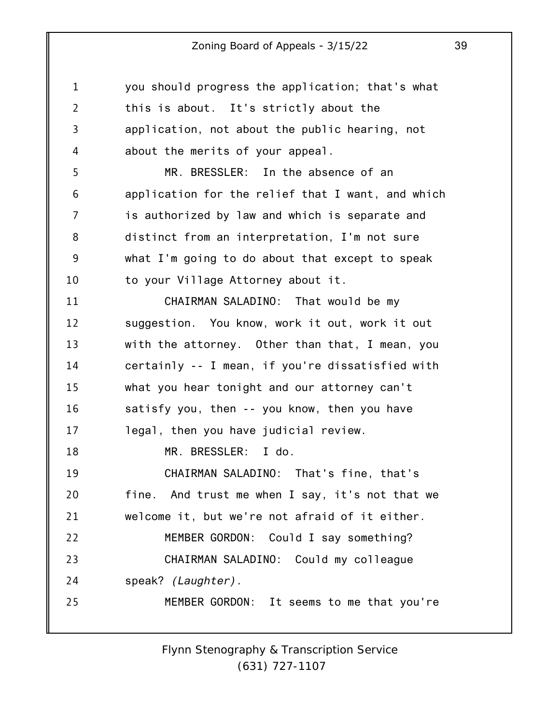| $\mathbf{1}$   | you should progress the application; that's what  |
|----------------|---------------------------------------------------|
| $\overline{2}$ | this is about. It's strictly about the            |
| 3              | application, not about the public hearing, not    |
| 4              | about the merits of your appeal.                  |
| 5              | MR. BRESSLER: In the absence of an                |
| 6              | application for the relief that I want, and which |
| 7              | is authorized by law and which is separate and    |
| 8              | distinct from an interpretation, I'm not sure     |
| 9              | what I'm going to do about that except to speak   |
| 10             | to your Village Attorney about it.                |
| 11             | CHAIRMAN SALADINO: That would be my               |
| 12             | suggestion. You know, work it out, work it out    |
| 13             | with the attorney. Other than that, I mean, you   |
| 14             | certainly -- I mean, if you're dissatisfied with  |
| 15             | what you hear tonight and our attorney can't      |
| 16             | satisfy you, then -- you know, then you have      |
| 17             | legal, then you have judicial review.             |
| 18             | MR. BRESSLER: I do.                               |
| 19             | CHAIRMAN SALADINO: That's fine, that's            |
| 20             | fine. And trust me when I say, it's not that we   |
| 21             | welcome it, but we're not afraid of it either.    |
| 22             | MEMBER GORDON: Could I say something?             |
| 23             | CHAIRMAN SALADINO: Could my colleague             |
| 24             | speak? (Laughter).                                |
| 25             | MEMBER GORDON: It seems to me that you're         |
|                |                                                   |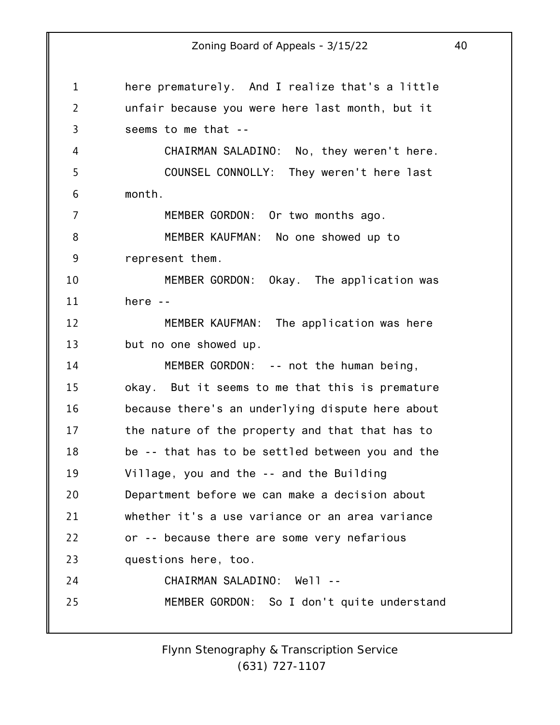| 1              | here prematurely. And I realize that's a little  |
|----------------|--------------------------------------------------|
| $\overline{2}$ | unfair because you were here last month, but it  |
| 3              | seems to me that --                              |
| 4              | CHAIRMAN SALADINO: No, they weren't here.        |
| 5              | COUNSEL CONNOLLY: They weren't here last         |
| 6              | month.                                           |
| 7              | MEMBER GORDON: Or two months ago.                |
| 8              | MEMBER KAUFMAN: No one showed up to              |
| 9              | represent them.                                  |
| 10             | MEMBER GORDON: Okay. The application was         |
| 11             | here $-$                                         |
| 12             | MEMBER KAUFMAN: The application was here         |
| 13             | but no one showed up.                            |
| 14             | MEMBER GORDON: -- not the human being,           |
| 15             | okay. But it seems to me that this is premature  |
| 16             | because there's an underlying dispute here about |
| 17             | the nature of the property and that that has to  |
| 18             | be -- that has to be settled between you and the |
| 19             | Village, you and the -- and the Building         |
| 20             | Department before we can make a decision about   |
| 21             | whether it's a use variance or an area variance  |
| 22             | or -- because there are some very nefarious      |
| 23             | questions here, too.                             |
| 24             | CHAIRMAN SALADINO: Well --                       |
| 25             | MEMBER GORDON: So I don't quite understand       |
|                |                                                  |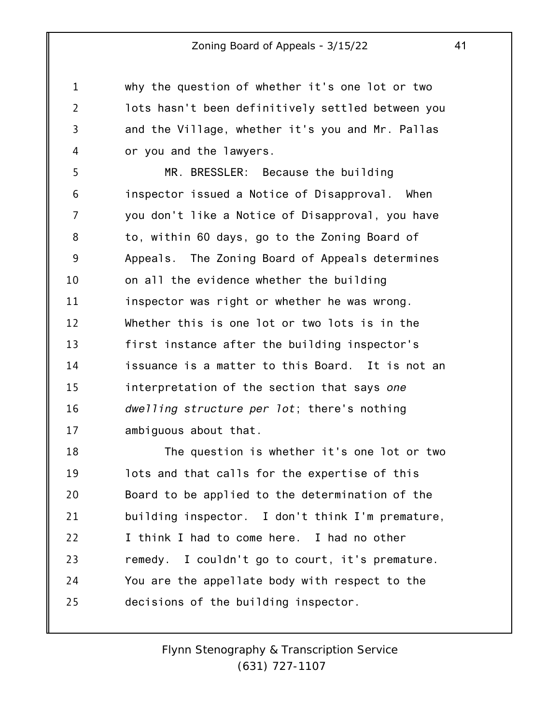why the question of whether it's one lot or two lots hasn't been definitively settled between you and the Village, whether it's you and Mr. Pallas or you and the lawyers.

1

2

3

4

5 6 7 8 9 10 11 12 13 14 15 16 17 MR. BRESSLER: Because the building inspector issued a Notice of Disapproval. When you don't like a Notice of Disapproval, you have to, within 60 days, go to the Zoning Board of Appeals. The Zoning Board of Appeals determines on all the evidence whether the building inspector was right or whether he was wrong. Whether this is one lot or two lots is in the first instance after the building inspector's issuance is a matter to this Board. It is not an interpretation of the section that says *one dwelling structure per lot*; there's nothing ambiguous about that.

18 19 20 21 22 23 24 25 The question is whether it's one lot or two lots and that calls for the expertise of this Board to be applied to the determination of the building inspector. I don't think I'm premature, I think I had to come here. I had no other remedy. I couldn't go to court, it's premature. You are the appellate body with respect to the decisions of the building inspector.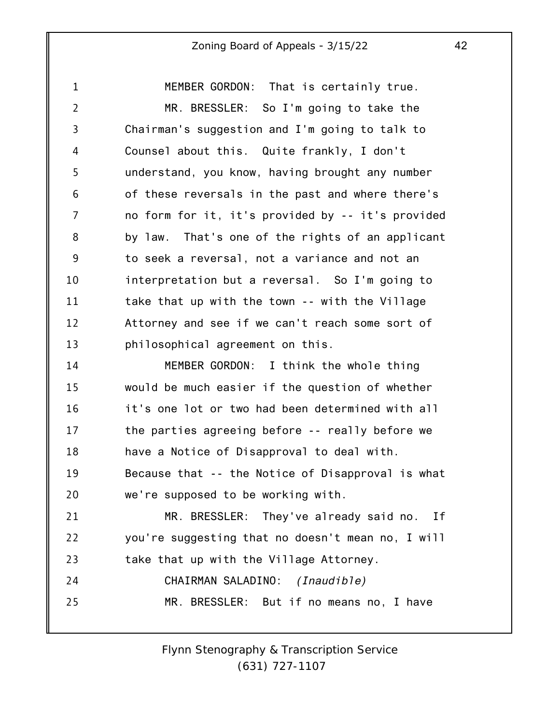1 2 3 4 5 6 7 8 9 10 11 12 13 14 MEMBER GORDON: That is certainly true. MR. BRESSLER: So I'm going to take the Chairman's suggestion and I'm going to talk to Counsel about this. Quite frankly, I don't understand, you know, having brought any number of these reversals in the past and where there's no form for it, it's provided by -- it's provided by law. That's one of the rights of an applicant to seek a reversal, not a variance and not an interpretation but a reversal. So I'm going to take that up with the town -- with the Village Attorney and see if we can't reach some sort of philosophical agreement on this. MEMBER GORDON: I think the whole thing

15 16 17 18 19 20 21 22 23 24 25 would be much easier if the question of whether it's one lot or two had been determined with all the parties agreeing before -- really before we have a Notice of Disapproval to deal with. Because that -- the Notice of Disapproval is what we're supposed to be working with. MR. BRESSLER: They've already said no. If you're suggesting that no doesn't mean no, I will take that up with the Village Attorney. CHAIRMAN SALADINO: *(Inaudible)* MR. BRESSLER: But if no means no, I have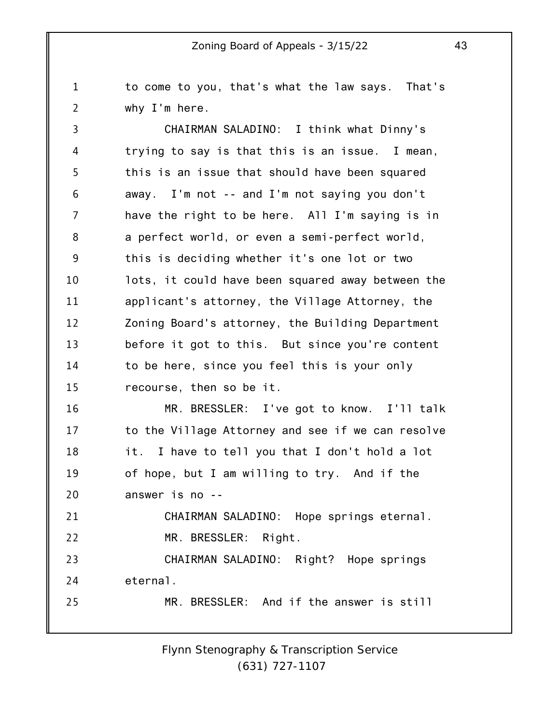to come to you, that's what the law says. That's why I'm here.

1

2

3 4 5 6 7 8 9 10 11 12 13 14 15 CHAIRMAN SALADINO: I think what Dinny's trying to say is that this is an issue. I mean, this is an issue that should have been squared away. I'm not -- and I'm not saying you don't have the right to be here. All I'm saying is in a perfect world, or even a semi-perfect world, this is deciding whether it's one lot or two lots, it could have been squared away between the applicant's attorney, the Village Attorney, the Zoning Board's attorney, the Building Department before it got to this. But since you're content to be here, since you feel this is your only recourse, then so be it.

16 17 18 19 20 MR. BRESSLER: I've got to know. I'll talk to the Village Attorney and see if we can resolve it. I have to tell you that I don't hold a lot of hope, but I am willing to try. And if the answer is no --

21 22 CHAIRMAN SALADINO: Hope springs eternal. MR. BRESSLER: Right.

23 24 CHAIRMAN SALADINO: Right? Hope springs eternal.

25 MR. BRESSLER: And if the answer is still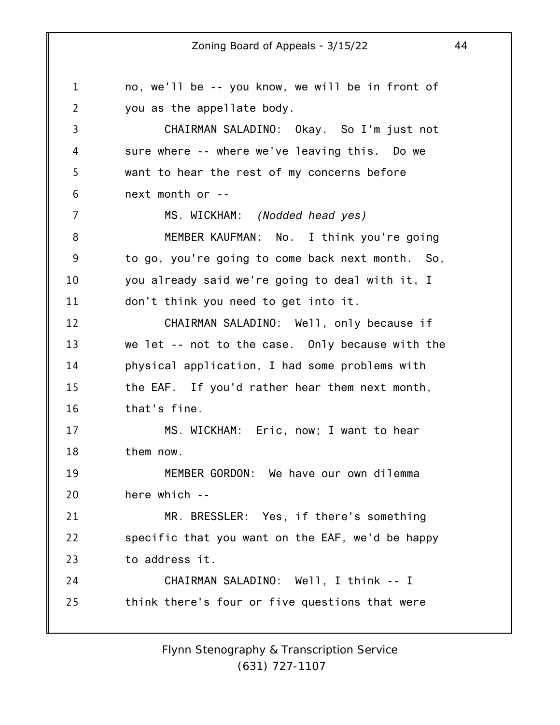1 2 3 4 5 6 7 8 9 10 11 12 13 14 15 16 17 18 19 20 21 22 23 24 25 no, we'll be -- you know, we will be in front of you as the appellate body. CHAIRMAN SALADINO: Okay. So I'm just not sure where -- where we've leaving this. Do we want to hear the rest of my concerns before next month or -- MS. WICKHAM: *(Nodded head yes)* MEMBER KAUFMAN: No. I think you're going to go, you're going to come back next month. So, you already said we're going to deal with it, I don't think you need to get into it. CHAIRMAN SALADINO: Well, only because if we let -- not to the case. Only because with the physical application, I had some problems with the EAF. If you'd rather hear them next month, that's fine. MS. WICKHAM: Eric, now; I want to hear them now. MEMBER GORDON: We have our own dilemma here which -- MR. BRESSLER: Yes, if there's something specific that you want on the EAF, we'd be happy to address it. CHAIRMAN SALADINO: Well, I think -- I think there's four or five questions that were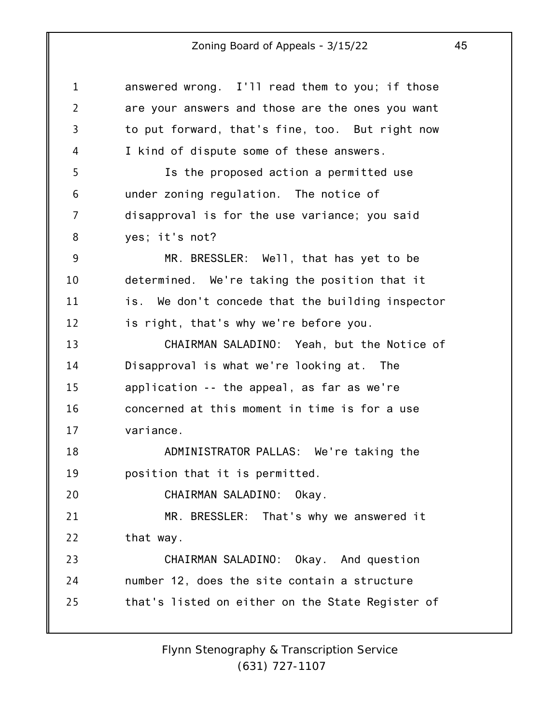1 2 3 4 5 6 7 8 9 10 11 12 13 14 15 16 17 18 19 20 21 22 23 24 25 answered wrong. I'll read them to you; if those are your answers and those are the ones you want to put forward, that's fine, too. But right now I kind of dispute some of these answers. Is the proposed action a permitted use under zoning regulation. The notice of disapproval is for the use variance; you said yes; it's not? MR. BRESSLER: Well, that has yet to be determined. We're taking the position that it is. We don't concede that the building inspector is right, that's why we're before you. CHAIRMAN SALADINO: Yeah, but the Notice of Disapproval is what we're looking at. The application -- the appeal, as far as we're concerned at this moment in time is for a use variance. ADMINISTRATOR PALLAS: We're taking the position that it is permitted. CHAIRMAN SALADINO: Okay. MR. BRESSLER: That's why we answered it that way. CHAIRMAN SALADINO: Okay. And question number 12, does the site contain a structure that's listed on either on the State Register of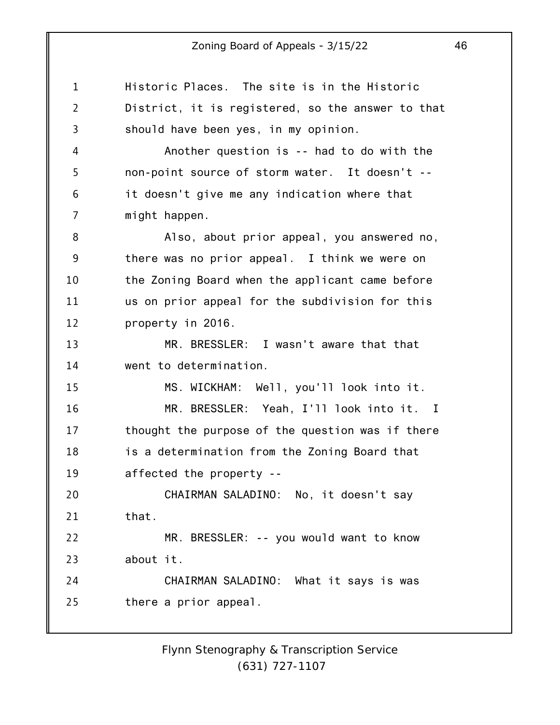| 1              | Historic Places. The site is in the Historic      |
|----------------|---------------------------------------------------|
| $\overline{2}$ | District, it is registered, so the answer to that |
| 3              | should have been yes, in my opinion.              |
| 4              | Another question is -- had to do with the         |
| 5              | non-point source of storm water. It doesn't --    |
| 6              | it doesn't give me any indication where that      |
| 7              | might happen.                                     |
| 8              | Also, about prior appeal, you answered no,        |
| 9              | there was no prior appeal. I think we were on     |
| 10             | the Zoning Board when the applicant came before   |
| 11             | us on prior appeal for the subdivision for this   |
| 12             | property in 2016.                                 |
| 13             | MR. BRESSLER: I wasn't aware that that            |
| 14             | went to determination.                            |
| 15             | MS. WICKHAM: Well, you'll look into it.           |
| 16             | MR. BRESSLER: Yeah, I'll look into it. I          |
| 17             | thought the purpose of the question was if there  |
| 18             | is a determination from the Zoning Board that     |
| 19             | affected the property --                          |
| 20             | CHAIRMAN SALADINO: No, it doesn't say             |
| 21             | that.                                             |
| 22             | MR. BRESSLER: -- you would want to know           |
| 23             | about it.                                         |
| 24             | CHAIRMAN SALADINO: What it says is was            |
| 25             | there a prior appeal.                             |
|                |                                                   |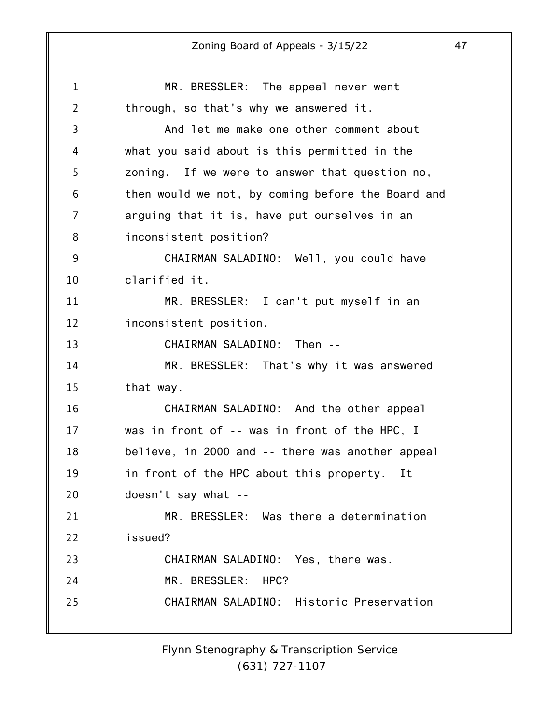1 2 3 4 5 6 7 8 9 10 11 12 13 14 15 16 17 18 19 20 21 22 23 24 25 MR. BRESSLER: The appeal never went through, so that's why we answered it. And let me make one other comment about what you said about is this permitted in the zoning. If we were to answer that question no, then would we not, by coming before the Board and arguing that it is, have put ourselves in an inconsistent position? CHAIRMAN SALADINO: Well, you could have clarified it. MR. BRESSLER: I can't put myself in an inconsistent position. CHAIRMAN SALADINO: Then -- MR. BRESSLER: That's why it was answered that way. CHAIRMAN SALADINO: And the other appeal was in front of -- was in front of the HPC, I believe, in 2000 and -- there was another appeal in front of the HPC about this property. It doesn't say what -- MR. BRESSLER: Was there a determination issued? CHAIRMAN SALADINO: Yes, there was. MR. BRESSLER: HPC? CHAIRMAN SALADINO: Historic Preservation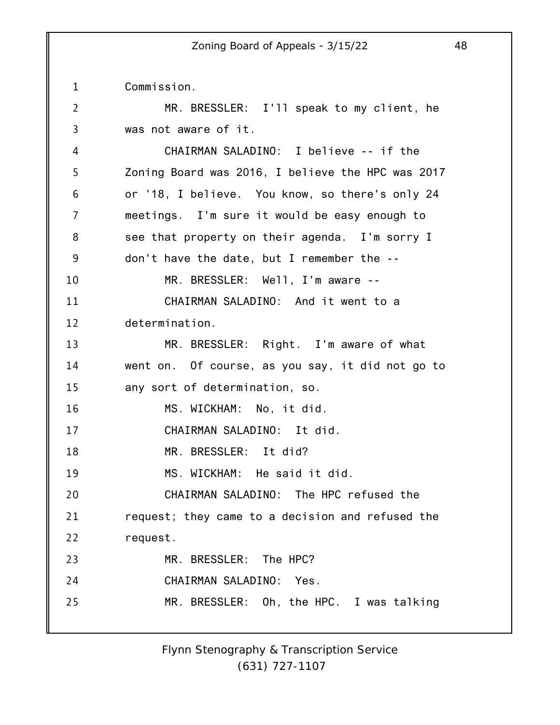1 Commission.

| $\overline{2}$ | MR. BRESSLER: I'll speak to my client, he         |
|----------------|---------------------------------------------------|
| 3              | was not aware of it.                              |
| 4              | CHAIRMAN SALADINO: I believe -- if the            |
| 5              | Zoning Board was 2016, I believe the HPC was 2017 |
| 6              | or '18, I believe. You know, so there's only 24   |
| 7              | meetings. I'm sure it would be easy enough to     |
| 8              | see that property on their agenda. I'm sorry I    |
| 9              | don't have the date, but I remember the --        |
| 10             | MR. BRESSLER: Well, I'm aware --                  |
| 11             | CHAIRMAN SALADINO: And it went to a               |
| 12             | determination.                                    |
| 13             | MR. BRESSLER: Right. I'm aware of what            |
| 14             | went on. Of course, as you say, it did not go to  |
| 15             | any sort of determination, so.                    |
| 16             | MS. WICKHAM: No, it did.                          |
| 17             | CHAIRMAN SALADINO: It did.                        |
| 18             | MR. BRESSLER: It did?                             |
| 19             | MS. WICKHAM: He said it did.                      |
| 20             | CHAIRMAN SALADINO: The HPC refused the            |
| 21             | request; they came to a decision and refused the  |
| 22             | request.                                          |
| 23             | MR. BRESSLER: The HPC?                            |
| 24             | CHAIRMAN SALADINO: Yes.                           |
| 25             | MR. BRESSLER: Oh, the HPC. I was talking          |
|                |                                                   |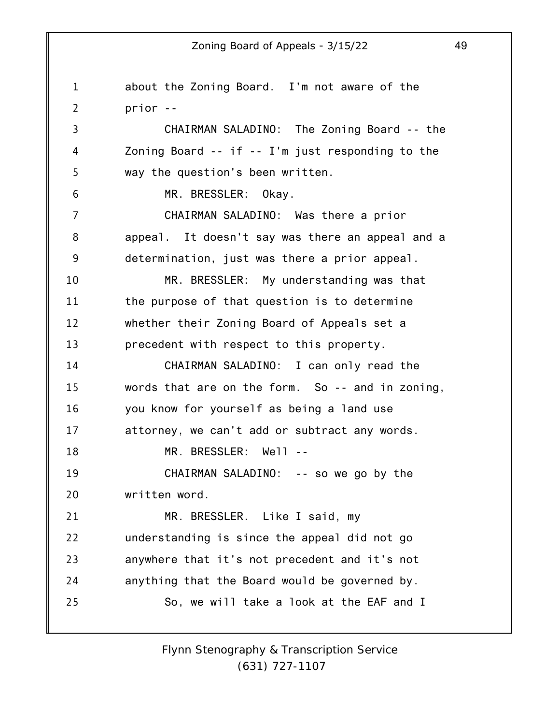1 2 3 4 5 6 7 8 9 10 11 12 13 14 15 16 17 18 19 20 21 22 23 24 25 about the Zoning Board. I'm not aware of the prior -- CHAIRMAN SALADINO: The Zoning Board -- the Zoning Board -- if -- I'm just responding to the way the question's been written. MR. BRESSLER: Okay. CHAIRMAN SALADINO: Was there a prior appeal. It doesn't say was there an appeal and a determination, just was there a prior appeal. MR. BRESSLER: My understanding was that the purpose of that question is to determine whether their Zoning Board of Appeals set a precedent with respect to this property. CHAIRMAN SALADINO: I can only read the words that are on the form. So -- and in zoning, you know for yourself as being a land use attorney, we can't add or subtract any words. MR. BRESSLER: Well -- CHAIRMAN SALADINO: -- so we go by the written word. MR. BRESSLER. Like I said, my understanding is since the appeal did not go anywhere that it's not precedent and it's not anything that the Board would be governed by. So, we will take a look at the EAF and I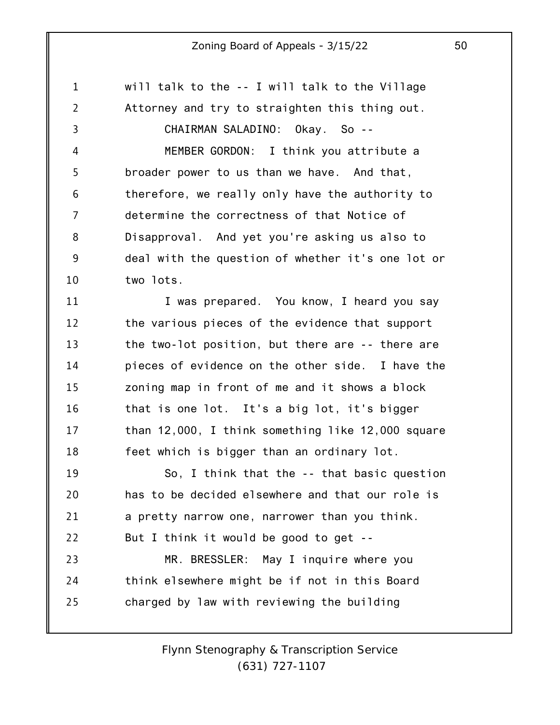will talk to the -- I will talk to the Village

1

2 3 4 5 6 7 8 9 10 11 12 13 14 15 16 17 18 19 20 21 22 23 24 25 Attorney and try to straighten this thing out. CHAIRMAN SALADINO: Okay. So -- MEMBER GORDON: I think you attribute a broader power to us than we have. And that, therefore, we really only have the authority to determine the correctness of that Notice of Disapproval. And yet you're asking us also to deal with the question of whether it's one lot or two lots. I was prepared. You know, I heard you say the various pieces of the evidence that support the two-lot position, but there are -- there are pieces of evidence on the other side. I have the zoning map in front of me and it shows a block that is one lot. It's a big lot, it's bigger than 12,000, I think something like 12,000 square feet which is bigger than an ordinary lot. So, I think that the -- that basic question has to be decided elsewhere and that our role is a pretty narrow one, narrower than you think. But I think it would be good to get -- MR. BRESSLER: May I inquire where you think elsewhere might be if not in this Board charged by law with reviewing the building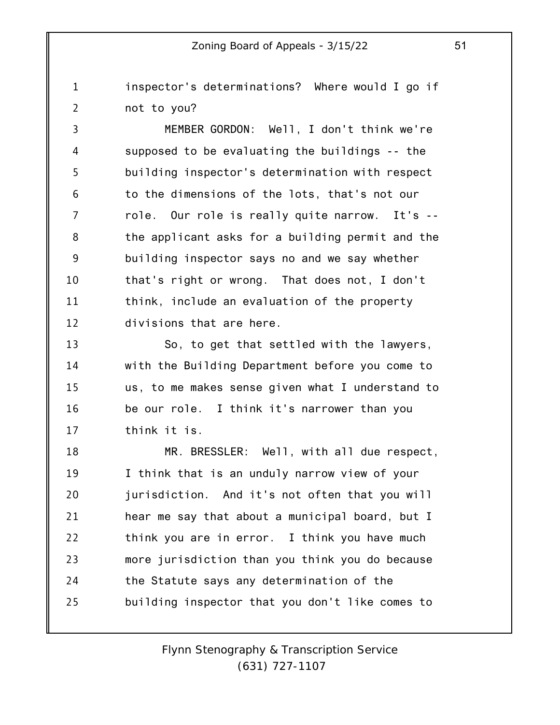1 2 inspector's determinations? Where would I go if not to you?

3 4 5 6 7 8 9 10 11 12 MEMBER GORDON: Well, I don't think we're supposed to be evaluating the buildings -- the building inspector's determination with respect to the dimensions of the lots, that's not our role. Our role is really quite narrow. It's - the applicant asks for a building permit and the building inspector says no and we say whether that's right or wrong. That does not, I don't think, include an evaluation of the property divisions that are here.

13 14 15 16 17 So, to get that settled with the lawyers, with the Building Department before you come to us, to me makes sense given what I understand to be our role. I think it's narrower than you think it is.

18 19 20 21 22 23 24 25 MR. BRESSLER: Well, with all due respect, I think that is an unduly narrow view of your jurisdiction. And it's not often that you will hear me say that about a municipal board, but I think you are in error. I think you have much more jurisdiction than you think you do because the Statute says any determination of the building inspector that you don't like comes to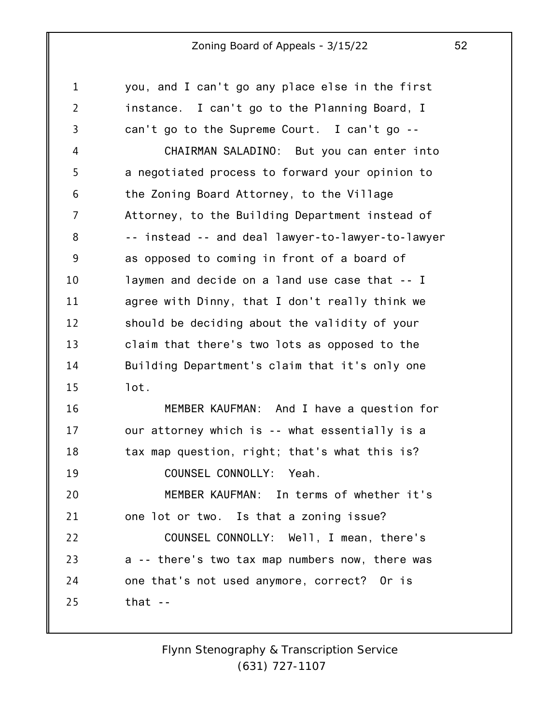| $\mathbf 1$    | you, and I can't go any place else in the first   |
|----------------|---------------------------------------------------|
| $\overline{2}$ | instance. I can't go to the Planning Board, I     |
| 3              | can't go to the Supreme Court. I can't go --      |
| 4              | CHAIRMAN SALADINO: But you can enter into         |
| 5              | a negotiated process to forward your opinion to   |
| 6              | the Zoning Board Attorney, to the Village         |
| $\overline{7}$ | Attorney, to the Building Department instead of   |
| 8              | -- instead -- and deal lawyer-to-lawyer-to-lawyer |
| 9              | as opposed to coming in front of a board of       |
| 10             | laymen and decide on a land use case that -- I    |
| 11             | agree with Dinny, that I don't really think we    |
| 12             | should be deciding about the validity of your     |
| 13             | claim that there's two lots as opposed to the     |
| 14             | Building Department's claim that it's only one    |
| 15             | lot.                                              |
| 16             | MEMBER KAUFMAN: And I have a question for         |
| 17             | our attorney which is -- what essentially is a    |
| 18             | tax map question, right; that's what this is?     |
| 19             | COUNSEL CONNOLLY: Yeah.                           |
| 20             | MEMBER KAUFMAN: In terms of whether it's          |
| 21             | one lot or two. Is that a zoning issue?           |
| 22             | COUNSEL CONNOLLY: Well, I mean, there's           |
| 23             | a -- there's two tax map numbers now, there was   |
| 24             | one that's not used anymore, correct? Or is       |
| 25             | that $-$                                          |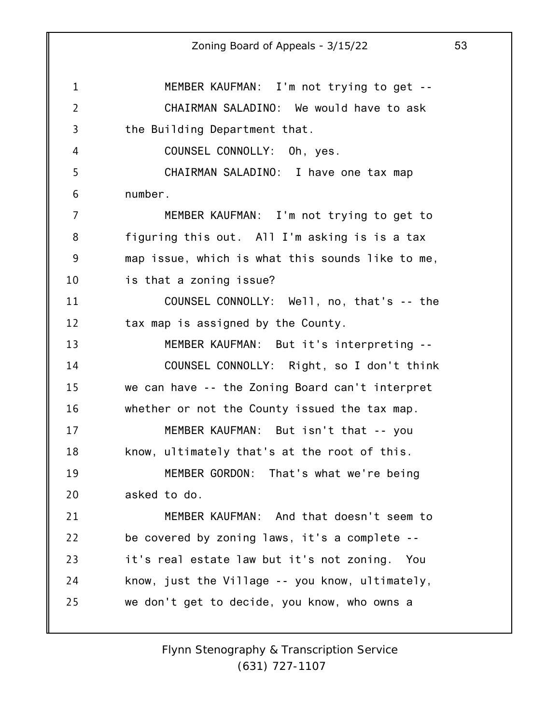1 2 3 4 5 6 7 8 9 10 11 12 13 14 15 16 17 18 19 20 21 22 23 24 25 MEMBER KAUFMAN: I'm not trying to get -- CHAIRMAN SALADINO: We would have to ask the Building Department that. COUNSEL CONNOLLY: Oh, yes. CHAIRMAN SALADINO: I have one tax map number. MEMBER KAUFMAN: I'm not trying to get to figuring this out. All I'm asking is is a tax map issue, which is what this sounds like to me, is that a zoning issue? COUNSEL CONNOLLY: Well, no, that's -- the tax map is assigned by the County. MEMBER KAUFMAN: But it's interpreting -- COUNSEL CONNOLLY: Right, so I don't think we can have -- the Zoning Board can't interpret whether or not the County issued the tax map. MEMBER KAUFMAN: But isn't that -- you know, ultimately that's at the root of this. MEMBER GORDON: That's what we're being asked to do. MEMBER KAUFMAN: And that doesn't seem to be covered by zoning laws, it's a complete - it's real estate law but it's not zoning. You know, just the Village -- you know, ultimately, we don't get to decide, you know, who owns a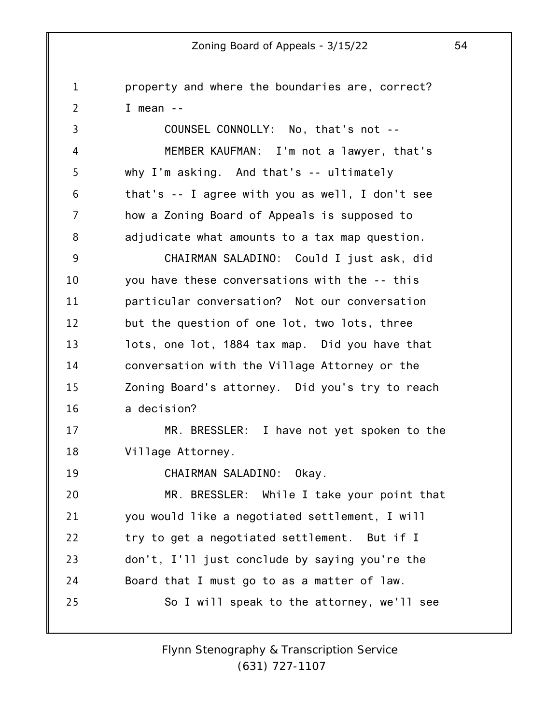1 2 3 4 5 6 7 8 9 10 11 12 13 14 15 16 17 18 19 20 21 22 23 24 25 property and where the boundaries are, correct? I mean -- COUNSEL CONNOLLY: No, that's not -- MEMBER KAUFMAN: I'm not a lawyer, that's why I'm asking. And that's -- ultimately that's -- I agree with you as well, I don't see how a Zoning Board of Appeals is supposed to adjudicate what amounts to a tax map question. CHAIRMAN SALADINO: Could I just ask, did you have these conversations with the -- this particular conversation? Not our conversation but the question of one lot, two lots, three lots, one lot, 1884 tax map. Did you have that conversation with the Village Attorney or the Zoning Board's attorney. Did you's try to reach a decision? MR. BRESSLER: I have not yet spoken to the Village Attorney. CHAIRMAN SALADINO: Okay. MR. BRESSLER: While I take your point that you would like a negotiated settlement, I will try to get a negotiated settlement. But if I don't, I'll just conclude by saying you're the Board that I must go to as a matter of law. So I will speak to the attorney, we'll see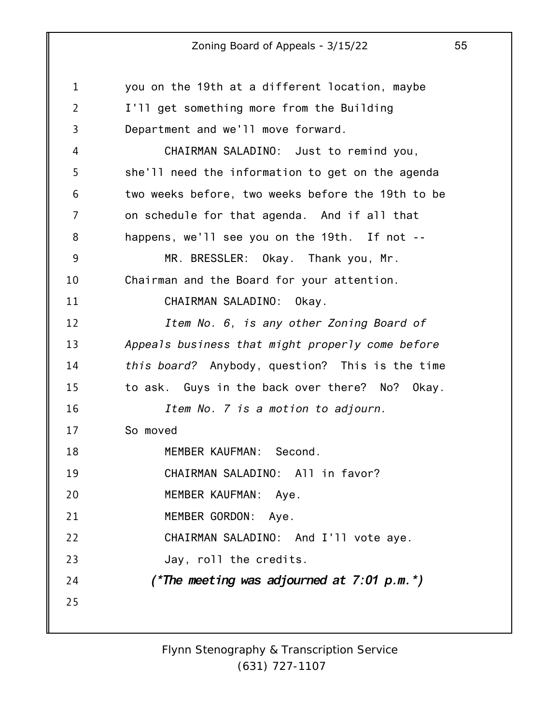| $\mathbf{1}$   | you on the 19th at a different location, maybe    |
|----------------|---------------------------------------------------|
| $\overline{2}$ | I'll get something more from the Building         |
| 3              | Department and we'll move forward.                |
| 4              | CHAIRMAN SALADINO: Just to remind you,            |
| 5              | she'll need the information to get on the agenda  |
| 6              | two weeks before, two weeks before the 19th to be |
| 7              | on schedule for that agenda. And if all that      |
| 8              | happens, we'll see you on the 19th. If not --     |
| 9              | MR. BRESSLER: Okay. Thank you, Mr.                |
| 10             | Chairman and the Board for your attention.        |
| 11             | CHAIRMAN SALADINO:<br>Okay.                       |
| 12             | Item No. 6, is any other Zoning Board of          |
| 13             | Appeals business that might properly come before  |
| 14             | this board? Anybody, question? This is the time   |
| 15             | to ask. Guys in the back over there? No? Okay.    |
| 16             | Item No. 7 is a motion to adjourn.                |
| 17             | So moved                                          |
| 18             | MEMBER KAUFMAN: Second.                           |
| 19             | CHAIRMAN SALADINO: All in favor?                  |
| 20             | MEMBER KAUFMAN: Aye.                              |
| 21             | MEMBER GORDON: Aye.                               |
| 22             | CHAIRMAN SALADINO: And I'll vote aye.             |
| 23             | Jay, roll the credits.                            |
| 24             | (*The meeting was adjourned at $7:01$ p.m.*)      |
| 25             |                                                   |
|                |                                                   |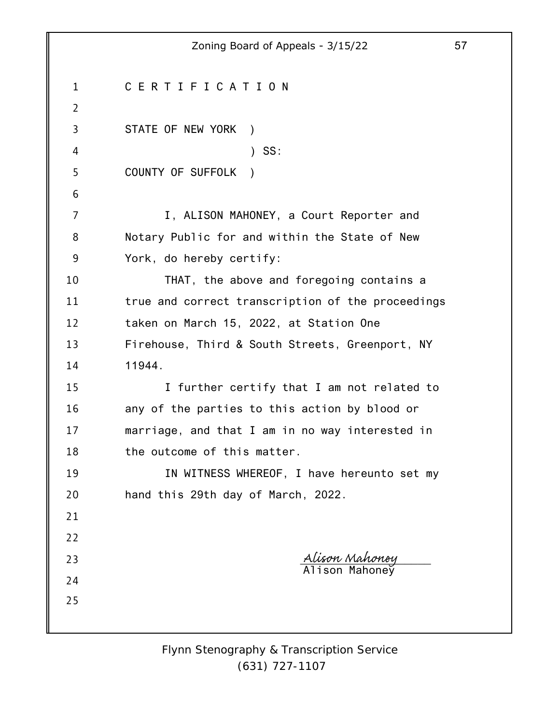|                | 57<br>Zoning Board of Appeals - 3/15/22           |  |
|----------------|---------------------------------------------------|--|
| $\mathbf{1}$   | CERTIFICATION                                     |  |
| $\overline{2}$ |                                                   |  |
| 3              | STATE OF NEW YORK )                               |  |
| 4              | $)$ SS:                                           |  |
| 5              | <b>COUNTY OF SUFFOLK</b>                          |  |
| 6              |                                                   |  |
| 7              | I, ALISON MAHONEY, a Court Reporter and           |  |
| 8              | Notary Public for and within the State of New     |  |
| 9              | York, do hereby certify:                          |  |
| 10             | THAT, the above and foregoing contains a          |  |
| 11             | true and correct transcription of the proceedings |  |
| 12             | taken on March 15, 2022, at Station One           |  |
| 13             | Firehouse, Third & South Streets, Greenport, NY   |  |
| 14             | 11944.                                            |  |
| 15             | I further certify that I am not related to        |  |
| 16             | any of the parties to this action by blood or     |  |
| 17             | marriage, and that I am in no way interested in   |  |
| 18             | the outcome of this matter.                       |  |
| 19             | IN WITNESS WHEREOF, I have hereunto set my        |  |
| 20             | hand this 29th day of March, 2022.                |  |
| 21             |                                                   |  |
| 22             |                                                   |  |
| 23             | <u>Alison Mahoney</u><br>Alison Mahoney           |  |
| 24             |                                                   |  |
| 25             |                                                   |  |
|                |                                                   |  |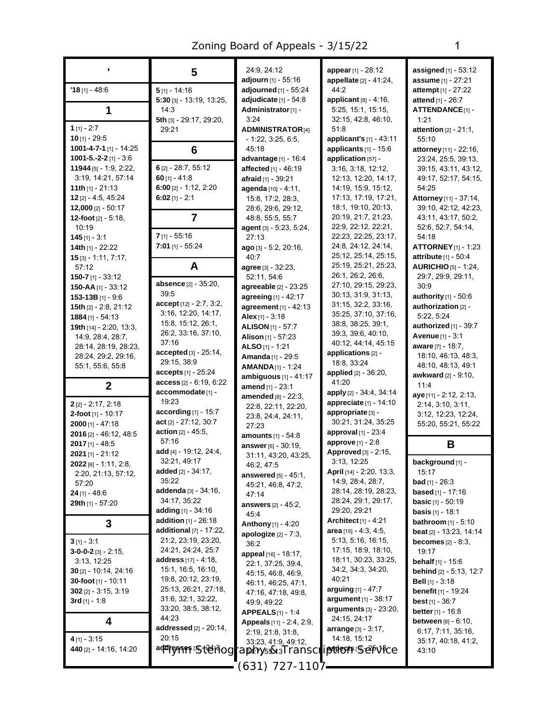|                                                    | 5                                                  | 24:9, 24:12                                                 |     |
|----------------------------------------------------|----------------------------------------------------|-------------------------------------------------------------|-----|
| $'18$ [1] - 48:6                                   | $5$ [1] - 14:16                                    | adjourn [1] - 55:16<br>adjourned [1] - 55:24                |     |
|                                                    | $5:30$ [3] - 13:19, 13:25,                         | adjudicate $[1]$ - 54:8                                     |     |
| 1                                                  | 14:3                                               | Administrator <sub>[1]</sub> -                              |     |
|                                                    | 5th [3] - 29:17, 29:20,                            | 3:24                                                        |     |
| $1$ [1] - 2:7<br>10 [1] - 29:5                     | 29:21                                              | <b>ADMINISTRATOR[4]</b>                                     |     |
| 1001-4-7-1 [1] - 14:25                             | 6                                                  | - 1:22, 3:25, 6:5,<br>45:18                                 |     |
| $1001 - 5 - 2 - 2$ [1] $-3.6$                      |                                                    | advantage [1] - 16:4                                        |     |
| $11944$ [5] - 1:9, 2:22,                           | 6 [2] - 28:7, 55:12                                | <b>affected</b> [1] - 46:19                                 |     |
| 3:19, 14:21, 57:14                                 | 60 [1] - 41:8                                      | <b>afraid</b> [1] - 39.21                                   |     |
| <b>11th</b> $[1]$ - 21:13                          | 6:00 [2] - 1:12, 2:20                              | agenda [10] - 4:11,                                         |     |
| <b>12</b> [2] - 4:5, 45:24<br>12,000 $[2] - 50:17$ | 6:02 $[1] - 2:1$                                   | 15:8, 17:2, 28:3,<br>28:6, 29:6, 29:12,                     |     |
| 12-foot $[2] - 5.18$ ,                             | 7                                                  | 48.8, 55.5, 55.7                                            |     |
| 10:19                                              |                                                    | agent [3] - 5:23, 5:24,                                     |     |
| $145$ [1] - 3:1                                    | 7 [1] - 55:16                                      | 27:13                                                       |     |
| <b>14th</b> [1] - 22:22                            | $7:01$ [1] - 55:24                                 | <b>ago</b> [3] - 5:2, 20:16,                                |     |
| $15$ [3] - 1:11, 7:17,<br>57:12                    | A                                                  | 40:7                                                        |     |
| <b>150-7</b> [1] - 33:12                           |                                                    | <b>agree</b> [3] - 32:23,<br>52:11, 54:6                    |     |
| 150-AA $[1]$ - 33:12                               | absence [2] - 35:20,                               | agreeable [2] - 23:25                                       |     |
| 153-13B [1] - 9:6                                  | 39:5                                               | agreeing [1] - 42:17                                        |     |
| <b>15th</b> [2] - 2:8, 21:12                       | accept [12] - 2:7, 3:2,                            | agreement [1] - 42:13                                       |     |
| 1884 [1] - 54:13                                   | 3:16, 12:20, 14:17,<br>15:8, 15:12, 26:1,          | Alex $[1]$ - 3:18                                           |     |
| 19th [14] - 2.20, 13:3,                            | 26:2, 33:16, 37:10,                                | <b>ALISON</b> [1] - 57:7                                    |     |
| 14.9, 28.4, 28.7,<br>28:14, 28:19, 28:23,          | 37:16                                              | <b>Alison</b> [1] - 57:23<br><b>ALSO</b> [1] - 1:21         |     |
| 28:24, 29:2, 29:16,                                | $\bm{accepted}$ [3] - 25:14,                       | <b>Amanda</b> [1] - 29:5                                    | ć   |
| 55:1, 55:6, 55:8                                   | 29:15, 38.9                                        | <b>AMANDA</b> $[1]$ - 1:24                                  |     |
|                                                    | accepts [1] - 25:24<br>$access_{[2]} - 6:19, 6:22$ | <b>ambiguous</b> $[1] - 41:17$                              |     |
| 2                                                  | accommodate [1] -                                  | amend [1] - 23:1                                            |     |
| $2$ [2] - 2:17, 2:18                               | 19:23                                              | amended [8] - 22:3,                                         |     |
| <b>2-foot</b> [1] - 10:17                          | according [1] - 15:7                               | 22:8, 22:11, 22:20,<br>23.8, 24.4, 24.11,                   |     |
| $2000$ [1] - 47:18                                 | act $[2] - 27:12, 30:7$                            | 27:23                                                       |     |
| 2016 [2] - 46:12, 48:5                             | <b>action</b> $[2] - 45.5$ ,<br>57:16              | <b>amounts</b> [1] - 54:8                                   |     |
| 2017 [1] - 48:5                                    | add [4] - 19:12, 24:4,                             | <b>answer</b> [6] - 30:19,                                  |     |
| $2021$ [1] - 21:12<br>2022 [6] - 1:11, 2:8,        | 32:21, 49:17                                       | 31:11, 43:20, 43:25,                                        |     |
| 2:20, 21:13, 57:12,                                | added [2] - 34:17,                                 | 46:2, 47:5<br><b>answered</b> $[5] - 45:1$ ,                |     |
| 57:20                                              | 35:22                                              | 45:21, 46:8, 47:2,                                          |     |
| $24$ [1] - 48:6                                    | addenda [3] - 34:16,                               | 47:14                                                       |     |
| 29th [1] - 57:20                                   | 34:17, 35:22<br>adding [1] - 34:16                 | <b>answers</b> [2] - 45:2,                                  |     |
|                                                    | addition [1] - 26:18                               | 45.4                                                        |     |
| 3                                                  | additional [7] - 17:22,                            | <b>Anthony</b> [1] - 4:20<br><b>apologize</b> $[2] - 7:3$ , |     |
| $3[1] - 3:1$                                       | 21:2, 23:19, 23:20,                                | 36.2                                                        |     |
| $3-0-0-2$ [3] $-2:15$ ,                            | 24:21, 24:24, 25:7                                 | appeal [16] - 18:17,                                        |     |
| 3:13, 12:25                                        | address [17] - 4:18,                               | 22:1, 37:25, 39:4,                                          |     |
| $30$ [2] - 10:14, 24:16                            | 15:1, 16:5, 16:10,<br>19:8, 20:12, 23:19,          | 45:15, 46:8, 46:9,                                          |     |
| 30-foot [1] - 10:11<br>$302$ [2] - 3:15, 3:19      | 25:13, 26:21, 27:18,                               | 46:11, 46:25, 47:1,                                         | ĉ   |
| 3rd $[1] - 1.8$                                    | 31:6, 32:1, 32:22,                                 | 47:16, 47:18, 49:8,<br>49:9, 49:22                          |     |
|                                                    | 33:20, 38:5, 38:12,                                | <b>APPEALS</b> $[1] - 1:4$                                  |     |
| 4                                                  | 44:23                                              | Appeals [11] - 2:4, 2:9,                                    |     |
|                                                    | addressed [2] - 20:14,<br>20:15                    | 2:19, 21:8, 31:8,                                           | ć   |
| 4 [1] - 3:15<br>440 [2] - 14:16, 14:20             | addrasses13574300                                  | 33:23, 41:9, 49:12,<br>ra <b>ja/1</b> ,1s583 / ransci       |     |
|                                                    |                                                    |                                                             | r/i |
|                                                    |                                                    | (631) 727-1107                                              |     |

**appear**[1] - 28:12 **appellate** [2] - 41:24, 44:2 **applicant** [8] - 4:16, 5:25, 15:1, 15:15, 32:15, 42:8, 46:10, 51:8 **applicant's** [1] - 43:11 **applicants** [1] - 15:6 **application** [57] - 3:16, 3:18, 12:12, 12:13, 12:20, 14:17, 14:19, 15:9, 15:12, 17:13, 17:19, 17:21, 18:1, 19:10, 20:13, 20:19, 21:7, 21:23, 22:9, 22:12, 22:21, 22:23, 22:25, 23:17, 24:8, 24:12, 24:14, 25:12, 25:14, 25:15, 25:19, 25:21, 25:23, 26:1, 26:2, 26:6, 27:10, 29:15, 29:23, 30:13, 31:9, 31:13, 31:15, 32:2, 33:16, 35:25, 37:10, 37:16, 38:8, 38:25, 39:1, 39:3, 39:6, 40:10, 40:12, 44:14, 45:15 **applications** [2] - 18:8, 33:24 **applied** [2] - 36:20, 41:20 **apply** [2] - 34:4, 34:14 **appreciate** [1] - 14:10 **appropriate** [3] - 30:21, 31:24, 35:25 **approval** [1] - 23:4 **approve** [1] - 2:8 **Approved**[3] - 2:15, 3:13, 12:25 **April** [14] - 2:20, 13:3, 14:9, 28:4, 28:7, 28:14, 28:19, 28:23, 28:24, 29:1, 29:17, 29:20, 29:21 **Architect**[1] - 4:21 **area** [15] - 4:3, 4:5, 5:13, 5:16, 16:15, 17:15, 18:9, 18:10, 18:11, 30:23, 33:25, 34:2, 34:3, 34:20, 40:21 **arguing** [1] - 47:7 **argument** [1] - 38:17 **arguments** [3] - 23:20, 24:15, 24:17 **arrange** [3] - 3:17, 14:18, 15:12 *Flynn Stenography & Transcription* **aspects** [1*Service* ] - 25:18

**assigned** [1] - 53:12 **assume** [1] - 27:21 **attempt** [1] - 27:22 **attend** [1] - 26:7 **ATTENDANCE**[1] - 1:21 **attention** [2] - 21:1, 55:10 **attorney** [11] - 22:16, 23:24, 25:5, 39:13, 39:15, 43:11, 43:12, 49:17, 52:17, 54:15, 54:25 **Attorney**[11] - 37:14, 39:10, 42:12, 42:23, 43:11, 43:17, 50:2, 52:6, 52:7, 54:14, 54:18 **ATTORNEY**[1] - 1:23 **attribute** [1] - 50:4 **AURICHIO** [5] - 1:24, 29:7, 29:9, 29:11, 30:9 **authority** [1] - 50:6 **authorization** [2] - 5:22, 5:24 **authorized** [1] - 39:7 **Avenue** [1] - 3:1 **aware** [7] - 18:7, 18:10, 46:13, 48:3, 48:10, 48:13, 49:1 **awkward** [2] - 9:10, 11:4 **aye** [11] - 2:12, 2:13, 2:14, 3:10, 3:11, 3:12, 12:23, 12:24, 55:20, 55:21, 55:22 **B**

**background** [1] - 15:17 **bad** [1] - 26:3 **based** [1] - 17:16 **basic** [1] - 50:19 **basis** [1] - 18:1 **bathroom** [1] - 5:10 **beat** [2] - 13:23, 14:14 **becomes** [2] - 8:3, 19:17 **behalf** [1] - 15:6 **behind** [2] - 5:13, 12:7 **Bell** [1] - 3:18 **benefit** [1] - 19:24 **best** [1] - 36:7 **better**[1] - 16:8 **between** [8] - 6:10, 6:17, 7:11, 35:16, 35:17, 40:18, 41:2, 43:10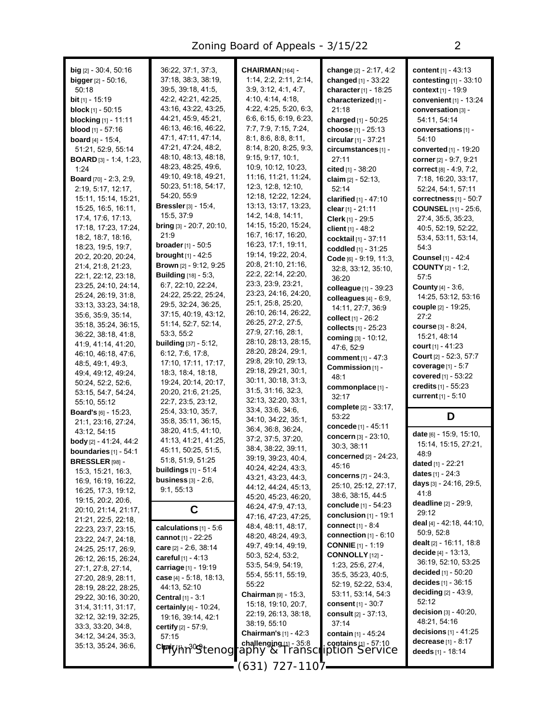| <b>big</b> $[2] - 30.4, 50.16$<br><b>bigger</b> $[2] - 50:16$ , | 36.22, 37:1, 37:3,<br>37:18, 38:3, 38:19,                       | CHAIRMAN <sub>[164]</sub> -<br>1:14, 2:2, 2:11, 2:14, | change [2] - 2:17, 4:2<br>changed [1] - 33:22 | content [1] - 43:13<br>contesting [1] - 33:10 |
|-----------------------------------------------------------------|-----------------------------------------------------------------|-------------------------------------------------------|-----------------------------------------------|-----------------------------------------------|
| 50:18                                                           | 39:5, 39:18, 41:5,<br>42:2, 42:21, 42:25,                       | 3.9, 3.12, 4.1, 4.7,                                  | character $[1]$ - 18:25                       | context [1] - 19:9                            |
| <b>bit</b> [1] - 15:19                                          | 43:16, 43:22, 43:25,                                            | 4:10, 4:14, 4:18,<br>4:22, 4:25, 5:20, 6:3,           | characterized [1] -                           | convenient [1] - 13:24                        |
| <b>block</b> $[1]$ - 50:15<br><b>blocking</b> [1] - 11:11       | 44:21, 45:9, 45:21,                                             | 6:6, 6:15, 6:19, 6:23,                                | 21:18<br>charged [1] - 50:25                  | conversation [3] -<br>54:11, 54:14            |
| <b>blood</b> $[1]$ - 57:16                                      | 46:13, 46:16, 46:22,                                            | 7:7, 7:9, 7:15, 7:24,                                 | choose [1] - 25:13                            | conversations [1] -                           |
| <b>board</b> $[4] - 15.4$ ,                                     | 47:1, 47:11, 47:14,                                             | 8:1, 8:6, 8:8, 8:11,                                  | circular [1] - 37:21                          | 54:10                                         |
| 51:21, 52:9, 55:14                                              | 47:21, 47:24, 48:2,                                             | 8:14, 8:20, 8:25, 9:3,                                | circumstances [1] -                           | <b>converted</b> [1] - 19:20                  |
| <b>BOARD</b> $[3] - 1.4, 1.23$                                  | 48:10, 48:13, 48:18,                                            | 9:15, 9:17, 10:1,                                     | 27:11                                         | corner [2] - 9:7, 9:21                        |
| 1:24                                                            | 48:23, 48:25, 49:6,                                             | 10.9, 10.12, 10.23,                                   | cited [1] - 38:20                             | correct [8] - 4:9, 7:2,                       |
| Board [70] - 2:3, 2:9,                                          | 49:10, 49:18, 49:21,                                            | 11:16, 11:21, 11:24,                                  | claim $[2] - 52:13$ .                         | 7:18, 16:20, 33:17,                           |
| 2:19, 5:17, 12:17,                                              | 50:23, 51:18, 54:17,                                            | 12.3, 12.8, 12.10,                                    | 52:14                                         | 52:24, 54:1, 57:11                            |
| 15:11, 15:14, 15:21,                                            | 54:20, 55.9                                                     | 12:18, 12:22, 12:24,                                  | clarified $[1] - 47:10$                       | correctness $[1] - 50.7$                      |
| 15:25, 16:5, 16:11,                                             | <b>Bressler</b> [3] $- 15.4$ ,                                  | 13:13, 13:17, 13:23,                                  | clear [1] - 21:11                             | <b>COUNSEL</b> [11] - 25:6,                   |
| 17:4, 17:6, 17:13,                                              | 15:5, 37:9                                                      | 14.2, 14.8, 14.11,                                    | Clerk [1] - 29:5                              | 27:4, 35:5, 35:23,                            |
| 17:18, 17:23, 17:24,                                            | bring [3] - 20:7, 20:10,                                        | 14:15, 15:20, 15:24,                                  | client $[1] - 48:2$                           | 40.5, 52.19, 52.22,                           |
| 18:2, 18:7, 18:16,                                              | 21:9                                                            | 16:7, 16:17, 16:20,                                   | cocktail [1] - 37:11                          | 53:4, 53:11, 53:14,                           |
| 18:23, 19:5, 19:7,                                              | <b>broader</b> [1] - 50:5<br><b>brought</b> $[1] - 42:5$        | 16:23, 17:1, 19:11,<br>19:14, 19:22, 20:4,            | coddled [1] - 31:25                           | 54:3                                          |
| 20:2, 20:20, 20:24,                                             |                                                                 | 20:8, 21:10, 21:16,                                   | Code [6] - 9:19, 11:3,                        | <b>Counsel</b> [1] - 42:4                     |
| 21:4, 21:8, 21:23,                                              | <b>Brown</b> [2] - 9:12, 9:25<br><b>Building</b> $[18] - 5.3$ , | 22:2, 22:14, 22:20,                                   | 32:8, 33:12, 35:10,                           | <b>COUNTY</b> [2] - 1:2,                      |
| 22:1, 22:12, 23:18,                                             | 6:7, 22:10, 22:24,                                              | 23:3, 23:9, 23:21,                                    | 36:20                                         | 57:5                                          |
| 23:25, 24:10, 24:14,<br>25:24, 26:19, 31:8,                     | 24:22, 25:22, 25:24,                                            | 23:23, 24:16, 24:20,                                  | colleague [1] - 39:23                         | <b>County</b> [4] - 3:6,                      |
| 33:13, 33:23, 34:18,                                            | 29.5, 32.24, 36.25,                                             | 25:1, 25:8, 25:20,                                    | colleagues $[4] - 6.9$ ,                      | 14:25, 53:12, 53:16                           |
| 35.6, 35.9, 35.14,                                              | 37:15, 40:19, 43:12,                                            | 26:10, 26:14, 26:22,                                  | 14:11, 27:7, 36:9                             | couple [2] - 19:25,                           |
| 35:18, 35:24, 36:15,                                            | 51:14, 52:7, 52:14,                                             | 26:25, 27:2, 27:5,                                    | collect [1] - 26:2                            | 27:2                                          |
| 36.22, 38.18, 41.8,                                             | 53:3, 55:2                                                      | 27:9, 27:16, 28:1,                                    | collects [1] - 25:23                          | <b>course</b> [3] - 8:24,<br>15:21, 48:14     |
| 41.9, 41.14, 41.20,                                             | <b>building</b> [37] - 5:12,                                    | 28:10, 28:13, 28:15,                                  | coming [3] - 10:12,                           | court $[1] - 41:23$                           |
| 46:10, 46:18, 47:6,                                             | 6:12, 7:6, 17:8,                                                | 28:20, 28:24, 29:1,                                   | 47:6, 52:9                                    | <b>Court</b> [2] - 52:3, 57:7                 |
| 48.5, 49.1, 49.3,                                               | 17:10, 17:11, 17:17,                                            | 29:8, 29:10, 29:13,                                   | comment [1] - 47:3<br>Commission [1] -        | coverage $[1] - 5:7$                          |
| 49:4, 49:12, 49:24,                                             | 18:3, 18:4, 18:18,                                              | 29:18, 29:21, 30:1,                                   | 48:1                                          | covered [1] - 53:22                           |
| 50:24, 52:2, 52:6,                                              | 19:24, 20:14, 20:17,                                            | 30:11, 30:18, 31:3,                                   | commonplace [1] -                             | credits [1] - 55:23                           |
| 53:15, 54:7, 54:24,                                             | 20.20, 21:6, 21:25,                                             | 31:5, 31:16, 32:3,                                    | 32:17                                         | current [1] - 5:10                            |
| 55:10, 55:12                                                    | 22:7, 23:5, 23:12,                                              | 32:13, 32:20, 33:1,                                   | complete [2] - 33:17,                         |                                               |
| <b>Board's</b> $[6] - 15:23$ ,                                  | 25.4, 33.10, 35.7,                                              | 33.4, 33.6, 34.6,                                     | 53:22                                         | D                                             |
| 21:1, 23:16, 27:24,                                             | 35:8, 35:11, 36:15,                                             | 34:10, 34:22, 35:1,                                   | concede [1] - 45:11                           |                                               |
| 43.12, 54.15                                                    | 38.20, 41:5, 41:10,                                             | 36.4, 36.8, 36.24,<br>37:2, 37:5, 37:20,              | concern [3] - 23:10,                          | date [6] - 15:9, 15:10,                       |
| <b>body</b> [2] $- 41:24, 44:2$                                 | 41:13, 41:21, 41:25,                                            | 38:4, 38:22, 39:11,                                   | 30:3, 38:11                                   | 15:14, 15:15, 27:21,                          |
| <b>boundaries</b> $[1]$ - 54:1                                  | 45:11, 50:25, 51:5,<br>51:8, 51:9, 51:25                        | 39:19, 39:23, 40:4,                                   | concerned [2] - 24:23,                        | 48.9                                          |
| <b>BRESSLER</b> [98] -                                          | <b>buildings</b> [1] - 51:4                                     | 40:24, 42:24, 43:3,                                   | 45:16                                         | dated [1] - 22:21                             |
| 15:3, 15:21, 16:3,<br>16:9, 16:19, 16:22,                       | business $[3] - 2.6$ ,                                          | 43:21, 43:23, 44:3,                                   | concerns [7] - 24:3,                          | dates $[1] - 24.3$                            |
| 16:25, 17:3, 19:12,                                             | 9:1, 55:13                                                      | 44:12, 44:24, 45:13,                                  | 25:10, 25:12, 27:17,                          | days $[3] - 24:16$ , 29:5,                    |
| 19:15, 20:2, 20:6,                                              |                                                                 | 45:20, 45:23, 46:20,                                  | 38.6, 38.15, 44.5                             | 41:8                                          |
| 20:10, 21:14, 21:17,                                            | С                                                               | 46:24, 47:9, 47:13,                                   | <b>conclude</b> [1] - 54:23                   | <b>deadline</b> $[2] - 29.9$ ,                |
| 21:21, 22:5, 22:18,                                             |                                                                 | 47:16, 47:23, 47:25,                                  | conclusion $[1]$ - 19:1                       | 29:12                                         |
| 22:23, 23:7, 23:15,                                             | calculations $[1] - 5.6$                                        | 48:4, 48:11, 48:17,                                   | <b>connect</b> $[1] - 8.4$                    | deal [4] - 42.18, 44.10,<br>50:9, 52:8        |
| 23:22, 24:7, 24:18,                                             | cannot $[1] - 22:25$                                            | 48:20, 48:24, 49:3,                                   | connection $[1]$ - $6:10$                     | <b>dealt</b> $[2] - 16:11, 18:8$              |
| 24:25, 25:17, 26:9,                                             | care $[2] - 2.6, 38.14$                                         | 49:7, 49:14, 49:19,                                   | <b>CONNIE</b> $[1]$ - 1:19                    | decide $[4] - 13:13$ ,                        |
| 26:12, 26:15, 26:24,                                            | careful $[1] - 4:13$                                            | 50:3, 52:4, 53:2,                                     | CONNOLLY [12] -                               | 36:19, 52:10, 53:25                           |
| 27:1, 27:8, 27:14,                                              | carriage [1] - 19:19                                            | 53:5, 54:9, 54:19,                                    | 1:23, 25:6, 27:4,                             | decided $[1] - 50:20$                         |
| 27:20, 28:9, 28:11,                                             | case $[4] - 5:18, 18:13,$                                       | 55:4, 55:11, 55:19,                                   | 35.5, 35.23, 40.5,<br>52:19, 52:22, 53:4,     | decides $[1] - 36:15$                         |
| 28:19, 28:22, 28:25,                                            | 44:13, 52:10                                                    | 55:22<br><b>Chairman</b> $[9] - 15.3$ ,               | 53:11, 53:14, 54:3                            | <b>deciding</b> $[2] - 43.9$ ,                |
| 29:22, 30:16, 30:20,                                            | <b>Central</b> $[1] - 3:1$                                      | 15:18, 19:10, 20:7,                                   | consent $[1]$ - $30:7$                        | 52:12                                         |
| 31:4, 31:11, 31:17,                                             | certainly [4] - 10:24,                                          | 22:19, 26:13, 38:18,                                  | <b>consult</b> [2] - 37:13,                   | decision $[3] - 40.20$ ,                      |
| 32:12, 32:19, 32:25,                                            | 19:16, 39:14, 42:1                                              | 38:19, 55:10                                          | 37:14                                         | 48.21, 54:16                                  |
| 33.3, 33.20, 34.8,                                              | <b>certify</b> $[2] - 57.9$ ,                                   | <b>Chairman's</b> $[1] - 42:3$                        | contain [1] - 45:24                           | <b>decisions</b> $[1] - 41:25$                |
| 34:12, 34:24, 35:3,<br>35:13, 35:24, 36:6,                      | 57:15                                                           | challenging $11 - 35.8$                               | contains $[1]$ = 57:10                        | <b>decrease</b> $[1] - 8:17$                  |
|                                                                 | ChairWh <sub>1</sub> 30 Stenog                                  | rapny & Transci                                       | ption Service                                 | deeds [1] - 18:14                             |
|                                                                 |                                                                 | <sub>(</sub> 631, 72) - 1107 <del> -</del>            |                                               |                                               |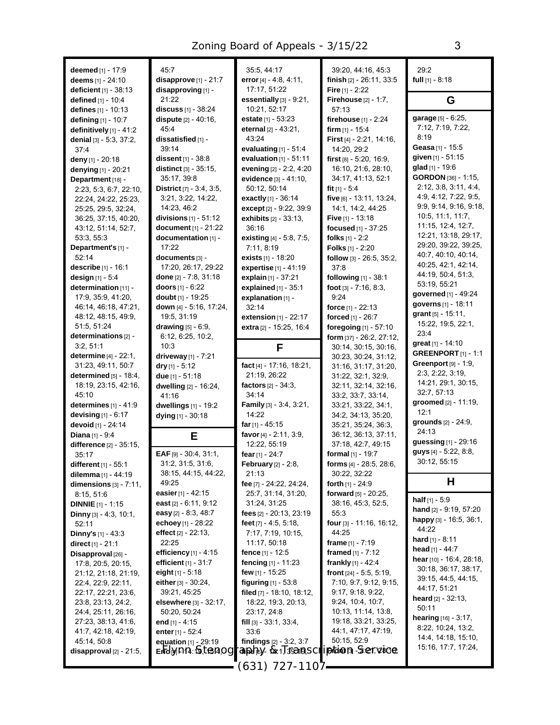| deemed $[1] - 17:9$<br>deems [1] - 24:10           | 45:7<br>$disapprove_{[1]}$ - 21:7               | 35:5, 44:17<br>error $[4] - 4.8, 4.11,$                    | 39:20, 44:16, 45:3<br>finish [2] - 26:11, 33:5 | 29:2<br>full $[1] - 8:18$                       |
|----------------------------------------------------|-------------------------------------------------|------------------------------------------------------------|------------------------------------------------|-------------------------------------------------|
| <b>deficient</b> $[1] - 38:13$                     | disapproving [1] -                              | 17:17.51:22                                                | Fire [1] - 2:22                                |                                                 |
| <b>defined</b> $[1]$ - 10:4                        | 21:22                                           | essentially [3] - 9:21,                                    | <b>Firehouse</b> $[2] - 1:7$ ,                 | G                                               |
| defines [1] - 10:13                                | discuss [1] - 38:24                             | 10:21, 52:17                                               | 57:13                                          |                                                 |
| defining [1] - 10:7                                | <b>dispute</b> [2] - 40:16,                     | estate [1] - 53:23                                         | <b>firehouse</b> $[1] - 2:24$                  | garage [5] - 6:25,                              |
| definitively $[1]$ - 41:2                          | 45.4                                            | eternal $[2] - 43:21$ ,                                    | firm $[1]$ - 15:4                              | 7:12, 7:19, 7:22,                               |
| denial $[3] - 5.3, 37.2,$                          | dissatisfied [1] -                              | 43:24                                                      | <b>First</b> $[4] - 2.21$ , 14.16,             | 8:19                                            |
| 37.4                                               | 39:14                                           | evaluating $[1]$ - $51:4$                                  | 14:20, 29:2                                    | Geasa[1] - 15:5                                 |
| deny [1] - $20:18$                                 | dissent [1] - 38:8                              | evaluation $[1]$ - 51:11                                   | first $[8] - 5.20, 16.9,$                      | given [1] - 51:15                               |
| denying [1] - 20:21                                | distinct [3] - 35:15.                           | evening [2] - 2:2, 4:20                                    | 16:10, 21:6, 28:10,                            | glad [1] - 19:6                                 |
| Department [18] -                                  | 35:17, 39:8                                     | evidence [3] - 41:10,                                      | 34:17, 41:13, 52:1                             | GORDON [36] - 1:15,                             |
| 2:23, 5:3, 6:7, 22:10,                             | <b>District</b> $[7] - 3.4, 3.5,$               | 50:12, 50:14                                               | fit $[1] - 5:4$                                | 2:12, 3:8, 3:11, 4:4,                           |
| 22:24, 24:22, 25:23,                               | 3:21, 3:22, 14:22,                              | <b>exactly</b> $[1] - 36:14$                               | five [6] - 13:11, 13:24,                       | 4:9, 4:12, 7:22, 9:5,<br>9:9, 9:14, 9:16, 9:18, |
| 25:25, 29:5, 32:24,                                | 14:23, 46:2                                     | except [2] - 9:22, 39:9                                    | 14.1, 14.2, 44.25                              | 10.5, 11.1, 11.7,                               |
| 36:25, 37:15, 40:20,<br>43:12, 51:14, 52:7,        | divisions $[1] - 51:12$<br>document [1] - 21:22 | <b>exhibits</b> $[2] - 33:13$ ,<br>36:16                   | <b>Five</b> [1] - 13:18<br>focused [1] - 37:25 | 11:15, 12:4, 12:7,                              |
| 53:3, 55:3                                         | documentation [1] -                             | existing [4] - 5:8, 7:5,                                   | folks $[1] - 2:2$                              | 12:21, 13:18, 29:17,                            |
| Department's [1] -                                 | 17:22                                           | 7:11, 8:19                                                 | <b>Folks</b> $[1]$ - 2:20                      | 29:20, 39:22, 39:25,                            |
| 52:14                                              | documents [3] -                                 | exists [1] - 18:20                                         | follow [3] - 26:5, 35:2,                       | 40:7, 40:10, 40:14,                             |
| <b>describe</b> $[1] - 16:1$                       | 17:20, 26:17, 29:22                             | expertise [1] - 41:19                                      | 37:8                                           | 40.25, 42.1, 42.14,                             |
| design $[1] - 5.4$                                 | done [2] - 7:8, 31:18                           | explain $[1] - 37:21$                                      | following [1] - 38:1                           | 44:19, 50:4, 51:3,                              |
| determination [11] -                               | doors $[1] - 6:22$                              | explained $[1]$ - 35:1                                     | foot $[3] - 7:16, 8:3,$                        | 53:19, 55:21                                    |
| 17:9, 35:9, 41:20,                                 | <b>doubt</b> [1] - 19:25                        | explanation [1] -                                          | 9:24                                           | governed [1] - 49:24                            |
| 46:14, 46:18, 47:21,                               | down [4] - 5:16, 17:24,                         | 32:14                                                      | force $[1] - 22:13$                            | governs [1] - 18:11                             |
| 48:12, 48:15, 49:9,                                | 19:5, 31:19                                     | <b>extension</b> $[1]$ - 22:17                             | forced [1] - 26:7                              | grant $[5] - 15:11$ ,                           |
| 51:5, 51:24                                        | <b>drawing</b> $[5] - 6.9$ ,                    | extra [2] - 15:25, 16:4                                    | foregoing [1] - 57:10                          | 15:22, 19:5, 22:1,<br>23:4                      |
| determinations [2] -                               | 6:12, 6:25, 10:2,                               |                                                            | form [37] - 26:2, 27:12,                       | great [1] - 14:10                               |
| 3:2, 51:1                                          | 10:3                                            | F                                                          | 30:14, 30:15, 30:16,                           | <b>GREENPORT</b> $[1]$ - 1:1                    |
| <b>determine</b> $[4] - 22:1$ ,                    | driveway $[1] - 7:21$                           | fact [4] - 17:16, 18:21,                                   | 30:23, 30:24, 31:12,                           | Greenport $[9] - 1.9$ ,                         |
| 31:23, 49:11, 50:7<br>determined $[5] - 18.4$ ,    | dry $[1] - 5:12$<br>due $[1] - 51:18$           | 21:19, 26:22                                               | 31:16, 31:17, 31:20,<br>31:22, 32:1, 32:9,     | 2:3, 2:22, 3:19,                                |
|                                                    |                                                 |                                                            |                                                |                                                 |
|                                                    |                                                 |                                                            |                                                |                                                 |
| 18:19, 23:15, 42:16,                               | dwelling [2] - 16:24,                           | factors $[2] - 34:3$ ,                                     | 32:11, 32:14, 32:16,                           | 14:21, 29:1, 30:15,<br>32:7, 57:13              |
| 45:10                                              | 41:16                                           | 34:14                                                      | 33:2, 33:7, 33:14,                             | groomed [2] - 11:19,                            |
| determines $[1] - 41.9$<br>devising $[1] - 6.17$   | dwellings [1] - 19:2                            | <b>Family</b> $[3] - 3.4, 3.21,$<br>14:22                  | 33:21, 33:22, 34:1,<br>34:2, 34:13, 35:20,     | 12:1                                            |
| devoid [1] - 24:14                                 | dying $[1]$ - 30:18                             | far $[1] - 45:15$                                          | 35:21, 35:24, 36:3,                            | grounds [2] - 24:9,                             |
| <b>Diana</b> $[1] - 9:4$                           | Е                                               | favor [4] - 2:11, 3:9,                                     | 36:12, 36:13, 37:11,                           | 24:13                                           |
| difference [2] - 35:15,                            |                                                 | 12:22, 55:19                                               | 37:18, 42:7, 49:15                             | guessing [1] - 29:16                            |
| 35.17                                              | EAF $[9] - 30.4, 31.1,$                         | fear [1] - 24:7                                            | formal [1] - 19:7                              | guys $[4]$ - 5:22, 8:8,                         |
| different $[1] - 55:1$                             | 31:2, 31:5, 31:6,                               | <b>February</b> [2] - 2:8,                                 | forms [4] - 28:5, 28:6,                        | 30:12, 55:15                                    |
| dilemma [1] - 44:19                                | 38:15, 44:15, 44:22,                            | 21:13                                                      | 30:22, 32:22                                   |                                                 |
| dimensions $[3]$ - $7:11$ ,                        | 49.25                                           | fee [7] - 24:22, 24:24,                                    | forth $[1] - 24.9$                             | Н                                               |
| 8:15, 51:6                                         | easier [1] - 42:15                              | 25:7, 31:14, 31:20,                                        | forward $[5] - 20:25$ ,                        | <b>half</b> $[1] - 5.9$                         |
| <b>DINNIE</b> $[1]$ - 1:15                         | east $[2] - 6:11, 9:12$                         | 31:24, 31:25                                               | 38:16, 45:3, 52:5,                             | <b>hand</b> $[2] - 9:19, 57:20$                 |
| <b>Dinny</b> $[3] - 4.3, 10.1,$                    | easy $[2] - 8.3, 48.7$                          | fees [2] - 20:13, 23:19<br>feet $[7] - 4.5, 5.18$ ,        | 55:3                                           | happy $[3] - 16.5, 36.1,$                       |
| 52:11                                              | echoey [1] - 28:22<br>effect $[2] - 22:13$ ,    | 7:17, 7:19, 10:15,                                         | <b>four</b> [3] - 11:16, 16:12,<br>44.25       | 44:22                                           |
| <b>Dinny's</b> $[1] - 43:3$<br>direct $[1] - 21:1$ | 22:25                                           | 11:17, 50:18                                               | frame $[1] - 7:19$                             | <b>hard</b> [1] - 8:11                          |
| Disapproval [26] -                                 | efficiency $[1] - 4.15$                         | <b>fence</b> [1] - 12:5                                    | framed $[1] - 7:12$                            | head $[1] - 44.7$                               |
| 17:8, 20:5, 20:15,                                 | efficient $[1] - 31.7$                          | fencing $[1]$ - 11:23                                      | frankly $[1] - 42.4$                           | <b>hear</b> [10] - 16:4, 28:18,                 |
| 21:12, 21:18, 21:19,                               | eight $[1] - 5.18$                              | few $[1]$ - 15:25                                          | <b>front</b> $[24] - 5.5, 5.19$ ,              | 30:18, 36:17, 38:17,                            |
| 22:4, 22:9, 22:11,                                 | either $[3] - 30:24$ ,                          | <b>figuring</b> $[1] - 53.8$                               | 7:10, 9:7, 9:12, 9:15,                         | 39:15, 44:5, 44:15,                             |
| 22:17, 22:21, 23:6,                                | 39:21, 45:25                                    | filed [7] - 18:10, 18:12,                                  | 9:17, 9:18, 9:22,                              | 44:17, 51:21                                    |
| 23.8, 23.13, 24.2,                                 | elsewhere [3] - 32:17,                          | 18:22, 19:3, 20:13,                                        | 9:24, 10:4, 10:7,                              | <b>heard</b> $[2] - 32:13$ ,<br>50:11           |
| 24:4, 25:11, 26:16,                                | 50:20, 50:24                                    | 23:17, 24:8                                                | 10:13, 11:14, 13:8,                            | <b>hearing</b> $[16] - 3.17$ ,                  |
| 27:23, 38:13, 41:6,                                | end $[1] - 4:15$                                | fill $[3]$ - 33:1, 33:4,                                   | 19:18, 33:21, 33:25,                           | 8:22, 10:24, 13:2,                              |
| 41:7, 42:18, 42:19,                                | enter [1] - 52:4                                | 33:6                                                       | 44:1, 47:17, 47:19,                            | 14:4, 14:18, 15:10,                             |
| 45:14, 50:8                                        | equation [1] - 29:19                            | findings $[2] - 3:2, 3:7$                                  | 50:15, 52:9                                    | 15:16, 17:7, 17:24,                             |
| $disapproval$ [2] - 21:5,                          | Ertc/y/ <i>DNA</i> 15,7tG/A <i>OG</i>           | ranaky van 156210,Scriptions-Sev, voice,<br>(631) 727-1107 |                                                |                                                 |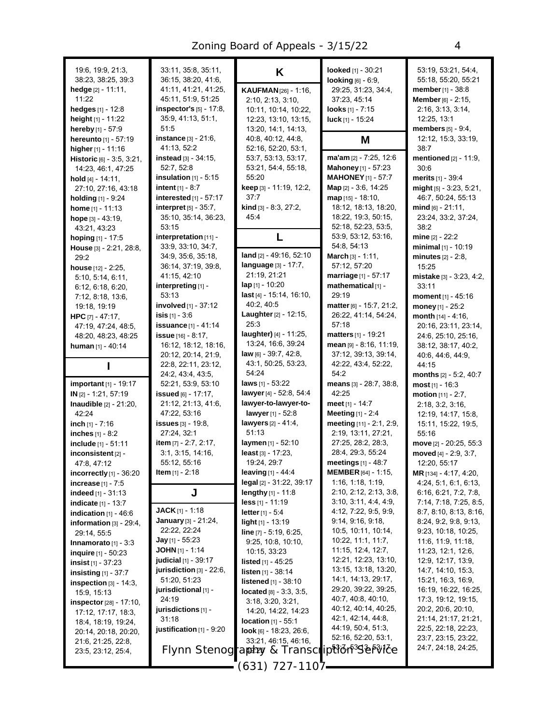| 19:6, 19:9, 21:3,<br>38:23, 38:25, 39:3               | 33:11, 35:8, 35:11,<br>36:15, 38:20, 41:6,        | K                                                    | looked [1] - 30:21<br>looking [6] - 6:9,    | 53:19, 53:21, 54:4,<br>55:18, 55:20, 55:21       |
|-------------------------------------------------------|---------------------------------------------------|------------------------------------------------------|---------------------------------------------|--------------------------------------------------|
| hedge [2] - 11:11,                                    | 41:11, 41:21, 41:25,                              | KAUFMAN [26] - 1:16,                                 | 29.25, 31:23, 34.4,                         | member [1] - 38:8                                |
| 11:22                                                 | 45:11, 51:9, 51:25                                | 2:10, 2:13, 3:10,                                    | 37:23, 45:14                                | Member [6] - 2:15,                               |
| hedges $[1] - 12.8$                                   | inspector's [5] - 17:8,                           | 10:11, 10:14, 10:22,                                 | looks $[1] - 7:15$                          | 2:16, 3:13, 3:14,                                |
| height [1] - 11:22                                    | 35.9, 41.13, 51.1,                                | 12:23, 13:10, 13:15,                                 | luck [1] - 15:24                            | 12:25, 13:1                                      |
| hereby [1] - 57:9                                     | 51:5                                              | 13:20, 14:1, 14:13,                                  |                                             | <b>members</b> $[5] - 9.4$ ,                     |
| hereunto [1] - 57:19                                  | <b>instance</b> $[3] - 21:6$ ,                    | 40:8, 40:12, 44:8,                                   | M                                           | 12:12, 15:3, 33:19,                              |
| higher [1] - 11:16                                    | 41:13, 52:2                                       | 52:16, 52:20, 53:1,                                  |                                             | 38:7                                             |
| Historic [6] - 3:5, 3:21,                             | instead [3] - 34:15.                              | 53:7, 53:13, 53:17,                                  | ma'am [2] - 7:25, 12:6                      | mentioned [2] - 11:9,                            |
| 14:23, 46:1, 47:25                                    | 52.7, 52.8                                        | 53:21, 54:4, 55:18,                                  | <b>Mahoney</b> [1] - 57:23                  | 30.6                                             |
| hold $[4] - 14.11$ ,                                  | insulation $[1]$ - 5:15                           | 55:20                                                | <b>MAHONEY</b> [1] - 57:7                   | <b>merits</b> $[1] - 39.4$                       |
| 27:10, 27:16, 43:18                                   | <b>intent</b> $[1] - 8:7$                         | <b>keep</b> [3] - 11:19, 12:2,                       | <b>Map</b> $[2] - 3.6, 14.25$               | $mid$ [5] - 3:23, 5:21,                          |
| holding [1] - 9:24                                    | interested [1] - 57:17<br>interpret $[5]$ - 35:7, | 37:7<br>kind [3] - 8:3, 27:2,                        | $map$ [15] - 18:10,<br>18:12, 18:13, 18:20, | 46:7, 50:24, 55:13<br>$mid_{[6]}$ - 21:11,       |
| home $[1] - 11:13$                                    | 35:10, 35:14, 36:23,                              | 45.4                                                 | 18:22, 19:3, 50:15,                         | 23:24, 33:2, 37:24,                              |
| hope $[3] - 43:19$ ,<br>43:21, 43:23                  | 53:15                                             |                                                      | 52:18, 52:23, 53:5,                         | 38:2                                             |
| hoping [1] - 17:5                                     | interpretation [11] -                             | L                                                    | 53:9, 53:12, 53:16,                         | mine $[2] - 22:2$                                |
| House [3] - 2:21, 28:8,                               | 33:9, 33:10, 34:7,                                |                                                      | 54:8, 54:13                                 | minimal [1] - 10:19                              |
| 29.2                                                  | 34.9, 35.6, 35.18,                                | land [2] - 49:16, 52:10                              | March [3] - 1:11,                           | <b>minutes</b> $[2] - 2:8$ ,                     |
| house [12] - 2:25,                                    | 36:14, 37:19, 39:8,                               | language [3] - 17:7,                                 | 57:12, 57:20                                | 15:25                                            |
| 5:10, 5:14, 6:11,                                     | 41:15, 42:10                                      | 21:19, 21:21                                         | marriage [1] - 57:17                        | mistake [3] - 3:23, 4:2,                         |
| 6:12, 6:18, 6:20,                                     | interpreting [1] -                                | $\ln 11 - 10:20$                                     | mathematical [1] -                          | 33:11                                            |
| 7:12, 8:18, 13:6,                                     | 53:13                                             | last [4] - 15:14, 16:10,                             | 29:19                                       | moment [1] - 45:16                               |
| 19:18, 19:19                                          | <b>involved</b> $[1]$ - 37:12                     | 40:2, 40:5                                           | matter [6] - 15:7, 21:2,                    | money $[1] - 25:2$                               |
| HPC $[7] - 47:17$ ,                                   | <b>isis</b> $[1]$ - 3:6                           | Laughter [2] - 12:15,                                | 26:22, 41:14, 54:24,                        | month [14] - 4:16,                               |
| 47:19, 47:24, 48:5,                                   | issuance [1] - 41:14                              | 25:3                                                 | 57:18                                       | 20:16, 23:11, 23:14,                             |
| 48.20, 48.23, 48.25                                   | issue $[16] - 8:17$ ,                             | laughter) [4] - 11:25,                               | matters [1] - 19:21                         | 24:6, 25:10, 25:16,                              |
| human $[1] - 40:14$                                   | 16:12, 18:12, 18:16,                              | 13:24, 16:6, 39:24<br><b>law</b> $[6]$ - 39:7, 42:8, | mean [9] - 8:16, 11:19,                     | 38:12, 38:17, 40:2,                              |
|                                                       | 20:12, 20:14, 21:9,<br>22:8, 22:11, 23:12,        | 43:1, 50:25, 53:23,                                  | 37:12, 39:13, 39:14,<br>42.22, 43.4, 52:22, | 40.6, 44.6, 44.9,<br>44:15                       |
|                                                       | 24:2, 43:4, 43:5,                                 | 54:24                                                | 54:2                                        | months [2] - 5:2, 40:7                           |
| <b>important</b> [1] - 19:17                          | 52:21, 53:9, 53:10                                | <b>laws</b> $[1]$ - 53:22                            | means [3] - 28:7, 38:8,                     | $most [1] - 16:3$                                |
| IN [2] - 1:21, 57:19                                  | issued $[6] - 17:17$ ,                            | lawyer [4] - 52:8, 54:4                              | 42:25                                       | motion $[11] - 2:7$ ,                            |
| <b>Inaudible</b> $[2] - 21:20$ ,                      | 21:12, 21:13, 41:6,                               | lawyer-to-lawyer-to-                                 | <b>meet</b> [1] - 14:7                      | 2:18, 3:2, 3:16,                                 |
| 42:24                                                 | 47:22, 53:16                                      | lawyer [1] - 52:8                                    | Meeting $[1] - 2.4$                         | 12:19, 14:17, 15:8,                              |
| inch $[1] - 7:16$                                     | issues $[3] - 19.8$ ,                             | lawyers [2] - 41:4,                                  | meeting [11] - 2:1, 2:9,                    | 15:11, 15:22, 19:5,                              |
| inches [1] - 8:2                                      | 27:24, 32:1                                       | 51:13                                                | 2:19, 13:11, 27:21,                         | 55:16                                            |
| include [1] - 51:11                                   | item [7] - 2:7, 2:17,                             | laymen $[1] - 52:10$                                 | 27:25, 28:2, 28:3,                          | move [2] - 20:25, 55:3                           |
| inconsistent [2] -                                    | 3:1, 3:15, 14:16,                                 | $least [3] - 17:23$                                  | 28:4, 29:3, 55:24                           | moved [4] - 2:9, 3:7,                            |
| 47:8, 47:12                                           | 55:12, 55:16                                      | 19:24, 29:7                                          | <b>meetings</b> $[1] - 48.7$                | 12:20, 55:17                                     |
| incorrectly $[1]$ - 36:20                             | <b>Item</b> [1] - 2:18                            | <b>leaving</b> $[1] - 44.4$                          | <b>MEMBER</b> [64] - 1:15,                  | <b>MR</b> [134] - 4:17, 4:20,                    |
| <b>increase</b> $[1] - 7:5$                           |                                                   | legal [2] - 31:22, 39:17                             | 1:16, 1:18, 1:19,<br>2:10, 2:12, 2:13, 3:8, | 4:24, 5:1, 6:1, 6:13,                            |
| <b>indeed</b> $[1] - 31:13$                           | J                                                 | lengthy [1] - 11:8                                   | 3:10, 3:11, 4:4, 4:9,                       | 6:16, 6:21, 7:2, 7:8,                            |
| <b>indicate</b> $[1]$ - 13:7                          | <b>JACK</b> $[1]$ - 1:18                          | $less$ [1] - 11:19<br><b>letter</b> $[1] - 5:4$      | 4:12, 7:22, 9:5, 9:9,                       | 7:14, 7:18, 7:25, 8:5,<br>8:7, 8:10, 8:13, 8:16, |
| indication $[1] - 46.6$<br>information $[3] - 29.4$ , | <b>January</b> [3] - 21:24,                       | light [1] - 13:19                                    | 9:14, 9:16, 9:18,                           | 8:24, 9:2, 9:8, 9:13,                            |
| 29:14, 55:5                                           | 22:22, 22:24                                      | line [7] - 5:19, 6:25,                               | 10:5, 10:11, 10:14,                         | 9:23, 10:18, 10:25,                              |
| Innamorato $[1] - 3.3$                                | <b>Jay</b> [1] - 55:23                            | 9:25, 10:8, 10:10,                                   | 10:22, 11:1, 11:7,                          | 11:6, 11:9, 11:18,                               |
| inquire [1] - 50:23                                   | <b>JOHN</b> [1] - 1:14                            | 10:15, 33:23                                         | 11:15, 12:4, 12:7,                          | 11:23, 12:1, 12:6,                               |
| insist $[1] - 37:23$                                  | <b>judicial</b> $[1]$ - 39:17                     | <b>listed</b> $[1] - 45.25$                          | 12:21, 12:23, 13:10,                        | 12.9, 12.17, 13.9,                               |
| insisting $[1]$ - 37:7                                | jurisdiction $[3]$ - 22:6,                        | listen [1] - 38:14                                   | 13:15, 13:18, 13:20,                        | 14:7, 14:10, 15:3,                               |
| inspection $[3] - 14.3$ ,                             | 51:20, 51:23                                      | <b>listened</b> $[1] - 38:10$                        | 14:1, 14:13, 29:17,                         | 15:21, 16:3, 16:9,                               |
| 15:9, 15:13                                           | jurisdictional [1] -                              | located [8] - 3:3, 3:5,                              | 29:20, 39:22, 39:25,                        | 16:19, 16:22, 16:25,                             |
| inspector [28] - 17:10,                               | 24:19                                             | 3:18, 3:20, 3:21,                                    | 40:7, 40:8, 40:10,                          | 17:3, 19:12, 19:15,                              |
| 17:12, 17:17, 18:3,                                   | jurisdictions $[1]$ -                             | 14:20, 14:22, 14:23                                  | 40:12, 40:14, 40:25,                        | 20:2, 20:6, 20:10,                               |
| 18:4, 18:19, 19:24,                                   | 31:18                                             | location [1] - 55:1                                  | 42:1, 42:14, 44:8,<br>44:19, 50:4, 51:3,    | 21:14, 21:17, 21:21,<br>22.5, 22.18, 22.23,      |
| 20:14, 20:18, 20:20,                                  | justification $[1]$ - $9:20$                      | look [6] - 18:23, 26:6,                              | 52:16, 52:20, 53:1,                         | 23:7, 23:15, 23:22,                              |
| 21:6, 21:25, 22:8,                                    |                                                   | 33:21, 46:15, 46:16,                                 | TOMOP SERVICE                               | 24:7, 24:18, 24:25,                              |
| 23:5, 23:12, 25:4,                                    |                                                   | Flynn Stenography & Transcl                          |                                             |                                                  |
|                                                       |                                                   | –1107 - 127 - 1107                                   |                                             |                                                  |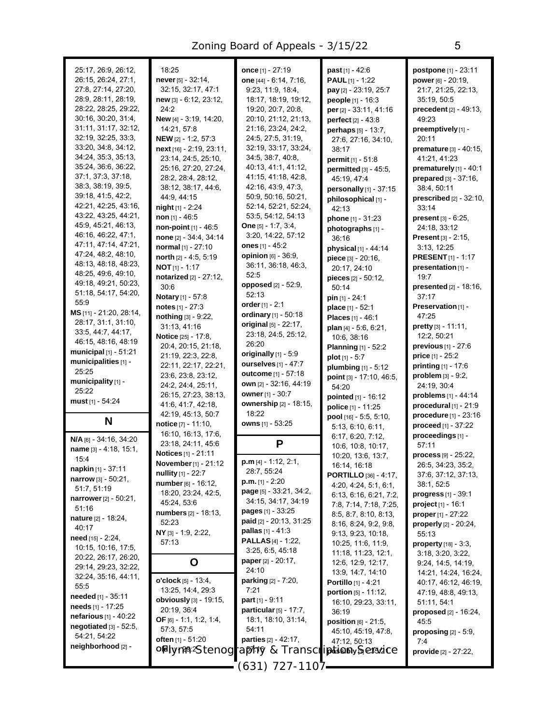| 25:17, 26:9, 26:12,<br>26:15, 26:24, 27:1,<br>27:8, 27:14, 27:20,<br>28.9, 28.11, 28.19, | 18:25<br>never [5] - 32:14,<br>32:15, 32:17, 47:1<br>new [3] - 6:12, 23:12, | once [1] - 27:19<br>one [44] - 6:14, 7:16,<br>9:23, 11:9, 18:4,<br>18:17, 18:19, 19:12, | past [1] - 42:6<br><b>PAUL</b> $[1]$ - 1:22<br>pay [2] - 23:19, 25:7<br>people [1] - 16:3 | postpone [1] - 23:11<br>power [6] - 20:19,<br>21:7, 21:25, 22:13,<br>35:19, 50:5 |
|------------------------------------------------------------------------------------------|-----------------------------------------------------------------------------|-----------------------------------------------------------------------------------------|-------------------------------------------------------------------------------------------|----------------------------------------------------------------------------------|
| 28:22, 28:25, 29:22,                                                                     | 24:2                                                                        | 19:20, 20:7, 20:8,                                                                      | per [2] - 33:11, 41:16                                                                    | precedent [2] - 49:13,                                                           |
| 30:16, 30:20, 31:4,                                                                      | New [4] - 3:19, 14:20,                                                      | 20:10, 21:12, 21:13,                                                                    | perfect [2] - 43:8                                                                        | 49:23                                                                            |
| 31:11, 31:17, 32:12,                                                                     | 14:21, 57:8                                                                 | 21:16, 23:24, 24:2,                                                                     | perhaps [5] - 13:7,                                                                       | preemptively [1] -                                                               |
| 32:19, 32:25, 33:3,                                                                      | <b>NEW</b> [2] - 1:2, 57:3                                                  | 24:5, 27:5, 31:19,                                                                      | 27:6, 27:16, 34:10,                                                                       | 20:11                                                                            |
| 33:20, 34:8, 34:12,<br>34:24, 35:3, 35:13,                                               | next [16] - 2:19, 23:11,                                                    | 32:19, 33:17, 33:24,<br>34:5, 38:7, 40:8,                                               | 38:17                                                                                     | premature [3] - 40:15,                                                           |
| 35:24, 36:6, 36:22,                                                                      | 23:14, 24:5, 25:10,<br>25:16, 27:20, 27:24,                                 | 40:13, 41:1, 41:12,                                                                     | permit [1] - 51:8<br>permitted [3] - 45:5,                                                | 41:21, 41:23<br>prematurely [1] - 40:1                                           |
| 37:1, 37:3, 37:18,                                                                       | 28:2, 28:4, 28:12,                                                          | 41:15, 41:18, 42:8,                                                                     | 45:19, 47:4                                                                               | prepared [3] - 37:16,                                                            |
| 38:3, 38:19, 39:5,                                                                       | 38:12, 38:17, 44:6,                                                         | 42:16, 43:9, 47:3,                                                                      | personally [1] - 37:15                                                                    | 38:4, 50:11                                                                      |
| 39:18, 41:5, 42:2,                                                                       | 44:9, 44:15                                                                 | 50:9, 50:16, 50:21,                                                                     | philosophical [1] -                                                                       | prescribed [2] - 32:10,                                                          |
| 42:21, 42:25, 43:16,                                                                     | <b>night</b> $[1] - 2.24$                                                   | 52:14, 52:21, 52:24,                                                                    | 42:13                                                                                     | 33:14                                                                            |
| 43:22, 43:25, 44:21,                                                                     | non $[1] - 46.5$                                                            | 53:5, 54:12, 54:13                                                                      | phone [1] - 31:23                                                                         | <b>present</b> $[3] - 6:25$ ,                                                    |
| 45:9, 45:21, 46:13,<br>46:16, 46:22, 47:1,                                               | non-point $[1]$ - 46:5                                                      | <b>One</b> $[5] - 1.7, 3.4,$                                                            | photographs [1] -                                                                         | 24:18, 33:12                                                                     |
| 47:11, 47:14, 47:21,                                                                     | none [2] - 34:4, 34:14                                                      | 3:20, 14:22, 57:12                                                                      | 36:16                                                                                     | <b>Present</b> $[3] - 2:15$ ,                                                    |
| 47:24, 48:2, 48:10,                                                                      | normal [1] - 27:10                                                          | ones $[1] - 45.2$<br>opinion [6] - 36:9,                                                | physical [1] - 44:14                                                                      | 3:13, 12:25                                                                      |
| 48:13, 48:18, 48:23,                                                                     | north [2] - 4:5, 5:19<br><b>NOT</b> $[1] - 1:17$                            | 36:11, 36:18, 46:3,                                                                     | piece [3] - 20:16,                                                                        | <b>PRESENT</b> [1] - 1:17                                                        |
| 48:25, 49:6, 49:10,                                                                      | notarized [2] - 27:12,                                                      | 52:5                                                                                    | 20:17, 24:10                                                                              | presentation [1] -<br>19:7                                                       |
| 49:18, 49:21, 50:23,                                                                     | 30:6                                                                        | opposed [2] - 52:9,                                                                     | pieces [2] - 50:12,<br>50:14                                                              | <b>presented</b> $[2] - 18:16$ ,                                                 |
| 51:18, 54:17, 54:20,                                                                     | Notary [1] - 57:8                                                           | 52:13                                                                                   | $pin [1] - 24:1$                                                                          | 37:17                                                                            |
| 55.9                                                                                     | notes $[1] - 27:3$                                                          | order $[1] - 2:1$                                                                       | place [1] - 52:1                                                                          | Preservation [1] -                                                               |
| MS [11] - 21:20, 28:14,                                                                  | nothing [3] - 9:22,                                                         | ordinary [1] - 50:18                                                                    | Places [1] - 46:1                                                                         | 47:25                                                                            |
| 28:17, 31:1, 31:10,                                                                      | 31:13, 41:16                                                                | original [5] - 22:17,                                                                   | plan [4] - 5:6, 6:21,                                                                     | pretty [3] - 11:11,                                                              |
| 33.5, 44.7, 44.17,<br>46:15, 48:16, 48:19                                                | Notice [25] - 17:8,                                                         | 23:18, 24:5, 25:12,                                                                     | 10:6, 38:16                                                                               | 12:2, 50:21                                                                      |
| municipal $[1]$ - 51:21                                                                  | 20.4, 20.15, 21:18,                                                         | 26:20                                                                                   | <b>Planning</b> [1] - 52:2                                                                | <b>previous</b> $[1] - 27:6$                                                     |
| municipalities [1] -                                                                     | 21:19, 22:3, 22:8,                                                          | originally $[1]$ - 5:9<br>ourselves [1] - 47:7                                          | plot $[1] - 5:7$                                                                          | <b>price</b> $[1] - 25:2$                                                        |
| 25:25                                                                                    | 22:11, 22:17, 22:21,<br>23.6, 23.8, 23.12,                                  | <b>outcome</b> $[1] - 57:18$                                                            | plumbing [1] - 5:12                                                                       | <b>printing</b> $[1] - 17:6$<br>problem [3] - 9:2,                               |
| municipality [1] -                                                                       | 24:2, 24:4, 25:11,                                                          | own [2] - 32:16, 44:19                                                                  | point [3] - 17:10, 46:5,<br>54:20                                                         | 24:19, 30:4                                                                      |
| 25:22                                                                                    | 26:15, 27:23, 38:13,                                                        | owner [1] - 30:7                                                                        | pointed [1] - 16:12                                                                       | problems [1] - 44:14                                                             |
| must [1] - 54:24                                                                         | 41:6, 41:7, 42:18,                                                          | ownership [2] - 18:15,                                                                  | police [1] - 11:25                                                                        | procedural $[1]$ - 21:9                                                          |
|                                                                                          | 42:19, 45:13, 50:7                                                          | 18:22                                                                                   | pool [16] - 5:5, 5:10,                                                                    | procedure [1] - 23:16                                                            |
| N                                                                                        | notice [7] - 11:10,                                                         | owns [1] - 53:25                                                                        | 5:13, 6:10, 6:11,                                                                         | proceed [1] - 37:22                                                              |
| N/A [6] - 34:16, 34:20                                                                   | 16:10, 16:13, 17:6,                                                         |                                                                                         | 6:17, 6:20, 7:12,                                                                         | proceedings [1] -                                                                |
| name [3] - 4:18, 15:1,                                                                   | 23:18, 24:11, 45:6                                                          | P                                                                                       | 10:6, 10:8, 10:17,                                                                        | 57:11                                                                            |
| 15:4                                                                                     | Notices [1] - 21:11<br>November [1] - 21:12                                 | $p.m$ [4] - 1:12, 2:1,                                                                  | 10:20, 13:6, 13:7,                                                                        | $process$ [9] - 25:22,                                                           |
| napkin [1] - 37:11                                                                       | nullity [1] - 22:7                                                          | 28:7, 55:24                                                                             | 16:14, 16:18                                                                              | 26:5, 34:23, 35:2,<br>37:6, 37:12, 37:13,                                        |
| <b>narrow</b> $[3] - 50:21$ ,                                                            | number [6] - 16:12,                                                         | <b>p.m.</b> $[1] - 2:20$                                                                | <b>PORTILLO</b> [36] - 4:17,<br>4:20, 4:24, 5:1, 6:1,                                     | 38:1, 52:5                                                                       |
| 51:7, 51:19                                                                              | 18:20, 23:24, 42:5,                                                         | <b>page</b> $[5]$ - 33:21, 34:2,                                                        | 6:13, 6:16, 6:21, 7:2,                                                                    | <b>progress</b> $[1] - 39.1$                                                     |
| <b>narrower</b> [2] - 50:21,<br>51:16                                                    | 45:24, 53:6                                                                 | 34:15, 34:17, 34:19                                                                     | 7:8, 7:14, 7:18, 7:25,                                                                    | <b>project</b> $[1] - 16:1$                                                      |
| nature [2] - 18:24,                                                                      | <b>numbers</b> [2] - 18:13,                                                 | <b>pages</b> [1] - $33:25$                                                              | 8:5, 8:7, 8:10, 8:13,                                                                     | <b>proper</b> $[1] - 27:22$                                                      |
| 40:17                                                                                    | 52:23                                                                       | paid [2] - 20:13, 31:25                                                                 | 8:16, 8:24, 9:2, 9:8,                                                                     | properly [2] - 20:24,                                                            |
| need [15] - 2:24,                                                                        | NY [3] - 1:9, 2:22,                                                         | <b>pallas</b> $[1] - 41:3$<br><b>PALLAS</b> $[4] - 1:22$ ,                              | 9:13, 9:23, 10:18,                                                                        | 55:13                                                                            |
| 10:15, 10:16, 17:5,                                                                      | 57:13                                                                       | 3:25, 6.5, 45.18                                                                        | 10:25, 11:6, 11:9,                                                                        | <b>property</b> $[18] - 3.3$ ,                                                   |
| 20:22, 26:17, 26:20,                                                                     | O                                                                           | <b>paper</b> [2] - 20:17,                                                               | 11:18, 11:23, 12:1,<br>12:6, 12:9, 12:17,                                                 | 3:18, 3:20, 3:22,<br>9:24, 14:5, 14:19,                                          |
| 29:14, 29:23, 32:22,                                                                     |                                                                             | 24:10                                                                                   | 13.9, 14.7, 14.10                                                                         | 14:21, 14:24, 16:24,                                                             |
| 32:24, 35:16, 44:11,                                                                     | o'clock [5] - 13:4,                                                         | <b>parking</b> $[2] - 7:20$ ,                                                           | <b>Portillo</b> [1] - 4:21                                                                | 40:17, 46:12, 46:19,                                                             |
| 55.5                                                                                     | 13:25, 14:4, 29:3                                                           | 7:21                                                                                    | portion [5] - 11:12,                                                                      | 47:19, 48:8, 49:13,                                                              |
| <b>needed</b> [1] - $35:11$<br>needs $[1]$ - 17:25                                       | <b>obviously</b> $[3] - 19:15$ ,                                            | part $[1] - 9.11$                                                                       | 16:10, 29:23, 33:11,                                                                      | 51:11, 54:1                                                                      |
| <b>nefarious</b> $[1] - 40:22$                                                           | 20:19, 36:4                                                                 | particular [5] - 17:7,                                                                  | 36:19                                                                                     | <b>proposed</b> $[2] - 16:24$ ,                                                  |
| negotiated $[3]$ - 52:5,                                                                 | <b>OF</b> [6] - 1:1, 1:2, 1:4,                                              | 18:1, 18:10, 31:14,                                                                     | <b>position</b> $[6] - 21.5$ ,                                                            | 45:5                                                                             |
| 54:21, 54:22                                                                             | 57:3, 57:5<br>often [1] - 51:20                                             | 54:11<br>parties [2] - 42:17,                                                           | 45:10, 45:19, 47:8,                                                                       | proposing $[2] - 5.9$ ,                                                          |
| neighborhood [2] -                                                                       | oldFy <i>y14912Stenog</i>                                                   | raphy & Transcripation Seisince                                                         | 47:12, 50:13                                                                              | 7:4                                                                              |
|                                                                                          |                                                                             |                                                                                         |                                                                                           | provide [2] - 27:22,                                                             |
|                                                                                          |                                                                             | 1107 - 127 - 1107                                                                       |                                                                                           |                                                                                  |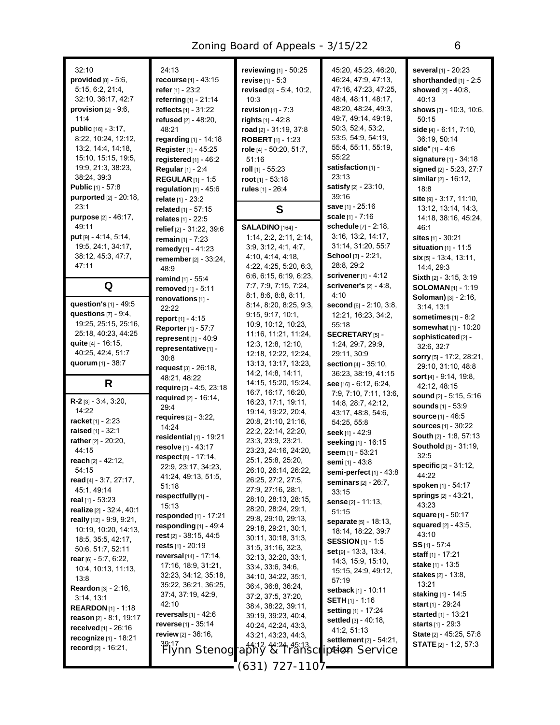| 32:10<br>provided $[8] - 5.6$ ,<br>5:15, 6:2, 21:4,<br>32:10, 36:17, 42:7<br>provision $[2] - 9.6$ ,<br>11:4<br>public [16] - 3:17,<br>8:22, 10:24, 12:12,<br>13:2, 14:4, 14:18,<br>15:10, 15:15, 19:5,<br>19.9, 21:3, 38:23,<br>38:24, 39:3<br><b>Public</b> $[1] - 57:8$<br><b>purported</b> [2] - 20:18,<br>23:1 | 24:13<br><b>recourse</b> $[1] - 43.15$<br>refer $[1] - 23:2$<br>referring [1] - 21:14<br>reflects [1] - 31:22<br><b>refused</b> [2] - 48:20,<br>48:21<br>regarding $[1] - 14:18$<br>Register [1] - 45:25<br>registered $[1]$ - 46:2<br>Regular [1] - 2:4<br><b>REGULAR</b> [1] - 1:5<br>regulation $[1]$ - 45:6<br>relate [1] - 23:2<br>related [1] - 57:15 | reviewing [1] - 50:25<br><b>revise</b> $[1] - 5:3$<br>revised [3] - 5:4, 10:2,<br>10:3<br>revision $[1] - 7:3$<br>rights $[1] - 42.8$<br>road [2] - 31:19, 37:8<br><b>ROBERT</b> [1] - 1:23<br>role [4] - 50:20, 51:7,<br>51:16<br>roll [1] - 55:23<br>root $[1]$ - 53:18<br>rules [1] - 26:4<br>S | 45:20, 45:23, 46:20,<br>46.24, 47.9, 47.13,<br>47:16, 47:23, 47:25,<br>48.4, 48.11, 48.17,<br>48:20, 48:24, 49:3,<br>49:7, 49:14, 49:19,<br>50:3, 52:4, 53:2,<br>53.5, 54.9, 54.19,<br>55:4, 55:11, 55:19,<br>55:22<br>satisfaction [1] -<br>23:13<br>satisfy [2] - 23:10,<br>39:16<br>save [1] - 25:16 | several [1] - 20:23<br>shorthanded [1] - 2:5<br>showed [2] - 40:8,<br>40:13<br>shows $[3]$ - 10.3, 10.6,<br>50:15<br>side [4] - 6:11, 7:10,<br>36:19, 50:14<br>side" $[1] - 4:6$<br><b>signature</b> $[1] - 34.18$<br>signed [2] - 5:23, 27:7<br>similar $[2] - 16:12$ ,<br>18:8<br>site [9] - 3:17, 11:10,<br>13.12, 13.14, 14.3, |
|---------------------------------------------------------------------------------------------------------------------------------------------------------------------------------------------------------------------------------------------------------------------------------------------------------------------|-------------------------------------------------------------------------------------------------------------------------------------------------------------------------------------------------------------------------------------------------------------------------------------------------------------------------------------------------------------|----------------------------------------------------------------------------------------------------------------------------------------------------------------------------------------------------------------------------------------------------------------------------------------------------|---------------------------------------------------------------------------------------------------------------------------------------------------------------------------------------------------------------------------------------------------------------------------------------------------------|------------------------------------------------------------------------------------------------------------------------------------------------------------------------------------------------------------------------------------------------------------------------------------------------------------------------------------|
| purpose [2] - 46:17,<br>49:11                                                                                                                                                                                                                                                                                       | relates [1] - 22:5                                                                                                                                                                                                                                                                                                                                          | SALADINO [164] -                                                                                                                                                                                                                                                                                   | scale $[1] - 7.16$<br>schedule [7] - 2:18,                                                                                                                                                                                                                                                              | 14:18, 38:16, 45:24,                                                                                                                                                                                                                                                                                                               |
| put [9] - 4:14, 5:14,                                                                                                                                                                                                                                                                                               | relief [2] - 31:22, 39:6<br>remain $[1] - 7:23$                                                                                                                                                                                                                                                                                                             | 1:14, 2:2, 2:11, 2:14,                                                                                                                                                                                                                                                                             | 3:16, 13:2, 14:17,                                                                                                                                                                                                                                                                                      | 46:1<br><b>sites</b> [1] - 30:21                                                                                                                                                                                                                                                                                                   |
| 19:5, 24:1, 34:17,                                                                                                                                                                                                                                                                                                  | remedy [1] - 41:23                                                                                                                                                                                                                                                                                                                                          | 3.9, 3.12, 4.1, 4.7,                                                                                                                                                                                                                                                                               | 31:14, 31:20, 55:7                                                                                                                                                                                                                                                                                      | situation $[1]$ - 11:5                                                                                                                                                                                                                                                                                                             |
| 38:12, 45:3, 47:7,                                                                                                                                                                                                                                                                                                  | remember [2] - 33:24,                                                                                                                                                                                                                                                                                                                                       | 4:10, 4:14, 4:18,                                                                                                                                                                                                                                                                                  | School [3] - 2:21,                                                                                                                                                                                                                                                                                      | $\sin$ [5] - 13.4, 13.11,                                                                                                                                                                                                                                                                                                          |
| 47:11                                                                                                                                                                                                                                                                                                               | 48.9                                                                                                                                                                                                                                                                                                                                                        | 4:22, 4:25, 5:20, 6:3,                                                                                                                                                                                                                                                                             | 28:8, 29:2                                                                                                                                                                                                                                                                                              | 14:4, 29:3                                                                                                                                                                                                                                                                                                                         |
| Q                                                                                                                                                                                                                                                                                                                   | remind $[1] - 55:4$                                                                                                                                                                                                                                                                                                                                         | 6.6, 6.15, 6.19, 6.23,<br>7.7, 7.9, 7.15, 7.24,                                                                                                                                                                                                                                                    | scrivener $[1] - 4.12$<br>scrivener's $[2] - 4.8$ ,                                                                                                                                                                                                                                                     | <b>Sixth</b> $[2] - 3:15, 3:19$                                                                                                                                                                                                                                                                                                    |
|                                                                                                                                                                                                                                                                                                                     | removed [1] - 5:11                                                                                                                                                                                                                                                                                                                                          | 8:1, 8:6, 8:8, 8:11,                                                                                                                                                                                                                                                                               | 4:10                                                                                                                                                                                                                                                                                                    | <b>SOLOMAN</b> [1] - 1:19<br>Soloman) [3] - 2:16,                                                                                                                                                                                                                                                                                  |
| question's [1] - 49:5                                                                                                                                                                                                                                                                                               | renovations [1] -<br>22:22                                                                                                                                                                                                                                                                                                                                  | 8:14, 8:20, 8:25, 9:3,                                                                                                                                                                                                                                                                             | second [6] - 2:10, 3:8,                                                                                                                                                                                                                                                                                 | 3:14, 13:1                                                                                                                                                                                                                                                                                                                         |
| questions $[7] - 9.4$ ,                                                                                                                                                                                                                                                                                             | report $[1] - 4:15$                                                                                                                                                                                                                                                                                                                                         | 9:15, 9:17, 10:1,                                                                                                                                                                                                                                                                                  | 12:21, 16:23, 34:2,                                                                                                                                                                                                                                                                                     | sometimes $[1] - 8:2$                                                                                                                                                                                                                                                                                                              |
| 19:25, 25:15, 25:16,                                                                                                                                                                                                                                                                                                | <b>Reporter</b> [1] - 57:7                                                                                                                                                                                                                                                                                                                                  | 10:9, 10:12, 10:23,                                                                                                                                                                                                                                                                                | 55:18                                                                                                                                                                                                                                                                                                   | somewhat [1] - 10:20                                                                                                                                                                                                                                                                                                               |
| 25:18, 40:23, 44:25                                                                                                                                                                                                                                                                                                 | represent [1] - 40:9                                                                                                                                                                                                                                                                                                                                        | 11:16, 11:21, 11:24,                                                                                                                                                                                                                                                                               | SECRETARY <sub>[5]</sub> -                                                                                                                                                                                                                                                                              | sophisticated [2] -                                                                                                                                                                                                                                                                                                                |
| quite [4] - 16:15,<br>40.25, 42.4, 51.7                                                                                                                                                                                                                                                                             | representative [1] -                                                                                                                                                                                                                                                                                                                                        | 12:3, 12:8, 12:10,<br>12:18, 12:22, 12:24,                                                                                                                                                                                                                                                         | 1:24, 29:7, 29:9,<br>29:11, 30:9                                                                                                                                                                                                                                                                        | 32:6, 32:7                                                                                                                                                                                                                                                                                                                         |
| quorum $[1] - 38.7$                                                                                                                                                                                                                                                                                                 | 30:8                                                                                                                                                                                                                                                                                                                                                        | 13:13, 13:17, 13:23,                                                                                                                                                                                                                                                                               | section [4] - 35:10,                                                                                                                                                                                                                                                                                    | sorry [5] - 17:2, 28:21,                                                                                                                                                                                                                                                                                                           |
|                                                                                                                                                                                                                                                                                                                     | $request$ [3] - 26:18,                                                                                                                                                                                                                                                                                                                                      | 14:2, 14:8, 14:11,                                                                                                                                                                                                                                                                                 | 36:23, 38:19, 41:15                                                                                                                                                                                                                                                                                     | 29:10, 31:10, 48:8<br>sort [4] - 9:14, 19:8,                                                                                                                                                                                                                                                                                       |
| R                                                                                                                                                                                                                                                                                                                   | 48.21, 48.22<br>require [2] - 4:5, 23:18                                                                                                                                                                                                                                                                                                                    | 14:15, 15:20, 15:24,                                                                                                                                                                                                                                                                               | see [16] - 6:12, 6:24,                                                                                                                                                                                                                                                                                  | 42:12, 48:15                                                                                                                                                                                                                                                                                                                       |
|                                                                                                                                                                                                                                                                                                                     | required $[2] - 16:14$ ,                                                                                                                                                                                                                                                                                                                                    | 16:7, 16:17, 16:20,                                                                                                                                                                                                                                                                                | 7:9, 7:10, 7:11, 13:6,                                                                                                                                                                                                                                                                                  | sound $[2] - 5.15, 5.16$                                                                                                                                                                                                                                                                                                           |
| $R-2$ [3] $-3.4$ , 3.20,<br>14:22                                                                                                                                                                                                                                                                                   | 29:4                                                                                                                                                                                                                                                                                                                                                        | 16:23, 17:1, 19:11,                                                                                                                                                                                                                                                                                | 14:8, 28:7, 42:12,                                                                                                                                                                                                                                                                                      | <b>sounds</b> $[1] - 53.9$                                                                                                                                                                                                                                                                                                         |
| racket <sub>[1]</sub> - 2:23                                                                                                                                                                                                                                                                                        | requires $[2] - 3:22$ ,                                                                                                                                                                                                                                                                                                                                     | 19:14, 19:22, 20:4,<br>20:8, 21:10, 21:16,                                                                                                                                                                                                                                                         | 43:17, 48:8, 54:6,                                                                                                                                                                                                                                                                                      | <b>source</b> $[1] - 46.5$                                                                                                                                                                                                                                                                                                         |
| raised [1] - 32:1                                                                                                                                                                                                                                                                                                   | 14:24                                                                                                                                                                                                                                                                                                                                                       | 22:2, 22:14, 22:20,                                                                                                                                                                                                                                                                                | 54:25, 55:8<br>seek $[1] - 42.9$                                                                                                                                                                                                                                                                        | <b>sources</b> [1] - 30:22                                                                                                                                                                                                                                                                                                         |
| rather [2] - 20:20,                                                                                                                                                                                                                                                                                                 | residential $[1]$ - 19:21                                                                                                                                                                                                                                                                                                                                   | 23:3, 23:9, 23:21,                                                                                                                                                                                                                                                                                 | seeking [1] - 16:15                                                                                                                                                                                                                                                                                     | South [2] - 1:8, 57:13                                                                                                                                                                                                                                                                                                             |
| 44:15                                                                                                                                                                                                                                                                                                               | resolve [1] - 43:17                                                                                                                                                                                                                                                                                                                                         | 23:23, 24:16, 24:20,                                                                                                                                                                                                                                                                               | seem [1] - 53:21                                                                                                                                                                                                                                                                                        | Southold [3] - 31:19,                                                                                                                                                                                                                                                                                                              |
| reach [2] - 42:12,                                                                                                                                                                                                                                                                                                  | respect [8] - 17:14,                                                                                                                                                                                                                                                                                                                                        | 25:1, 25:8, 25:20,                                                                                                                                                                                                                                                                                 | semi [1] - 43:8                                                                                                                                                                                                                                                                                         | 32:5<br>specific [2] - 31:12,                                                                                                                                                                                                                                                                                                      |
| 54:15                                                                                                                                                                                                                                                                                                               | 22:9, 23:17, 34:23,<br>41:24, 49:13, 51:5,                                                                                                                                                                                                                                                                                                                  | 26:10, 26:14, 26:22,                                                                                                                                                                                                                                                                               | semi-perfect [1] - 43:8                                                                                                                                                                                                                                                                                 | 44:22                                                                                                                                                                                                                                                                                                                              |
| read $[4] - 3.7, 27.17$ ,                                                                                                                                                                                                                                                                                           | 51:18                                                                                                                                                                                                                                                                                                                                                       | 26:25, 27:2, 27:5,                                                                                                                                                                                                                                                                                 | <b>seminars</b> $[2] - 26:7$ ,                                                                                                                                                                                                                                                                          | <b>spoken</b> [1] - 54:17                                                                                                                                                                                                                                                                                                          |
| 45.1, 49.14                                                                                                                                                                                                                                                                                                         | respectfully [1] -                                                                                                                                                                                                                                                                                                                                          | 27:9, 27:16, 28:1,<br>28:10, 28:13, 28:15,                                                                                                                                                                                                                                                         | 33:15                                                                                                                                                                                                                                                                                                   | springs $[2] - 43.21$ ,                                                                                                                                                                                                                                                                                                            |
| real $[1]$ - 53:23<br>realize [2] - 32:4, 40:1                                                                                                                                                                                                                                                                      | 15:13                                                                                                                                                                                                                                                                                                                                                       | 28:20, 28:24, 29:1,                                                                                                                                                                                                                                                                                | <b>sense</b> [2] - 11:13,                                                                                                                                                                                                                                                                               | 43:23                                                                                                                                                                                                                                                                                                                              |
| really [12] - 9:9, 9:21,                                                                                                                                                                                                                                                                                            | <b>responded</b> $[1] - 17:21$                                                                                                                                                                                                                                                                                                                              | 29:8, 29:10, 29:13,                                                                                                                                                                                                                                                                                | 51:15<br><b>separate</b> [5] - 18:13,                                                                                                                                                                                                                                                                   | <b>square</b> [1] - 50:17                                                                                                                                                                                                                                                                                                          |
| 10:19, 10:20, 14:13,                                                                                                                                                                                                                                                                                                | responding $[1]$ - 49:4                                                                                                                                                                                                                                                                                                                                     | 29:18, 29:21, 30:1,                                                                                                                                                                                                                                                                                | 18:14, 18:22, 39:7                                                                                                                                                                                                                                                                                      | squared [2] - 43:5,                                                                                                                                                                                                                                                                                                                |
| 18:5, 35:5, 42:17,                                                                                                                                                                                                                                                                                                  | rest $[2]$ - 38:15, 44:5                                                                                                                                                                                                                                                                                                                                    | 30:11, 30:18, 31:3,                                                                                                                                                                                                                                                                                | <b>SESSION</b> [1] - 1:5                                                                                                                                                                                                                                                                                | 43:10                                                                                                                                                                                                                                                                                                                              |
| 50.6, 51:7, 52:11                                                                                                                                                                                                                                                                                                   | rests [1] - 20:19                                                                                                                                                                                                                                                                                                                                           | 31.5, 31.16, 32.3,                                                                                                                                                                                                                                                                                 | set [9] - 13:3, 13:4,                                                                                                                                                                                                                                                                                   | $SS$ [1] - 57:4<br>staff [1] - 17:21                                                                                                                                                                                                                                                                                               |
| rear $[6] - 5.7, 6.22,$                                                                                                                                                                                                                                                                                             | reversal [14] - 17:14,<br>17:16, 18:9, 31:21,                                                                                                                                                                                                                                                                                                               | 32:13, 32:20, 33:1,                                                                                                                                                                                                                                                                                | 14:3, 15:9, 15:10,                                                                                                                                                                                                                                                                                      | <b>stake</b> [1] - 13:5                                                                                                                                                                                                                                                                                                            |
| 10:4, 10:13, 11:13,                                                                                                                                                                                                                                                                                                 | 32:23, 34:12, 35:18,                                                                                                                                                                                                                                                                                                                                        | 33.4, 33.6, 34.6,<br>34:10, 34:22, 35:1,                                                                                                                                                                                                                                                           | 15:15, 24:9, 49:12,                                                                                                                                                                                                                                                                                     | <b>stakes</b> $[2] - 13.8$ ,                                                                                                                                                                                                                                                                                                       |
| 13:8                                                                                                                                                                                                                                                                                                                | 35:22, 36:21, 36:25,                                                                                                                                                                                                                                                                                                                                        | 36.4, 36.8, 36.24,                                                                                                                                                                                                                                                                                 | 57:19                                                                                                                                                                                                                                                                                                   | 13:21                                                                                                                                                                                                                                                                                                                              |
| <b>Reardon</b> $[3] - 2:16$ ,<br>3:14, 13:1                                                                                                                                                                                                                                                                         | 37.4, 37.19, 42.9,                                                                                                                                                                                                                                                                                                                                          | 37:2, 37:5, 37:20,                                                                                                                                                                                                                                                                                 | setback [1] - 10:11                                                                                                                                                                                                                                                                                     | <b>staking</b> [1] - 14:5                                                                                                                                                                                                                                                                                                          |
| <b>REARDON</b> $[1]$ - 1:18                                                                                                                                                                                                                                                                                         | 42:10                                                                                                                                                                                                                                                                                                                                                       | 38:4, 38:22, 39:11,                                                                                                                                                                                                                                                                                | <b>SETH</b> $[1]$ - 1:16                                                                                                                                                                                                                                                                                | start $[1]$ - 29:24                                                                                                                                                                                                                                                                                                                |
| reason $[2] - 8.1, 19.17$                                                                                                                                                                                                                                                                                           | reversals $[1] - 42:6$                                                                                                                                                                                                                                                                                                                                      | 39:19, 39:23, 40:4,                                                                                                                                                                                                                                                                                | <b>setting</b> [1] - 17:24<br>settled [3] - 40:18,                                                                                                                                                                                                                                                      | <b>started</b> $[1] - 13:21$                                                                                                                                                                                                                                                                                                       |
| <b>received</b> $[1] - 26:16$                                                                                                                                                                                                                                                                                       | reverse $[1]$ - 35:14                                                                                                                                                                                                                                                                                                                                       | 40:24, 42:24, 43:3,                                                                                                                                                                                                                                                                                | 41:2, 51:13                                                                                                                                                                                                                                                                                             | <b>starts</b> $[1]$ - 29:3                                                                                                                                                                                                                                                                                                         |
| recognize [1] - 18:21                                                                                                                                                                                                                                                                                               | review $[2] - 36:16$ ,                                                                                                                                                                                                                                                                                                                                      | 43.21, 43:23, 44:3,                                                                                                                                                                                                                                                                                | settlement [2] - 54:21,                                                                                                                                                                                                                                                                                 | State [2] - 45:25, 57:8                                                                                                                                                                                                                                                                                                            |
| record $[2] - 16:21$ ,                                                                                                                                                                                                                                                                                              | <sup>39.17</sup> /ynn Stenog                                                                                                                                                                                                                                                                                                                                | 44:12.44-24-45:1<br>rapny & Trañsci                                                                                                                                                                                                                                                                | ipwen Service                                                                                                                                                                                                                                                                                           | <b>STATE</b> $[2] - 1.2, 57.3$                                                                                                                                                                                                                                                                                                     |
|                                                                                                                                                                                                                                                                                                                     |                                                                                                                                                                                                                                                                                                                                                             |                                                                                                                                                                                                                                                                                                    |                                                                                                                                                                                                                                                                                                         |                                                                                                                                                                                                                                                                                                                                    |
|                                                                                                                                                                                                                                                                                                                     |                                                                                                                                                                                                                                                                                                                                                             | (631) 727-1107-                                                                                                                                                                                                                                                                                    |                                                                                                                                                                                                                                                                                                         |                                                                                                                                                                                                                                                                                                                                    |